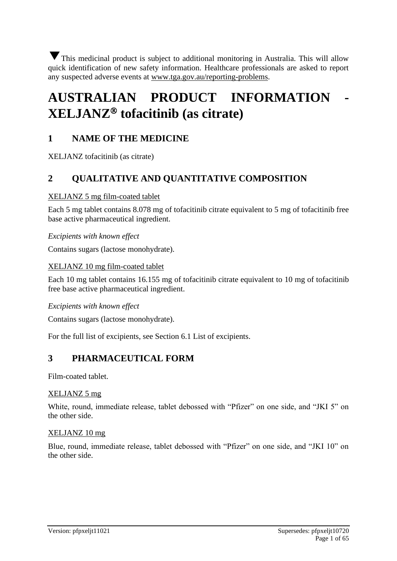This medicinal product is subject to additional monitoring in Australia. This will allow quick identification of new safety information. Healthcare professionals are asked to report any suspected adverse events at www.tga.gov.au/reporting-problems.

# **AUSTRALIAN PRODUCT INFORMATION - XELJANZ tofacitinib (as citrate)**

## **1 NAME OF THE MEDICINE**

XELJANZ tofacitinib (as citrate)

## **2 QUALITATIVE AND QUANTITATIVE COMPOSITION**

#### XELJANZ 5 mg film-coated tablet

Each 5 mg tablet contains 8.078 mg of tofacitinib citrate equivalent to 5 mg of tofacitinib free base active pharmaceutical ingredient.

#### *Excipients with known effect*

Contains sugars (lactose monohydrate).

#### XELJANZ 10 mg film-coated tablet

Each 10 mg tablet contains 16.155 mg of tofacitinib citrate equivalent to 10 mg of tofacitinib free base active pharmaceutical ingredient.

#### *Excipients with known effect*

Contains sugars (lactose monohydrate).

For the full list of excipients, see Section 6.1 List of excipients.

## **3 PHARMACEUTICAL FORM**

Film-coated tablet.

#### XELJANZ 5 mg

White, round, immediate release, tablet debossed with "Pfizer" on one side, and "JKI 5" on the other side.

#### XELJANZ 10 mg

Blue, round, immediate release, tablet debossed with "Pfizer" on one side, and "JKI 10" on the other side.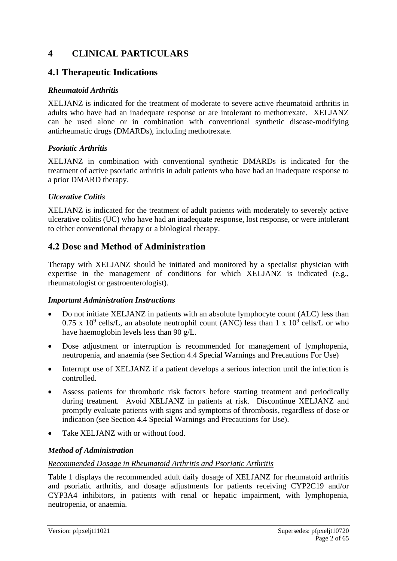## **4 CLINICAL PARTICULARS**

## **4.1 Therapeutic Indications**

#### *Rheumatoid Arthritis*

XELJANZ is indicated for the treatment of moderate to severe active rheumatoid arthritis in adults who have had an inadequate response or are intolerant to methotrexate. XELJANZ can be used alone or in combination with conventional synthetic disease-modifying antirheumatic drugs (DMARDs), including methotrexate.

#### *Psoriatic Arthritis*

XELJANZ in combination with conventional synthetic DMARDs is indicated for the treatment of active psoriatic arthritis in adult patients who have had an inadequate response to a prior DMARD therapy.

## *Ulcerative Colitis*

XELJANZ is indicated for the treatment of adult patients with moderately to severely active ulcerative colitis (UC) who have had an inadequate response, lost response, or were intolerant to either conventional therapy or a biological therapy.

## **4.2 Dose and Method of Administration**

Therapy with XELJANZ should be initiated and monitored by a specialist physician with expertise in the management of conditions for which XELJANZ is indicated (e.g., rheumatologist or gastroenterologist).

#### *Important Administration Instructions*

- Do not initiate XELJANZ in patients with an absolute lymphocyte count (ALC) less than 0.75 x 10<sup>9</sup> cells/L, an absolute neutrophil count (ANC) less than 1 x 10<sup>9</sup> cells/L or who have haemoglobin levels less than 90 g/L.
- Dose adjustment or interruption is recommended for management of lymphopenia, neutropenia, and anaemia (see Section 4.4 Special Warnings and Precautions For Use)
- Interrupt use of XELJANZ if a patient develops a serious infection until the infection is controlled.
- Assess patients for thrombotic risk factors before starting treatment and periodically during treatment. Avoid XELJANZ in patients at risk. Discontinue XELJANZ and promptly evaluate patients with signs and symptoms of thrombosis, regardless of dose or indication (see Section 4.4 Special Warnings and Precautions for Use).
- Take XELJANZ with or without food.

## *Method of Administration*

#### *Recommended Dosage in Rheumatoid Arthritis and Psoriatic Arthritis*

Table 1 displays the recommended adult daily dosage of XELJANZ for rheumatoid arthritis and psoriatic arthritis, and dosage adjustments for patients receiving CYP2C19 and/or CYP3A4 inhibitors, in patients with renal or hepatic impairment, with lymphopenia, neutropenia, or anaemia.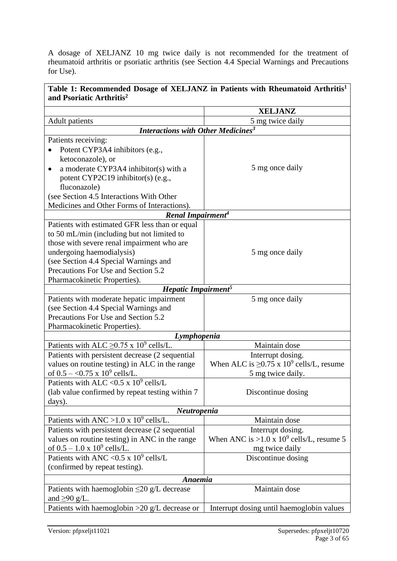A dosage of XELJANZ 10 mg twice daily is not recommended for the treatment of rheumatoid arthritis or psoriatic arthritis (see Section 4.4 Special Warnings and Precautions for Use).

| Table 1: Recommended Dosage of XELJANZ in Patients with Rheumatoid Arthritis <sup>1</sup><br>and Psoriatic Arthritis <sup>2</sup> |                                                           |  |  |  |  |
|-----------------------------------------------------------------------------------------------------------------------------------|-----------------------------------------------------------|--|--|--|--|
|                                                                                                                                   | <b>XELJANZ</b>                                            |  |  |  |  |
| <b>Adult</b> patients                                                                                                             | 5 mg twice daily                                          |  |  |  |  |
| <b>Interactions with Other Medicines<sup>3</sup></b>                                                                              |                                                           |  |  |  |  |
| Patients receiving:                                                                                                               |                                                           |  |  |  |  |
| Potent CYP3A4 inhibitors (e.g.,                                                                                                   |                                                           |  |  |  |  |
| ketoconazole), or                                                                                                                 |                                                           |  |  |  |  |
| a moderate CYP3A4 inhibitor(s) with a                                                                                             | 5 mg once daily                                           |  |  |  |  |
| potent CYP2C19 inhibitor(s) (e.g.,                                                                                                |                                                           |  |  |  |  |
| fluconazole)                                                                                                                      |                                                           |  |  |  |  |
| (see Section 4.5 Interactions With Other                                                                                          |                                                           |  |  |  |  |
| Medicines and Other Forms of Interactions).                                                                                       |                                                           |  |  |  |  |
| Renal Impairment <sup>4</sup>                                                                                                     |                                                           |  |  |  |  |
| Patients with estimated GFR less than or equal                                                                                    |                                                           |  |  |  |  |
| to 50 mL/min (including but not limited to                                                                                        |                                                           |  |  |  |  |
| those with severe renal impairment who are                                                                                        |                                                           |  |  |  |  |
| undergoing haemodialysis)                                                                                                         | 5 mg once daily                                           |  |  |  |  |
| (see Section 4.4 Special Warnings and                                                                                             |                                                           |  |  |  |  |
| Precautions For Use and Section 5.2                                                                                               |                                                           |  |  |  |  |
| Pharmacokinetic Properties).                                                                                                      |                                                           |  |  |  |  |
| Hepatic Impairment <sup>5</sup>                                                                                                   |                                                           |  |  |  |  |
| Patients with moderate hepatic impairment                                                                                         | 5 mg once daily                                           |  |  |  |  |
| (see Section 4.4 Special Warnings and                                                                                             |                                                           |  |  |  |  |
| Precautions For Use and Section 5.2                                                                                               |                                                           |  |  |  |  |
| Pharmacokinetic Properties).                                                                                                      |                                                           |  |  |  |  |
| Lymphopenia                                                                                                                       |                                                           |  |  |  |  |
| Patients with ALC $\geq$ 0.75 x 10 <sup>9</sup> cells/L.                                                                          | Maintain dose                                             |  |  |  |  |
| Patients with persistent decrease (2 sequential                                                                                   | Interrupt dosing.                                         |  |  |  |  |
| values on routine testing) in ALC in the range                                                                                    | When ALC is $\geq$ 0.75 x 10 <sup>9</sup> cells/L, resume |  |  |  |  |
| of $0.5 - 0.75 \times 10^9$ cells/L.                                                                                              | 5 mg twice daily.                                         |  |  |  |  |
| Patients with ALC < 0.5 x $10^9$ cells/L                                                                                          |                                                           |  |  |  |  |
| (lab value confirmed by repeat testing within 7)                                                                                  | Discontinue dosing                                        |  |  |  |  |
| days).                                                                                                                            |                                                           |  |  |  |  |
| Neutropenia                                                                                                                       |                                                           |  |  |  |  |
| Patients with ANC > 1.0 x $10^9$ cells/L.                                                                                         | Maintain dose                                             |  |  |  |  |
| Patients with persistent decrease (2 sequential)                                                                                  | Interrupt dosing.                                         |  |  |  |  |
| values on routine testing) in ANC in the range                                                                                    | When ANC is >1.0 x $10^9$ cells/L, resume 5               |  |  |  |  |
| of $0.5 - 1.0 \times 10^9$ cells/L.                                                                                               | mg twice daily                                            |  |  |  |  |
| Patients with ANC < $0.5 \times 10^9$ cells/L                                                                                     | Discontinue dosing                                        |  |  |  |  |
| (confirmed by repeat testing).                                                                                                    |                                                           |  |  |  |  |
| Anaemia                                                                                                                           |                                                           |  |  |  |  |
| Patients with haemoglobin $\leq$ 20 g/L decrease                                                                                  | Maintain dose                                             |  |  |  |  |
| and $\geq 90$ g/L.                                                                                                                |                                                           |  |  |  |  |
| Patients with haemoglobin $>20$ g/L decrease or                                                                                   | Interrupt dosing until haemoglobin values                 |  |  |  |  |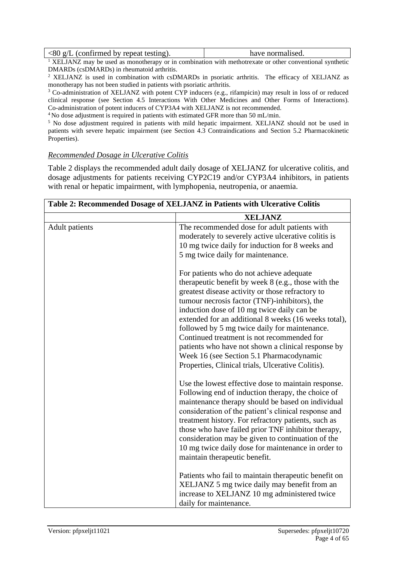| $\langle 80 \text{ g/L}$ (confirmed by repeat testing). | have normalised. |
|---------------------------------------------------------|------------------|
|                                                         |                  |

<sup>1</sup> XELJANZ may be used as monotherapy or in combination with methotrexate or other conventional synthetic DMARDs (csDMARDs) in rheumatoid arthritis.

<sup>2</sup> XELJANZ is used in combination with csDMARDs in psoriatic arthritis. The efficacy of XELJANZ as monotherapy has not been studied in patients with psoriatic arthritis.

<sup>3</sup> Co-administration of XELJANZ with potent CYP inducers (e.g., rifampicin) may result in loss of or reduced clinical response (see Section 4.5 Interactions With Other Medicines and Other Forms of Interactions). Co-administration of potent inducers of CYP3A4 with XELJANZ is not recommended.

<sup>4</sup>No dose adjustment is required in patients with estimated GFR more than 50 mL/min.

<sup>5</sup> No dose adjustment required in patients with mild hepatic impairment. XELJANZ should not be used in patients with severe hepatic impairment (see Section 4.3 Contraindications and Section 5.2 Pharmacokinetic Properties).

#### *Recommended Dosage in Ulcerative Colitis*

Table 2 displays the recommended adult daily dosage of XELJANZ for ulcerative colitis, and dosage adjustments for patients receiving CYP2C19 and/or CYP3A4 inhibitors, in patients with renal or hepatic impairment, with lymphopenia, neutropenia, or anaemia.

| Table 2: Recommended Dosage of XELJANZ in Patients with Ulcerative Colitis |                                                                                                                                                                                                                                                                                                                                                                                                                                                                                                                                                                  |  |  |  |
|----------------------------------------------------------------------------|------------------------------------------------------------------------------------------------------------------------------------------------------------------------------------------------------------------------------------------------------------------------------------------------------------------------------------------------------------------------------------------------------------------------------------------------------------------------------------------------------------------------------------------------------------------|--|--|--|
|                                                                            | <b>XELJANZ</b>                                                                                                                                                                                                                                                                                                                                                                                                                                                                                                                                                   |  |  |  |
| <b>Adult</b> patients                                                      | The recommended dose for adult patients with<br>moderately to severely active ulcerative colitis is<br>10 mg twice daily for induction for 8 weeks and<br>5 mg twice daily for maintenance.                                                                                                                                                                                                                                                                                                                                                                      |  |  |  |
|                                                                            | For patients who do not achieve adequate<br>therapeutic benefit by week 8 (e.g., those with the<br>greatest disease activity or those refractory to<br>tumour necrosis factor (TNF)-inhibitors), the<br>induction dose of 10 mg twice daily can be<br>extended for an additional 8 weeks (16 weeks total),<br>followed by 5 mg twice daily for maintenance.<br>Continued treatment is not recommended for<br>patients who have not shown a clinical response by<br>Week 16 (see Section 5.1 Pharmacodynamic<br>Properties, Clinical trials, Ulcerative Colitis). |  |  |  |
|                                                                            | Use the lowest effective dose to maintain response.<br>Following end of induction therapy, the choice of<br>maintenance therapy should be based on individual<br>consideration of the patient's clinical response and<br>treatment history. For refractory patients, such as<br>those who have failed prior TNF inhibitor therapy,<br>consideration may be given to continuation of the<br>10 mg twice daily dose for maintenance in order to<br>maintain therapeutic benefit.                                                                                   |  |  |  |
|                                                                            | Patients who fail to maintain therapeutic benefit on<br>XELJANZ 5 mg twice daily may benefit from an<br>increase to XELJANZ 10 mg administered twice<br>daily for maintenance.                                                                                                                                                                                                                                                                                                                                                                                   |  |  |  |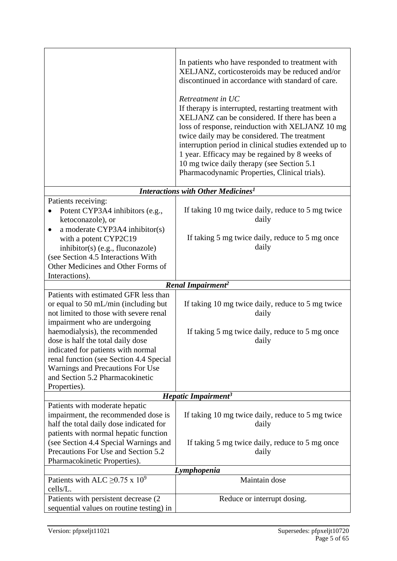|                                                                                                                                                                                                | In patients who have responded to treatment with<br>XELJANZ, corticosteroids may be reduced and/or<br>discontinued in accordance with standard of care.<br>Retreatment in UC<br>If therapy is interrupted, restarting treatment with<br>XELJANZ can be considered. If there has been a<br>loss of response, reinduction with XELJANZ 10 mg<br>twice daily may be considered. The treatment<br>interruption period in clinical studies extended up to<br>1 year. Efficacy may be regained by 8 weeks of<br>10 mg twice daily therapy (see Section 5.1)<br>Pharmacodynamic Properties, Clinical trials). |
|------------------------------------------------------------------------------------------------------------------------------------------------------------------------------------------------|--------------------------------------------------------------------------------------------------------------------------------------------------------------------------------------------------------------------------------------------------------------------------------------------------------------------------------------------------------------------------------------------------------------------------------------------------------------------------------------------------------------------------------------------------------------------------------------------------------|
|                                                                                                                                                                                                | Interactions with Other Medicines <sup>1</sup>                                                                                                                                                                                                                                                                                                                                                                                                                                                                                                                                                         |
| Patients receiving:                                                                                                                                                                            |                                                                                                                                                                                                                                                                                                                                                                                                                                                                                                                                                                                                        |
| Potent CYP3A4 inhibitors (e.g.,<br>ketoconazole), or                                                                                                                                           | If taking 10 mg twice daily, reduce to 5 mg twice<br>daily                                                                                                                                                                                                                                                                                                                                                                                                                                                                                                                                             |
| a moderate CYP3A4 inhibitor(s)<br>٠<br>with a potent CYP2C19<br>inhibitor(s) (e.g., fluconazole)<br>(see Section 4.5 Interactions With<br>Other Medicines and Other Forms of<br>Interactions). | If taking 5 mg twice daily, reduce to 5 mg once<br>daily                                                                                                                                                                                                                                                                                                                                                                                                                                                                                                                                               |
|                                                                                                                                                                                                | Renal Impairment <sup>2</sup>                                                                                                                                                                                                                                                                                                                                                                                                                                                                                                                                                                          |
| Patients with estimated GFR less than<br>or equal to 50 mL/min (including but<br>not limited to those with severe renal<br>impairment who are undergoing<br>haemodialysis), the recommended    | If taking 10 mg twice daily, reduce to 5 mg twice<br>daily<br>If taking 5 mg twice daily, reduce to 5 mg once                                                                                                                                                                                                                                                                                                                                                                                                                                                                                          |
| dose is half the total daily dose<br>indicated for patients with normal<br>renal function (see Section 4.4 Special<br>Warnings and Precautions For Use<br>and Section 5.2 Pharmacokinetic      | daily                                                                                                                                                                                                                                                                                                                                                                                                                                                                                                                                                                                                  |
| Properties).                                                                                                                                                                                   |                                                                                                                                                                                                                                                                                                                                                                                                                                                                                                                                                                                                        |
|                                                                                                                                                                                                | Hepatic Impairment <sup>3</sup>                                                                                                                                                                                                                                                                                                                                                                                                                                                                                                                                                                        |
| Patients with moderate hepatic<br>impairment, the recommended dose is<br>half the total daily dose indicated for<br>patients with normal hepatic function                                      | If taking 10 mg twice daily, reduce to 5 mg twice<br>daily                                                                                                                                                                                                                                                                                                                                                                                                                                                                                                                                             |
| (see Section 4.4 Special Warnings and<br>Precautions For Use and Section 5.2<br>Pharmacokinetic Properties).                                                                                   | If taking 5 mg twice daily, reduce to 5 mg once<br>daily                                                                                                                                                                                                                                                                                                                                                                                                                                                                                                                                               |
|                                                                                                                                                                                                | Lymphopenia                                                                                                                                                                                                                                                                                                                                                                                                                                                                                                                                                                                            |
| Patients with ALC $\geq$ 0.75 x 10 <sup>9</sup><br>cells/L.                                                                                                                                    | Maintain dose                                                                                                                                                                                                                                                                                                                                                                                                                                                                                                                                                                                          |
| Patients with persistent decrease (2)<br>sequential values on routine testing) in                                                                                                              | Reduce or interrupt dosing.                                                                                                                                                                                                                                                                                                                                                                                                                                                                                                                                                                            |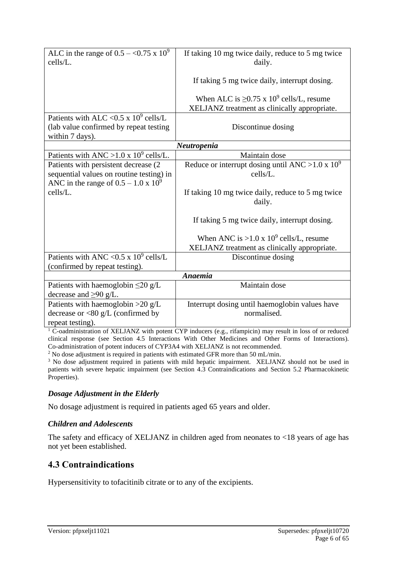| ALC in the range of $0.5 - <0.75 \times 10^9$<br>cells/L.                                                                        | If taking 10 mg twice daily, reduce to 5 mg twice<br>daily.                                               |
|----------------------------------------------------------------------------------------------------------------------------------|-----------------------------------------------------------------------------------------------------------|
|                                                                                                                                  | If taking 5 mg twice daily, interrupt dosing.                                                             |
|                                                                                                                                  | When ALC is $\geq$ 0.75 x 10 <sup>9</sup> cells/L, resume<br>XELJANZ treatment as clinically appropriate. |
| Patients with ALC < 0.5 x $10^9$ cells/L                                                                                         |                                                                                                           |
| (lab value confirmed by repeat testing<br>within 7 days).                                                                        | Discontinue dosing                                                                                        |
|                                                                                                                                  | Neutropenia                                                                                               |
| Patients with ANC > 1.0 x $10^9$ cells/L.                                                                                        | Maintain dose                                                                                             |
| Patients with persistent decrease (2)<br>sequential values on routine testing) in<br>ANC in the range of $0.5 - 1.0 \times 10^9$ | Reduce or interrupt dosing until ANC > 1.0 x $10^9$<br>cells/L.                                           |
| cells/L.                                                                                                                         | If taking 10 mg twice daily, reduce to 5 mg twice<br>daily.                                               |
|                                                                                                                                  | If taking 5 mg twice daily, interrupt dosing.                                                             |
|                                                                                                                                  | When ANC is >1.0 x $10^9$ cells/L, resume                                                                 |
|                                                                                                                                  | XELJANZ treatment as clinically appropriate.                                                              |
| Patients with ANC < $0.5 \times 10^9$ cells/L<br>(confirmed by repeat testing).                                                  | Discontinue dosing                                                                                        |
|                                                                                                                                  | Anaemia                                                                                                   |
| Patients with haemoglobin $\leq$ 20 g/L<br>decrease and $\geq 90$ g/L.                                                           | Maintain dose                                                                                             |
| Patients with haemoglobin $>20 g/L$<br>decrease or $<$ 80 g/L (confirmed by<br>repeat testing).                                  | Interrupt dosing until haemoglobin values have<br>normalised.                                             |

<sup>1</sup> C-oadministration of XELJANZ with potent CYP inducers (e.g., rifampicin) may result in loss of or reduced clinical response (see Section 4.5 Interactions With Other Medicines and Other Forms of Interactions). Co-administration of potent inducers of CYP3A4 with XELJANZ is not recommended.

<sup>2</sup> No dose adjustment is required in patients with estimated GFR more than 50 mL/min.

<sup>3</sup> No dose adjustment required in patients with mild hepatic impairment. XELJANZ should not be used in patients with severe hepatic impairment (see Section 4.3 Contraindications and Section 5.2 Pharmacokinetic Properties).

## *Dosage Adjustment in the Elderly*

No dosage adjustment is required in patients aged 65 years and older.

## *Children and Adolescents*

The safety and efficacy of XELJANZ in children aged from neonates to <18 years of age has not yet been established.

## **4.3 Contraindications**

Hypersensitivity to tofacitinib citrate or to any of the excipients.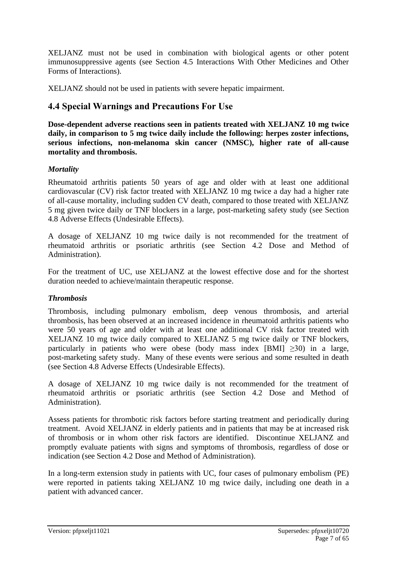XELJANZ must not be used in combination with biological agents or other potent immunosuppressive agents (see Section 4.5 Interactions With Other Medicines and Other Forms of Interactions).

XELJANZ should not be used in patients with severe hepatic impairment.

## **4.4 Special Warnings and Precautions For Use**

**Dose-dependent adverse reactions seen in patients treated with XELJANZ 10 mg twice daily, in comparison to 5 mg twice daily include the following: herpes zoster infections, serious infections, non-melanoma skin cancer (NMSC), higher rate of all-cause mortality and thrombosis.**

## *Mortality*

Rheumatoid arthritis patients 50 years of age and older with at least one additional cardiovascular (CV) risk factor treated with XELJANZ 10 mg twice a day had a higher rate of all-cause mortality, including sudden CV death, compared to those treated with XELJANZ 5 mg given twice daily or TNF blockers in a large, post-marketing safety study (see Section 4.8 Adverse Effects (Undesirable Effects).

A dosage of XELJANZ 10 mg twice daily is not recommended for the treatment of rheumatoid arthritis or psoriatic arthritis (see Section 4.2 Dose and Method of Administration).

For the treatment of UC, use XELJANZ at the lowest effective dose and for the shortest duration needed to achieve/maintain therapeutic response.

## *Thrombosis*

Thrombosis, including pulmonary embolism, deep venous thrombosis, and arterial thrombosis, has been observed at an increased incidence in rheumatoid arthritis patients who were 50 years of age and older with at least one additional CV risk factor treated with XELJANZ 10 mg twice daily compared to XELJANZ 5 mg twice daily or TNF blockers, particularly in patients who were obese (body mass index [BMI]  $\geq$ 30) in a large, post-marketing safety study. Many of these events were serious and some resulted in death (see Section 4.8 Adverse Effects (Undesirable Effects).

A dosage of XELJANZ 10 mg twice daily is not recommended for the treatment of rheumatoid arthritis or psoriatic arthritis (see Section 4.2 Dose and Method of Administration).

Assess patients for thrombotic risk factors before starting treatment and periodically during treatment. Avoid XELJANZ in elderly patients and in patients that may be at increased risk of thrombosis or in whom other risk factors are identified. Discontinue XELJANZ and promptly evaluate patients with signs and symptoms of thrombosis, regardless of dose or indication (see Section 4.2 Dose and Method of Administration).

In a long-term extension study in patients with UC, four cases of pulmonary embolism (PE) were reported in patients taking XELJANZ 10 mg twice daily, including one death in a patient with advanced cancer.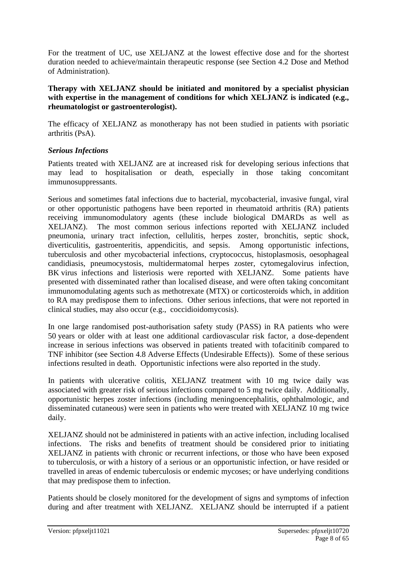For the treatment of UC, use XELJANZ at the lowest effective dose and for the shortest duration needed to achieve/maintain therapeutic response (see Section 4.2 Dose and Method of Administration).

#### **Therapy with XELJANZ should be initiated and monitored by a specialist physician with expertise in the management of conditions for which XELJANZ is indicated (e.g., rheumatologist or gastroenterologist).**

The efficacy of XELJANZ as monotherapy has not been studied in patients with psoriatic arthritis (PsA).

#### *Serious Infections*

Patients treated with XELJANZ are at increased risk for developing serious infections that may lead to hospitalisation or death, especially in those taking concomitant immunosuppressants.

Serious and sometimes fatal infections due to bacterial, mycobacterial, invasive fungal, viral or other opportunistic pathogens have been reported in rheumatoid arthritis (RA) patients receiving immunomodulatory agents (these include biological DMARDs as well as XELJANZ). The most common serious infections reported with XELJANZ included pneumonia, urinary tract infection, cellulitis, herpes zoster, bronchitis, septic shock, diverticulitis, gastroenteritis, appendicitis, and sepsis. Among opportunistic infections, tuberculosis and other mycobacterial infections, cryptococcus, histoplasmosis, oesophageal candidiasis, pneumocystosis, multidermatomal herpes zoster, cytomegalovirus infection, BK virus infections and listeriosis were reported with XELJANZ. Some patients have presented with disseminated rather than localised disease, and were often taking concomitant immunomodulating agents such as methotrexate (MTX) or corticosteroids which, in addition to RA may predispose them to infections. Other serious infections, that were not reported in clinical studies, may also occur (e.g., coccidioidomycosis).

In one large randomised post-authorisation safety study (PASS) in RA patients who were 50 years or older with at least one additional cardiovascular risk factor, a dose-dependent increase in serious infections was observed in patients treated with tofacitinib compared to TNF inhibitor (see Section 4.8 Adverse Effects (Undesirable Effects)). Some of these serious infections resulted in death. Opportunistic infections were also reported in the study.

In patients with ulcerative colitis, XELJANZ treatment with 10 mg twice daily was associated with greater risk of serious infections compared to 5 mg twice daily. Additionally, opportunistic herpes zoster infections (including meningoencephalitis, ophthalmologic, and disseminated cutaneous) were seen in patients who were treated with XELJANZ 10 mg twice daily.

XELJANZ should not be administered in patients with an active infection, including localised infections. The risks and benefits of treatment should be considered prior to initiating XELJANZ in patients with chronic or recurrent infections, or those who have been exposed to tuberculosis, or with a history of a serious or an opportunistic infection, or have resided or travelled in areas of endemic tuberculosis or endemic mycoses; or have underlying conditions that may predispose them to infection.

Patients should be closely monitored for the development of signs and symptoms of infection during and after treatment with XELJANZ. XELJANZ should be interrupted if a patient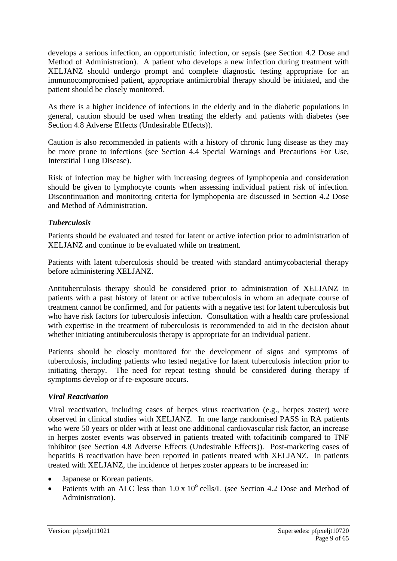develops a serious infection, an opportunistic infection, or sepsis (see Section 4.2 Dose and Method of Administration). A patient who develops a new infection during treatment with XELJANZ should undergo prompt and complete diagnostic testing appropriate for an immunocompromised patient, appropriate antimicrobial therapy should be initiated, and the patient should be closely monitored.

As there is a higher incidence of infections in the elderly and in the diabetic populations in general, caution should be used when treating the elderly and patients with diabetes (see Section 4.8 Adverse Effects (Undesirable Effects)).

Caution is also recommended in patients with a history of chronic lung disease as they may be more prone to infections (see Section 4.4 Special Warnings and Precautions For Use, Interstitial Lung Disease).

Risk of infection may be higher with increasing degrees of lymphopenia and consideration should be given to lymphocyte counts when assessing individual patient risk of infection. Discontinuation and monitoring criteria for lymphopenia are discussed in Section 4.2 Dose and Method of Administration.

#### *Tuberculosis*

Patients should be evaluated and tested for latent or active infection prior to administration of XELJANZ and continue to be evaluated while on treatment.

Patients with latent tuberculosis should be treated with standard antimycobacterial therapy before administering XELJANZ.

Antituberculosis therapy should be considered prior to administration of XELJANZ in patients with a past history of latent or active tuberculosis in whom an adequate course of treatment cannot be confirmed, and for patients with a negative test for latent tuberculosis but who have risk factors for tuberculosis infection. Consultation with a health care professional with expertise in the treatment of tuberculosis is recommended to aid in the decision about whether initiating antituberculosis therapy is appropriate for an individual patient.

Patients should be closely monitored for the development of signs and symptoms of tuberculosis, including patients who tested negative for latent tuberculosis infection prior to initiating therapy. The need for repeat testing should be considered during therapy if symptoms develop or if re-exposure occurs.

#### *Viral Reactivation*

Viral reactivation, including cases of herpes virus reactivation (e.g., herpes zoster) were observed in clinical studies with XELJANZ. In one large randomised PASS in RA patients who were 50 years or older with at least one additional cardiovascular risk factor, an increase in herpes zoster events was observed in patients treated with tofacitinib compared to TNF inhibitor (see Section 4.8 Adverse Effects (Undesirable Effects)). Post-marketing cases of hepatitis B reactivation have been reported in patients treated with XELJANZ. In patients treated with XELJANZ, the incidence of herpes zoster appears to be increased in:

- Japanese or Korean patients.
- Patients with an ALC less than  $1.0 \times 10^9$  cells/L (see Section 4.2 Dose and Method of Administration).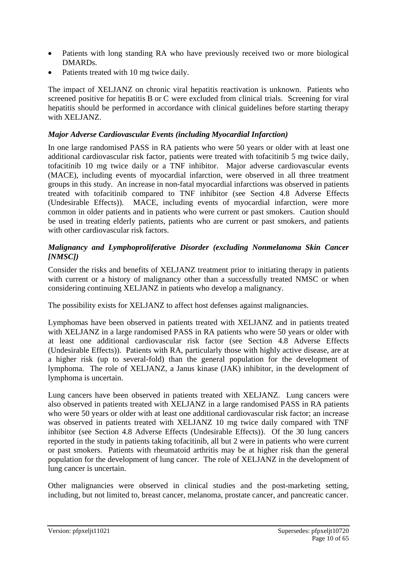- Patients with long standing RA who have previously received two or more biological DMARDs.
- Patients treated with 10 mg twice daily.

The impact of XELJANZ on chronic viral hepatitis reactivation is unknown. Patients who screened positive for hepatitis B or C were excluded from clinical trials. Screening for viral hepatitis should be performed in accordance with clinical guidelines before starting therapy with XELJANZ.

### *Major Adverse Cardiovascular Events (including Myocardial Infarction)*

In one large randomised PASS in RA patients who were 50 years or older with at least one additional cardiovascular risk factor, patients were treated with tofacitinib 5 mg twice daily, tofacitinib 10 mg twice daily or a TNF inhibitor. Major adverse cardiovascular events (MACE), including events of myocardial infarction, were observed in all three treatment groups in this study. An increase in non-fatal myocardial infarctions was observed in patients treated with tofacitinib compared to TNF inhibitor (see Section 4.8 Adverse Effects (Undesirable Effects)). MACE, including events of myocardial infarction, were more common in older patients and in patients who were current or past smokers. Caution should be used in treating elderly patients, patients who are current or past smokers, and patients with other cardiovascular risk factors.

#### *Malignancy and Lymphoproliferative Disorder (excluding Nonmelanoma Skin Cancer [NMSC])*

Consider the risks and benefits of XELJANZ treatment prior to initiating therapy in patients with current or a history of malignancy other than a successfully treated NMSC or when considering continuing XELJANZ in patients who develop a malignancy.

The possibility exists for XELJANZ to affect host defenses against malignancies.

Lymphomas have been observed in patients treated with XELJANZ and in patients treated with XELJANZ in a large randomised PASS in RA patients who were 50 years or older with at least one additional cardiovascular risk factor (see Section 4.8 Adverse Effects (Undesirable Effects)). Patients with RA, particularly those with highly active disease, are at a higher risk (up to several-fold) than the general population for the development of lymphoma. The role of XELJANZ, a Janus kinase (JAK) inhibitor, in the development of lymphoma is uncertain.

Lung cancers have been observed in patients treated with XELJANZ. Lung cancers were also observed in patients treated with XELJANZ in a large randomised PASS in RA patients who were 50 years or older with at least one additional cardiovascular risk factor; an increase was observed in patients treated with XELJANZ 10 mg twice daily compared with TNF inhibitor (see Section 4.8 Adverse Effects (Undesirable Effects)). Of the 30 lung cancers reported in the study in patients taking tofacitinib, all but 2 were in patients who were current or past smokers. Patients with rheumatoid arthritis may be at higher risk than the general population for the development of lung cancer. The role of XELJANZ in the development of lung cancer is uncertain.

Other malignancies were observed in clinical studies and the post-marketing setting, including, but not limited to, breast cancer, melanoma, prostate cancer, and pancreatic cancer.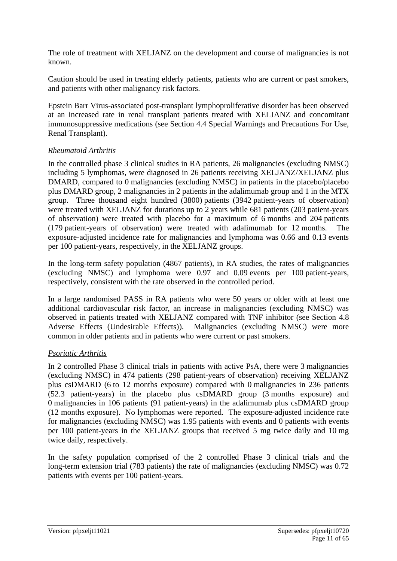The role of treatment with XELJANZ on the development and course of malignancies is not known.

Caution should be used in treating elderly patients, patients who are current or past smokers, and patients with other malignancy risk factors.

Epstein Barr Virus-associated post-transplant lymphoproliferative disorder has been observed at an increased rate in renal transplant patients treated with XELJANZ and concomitant immunosuppressive medications (see Section 4.4 Special Warnings and Precautions For Use, Renal Transplant).

## *Rheumatoid Arthritis*

In the controlled phase 3 clinical studies in RA patients, 26 malignancies (excluding NMSC) including 5 lymphomas, were diagnosed in 26 patients receiving XELJANZ/XELJANZ plus DMARD, compared to 0 malignancies (excluding NMSC) in patients in the placebo/placebo plus DMARD group, 2 malignancies in 2 patients in the adalimumab group and 1 in the MTX group. Three thousand eight hundred (3800) patients (3942 patient-years of observation) were treated with XELJANZ for durations up to 2 years while 681 patients (203 patient-years of observation) were treated with placebo for a maximum of 6 months and 204 patients (179 patient-years of observation) were treated with adalimumab for 12 months. The exposure-adjusted incidence rate for malignancies and lymphoma was 0.66 and 0.13 events per 100 patient-years, respectively, in the XELJANZ groups.

In the long-term safety population (4867 patients), in RA studies, the rates of malignancies (excluding NMSC) and lymphoma were 0.97 and 0.09 events per 100 patient-years, respectively, consistent with the rate observed in the controlled period.

In a large randomised PASS in RA patients who were 50 years or older with at least one additional cardiovascular risk factor, an increase in malignancies (excluding NMSC) was observed in patients treated with XELJANZ compared with TNF inhibitor (see Section 4.8 Adverse Effects (Undesirable Effects)). Malignancies (excluding NMSC) were more common in older patients and in patients who were current or past smokers.

## *Psoriatic Arthritis*

In 2 controlled Phase 3 clinical trials in patients with active PsA, there were 3 malignancies (excluding NMSC) in 474 patients (298 patient-years of observation) receiving XELJANZ plus csDMARD (6 to 12 months exposure) compared with 0 malignancies in 236 patients (52.3 patient-years) in the placebo plus csDMARD group (3 months exposure) and 0 malignancies in 106 patients (91 patient-years) in the adalimumab plus csDMARD group (12 months exposure). No lymphomas were reported. The exposure-adjusted incidence rate for malignancies (excluding NMSC) was 1.95 patients with events and 0 patients with events per 100 patient-years in the XELJANZ groups that received 5 mg twice daily and 10 mg twice daily, respectively.

In the safety population comprised of the 2 controlled Phase 3 clinical trials and the long-term extension trial (783 patients) the rate of malignancies (excluding NMSC) was 0.72 patients with events per 100 patient-years.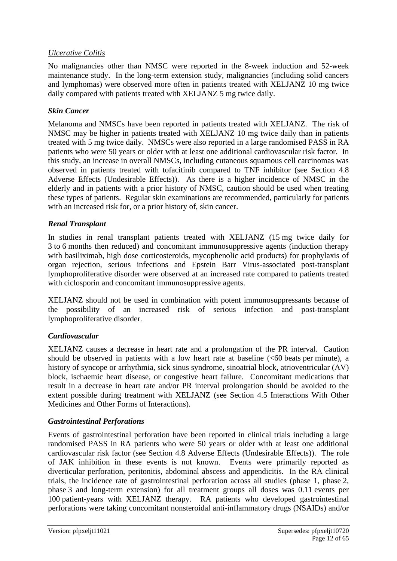### *Ulcerative Colitis*

No malignancies other than NMSC were reported in the 8-week induction and 52-week maintenance study. In the long-term extension study, malignancies (including solid cancers and lymphomas) were observed more often in patients treated with XELJANZ 10 mg twice daily compared with patients treated with XELJANZ 5 mg twice daily.

#### *Skin Cancer*

Melanoma and NMSCs have been reported in patients treated with XELJANZ. The risk of NMSC may be higher in patients treated with XELJANZ 10 mg twice daily than in patients treated with 5 mg twice daily. NMSCs were also reported in a large randomised PASS in RA patients who were 50 years or older with at least one additional cardiovascular risk factor. In this study, an increase in overall NMSCs, including cutaneous squamous cell carcinomas was observed in patients treated with tofacitinib compared to TNF inhibitor (see Section 4.8 Adverse Effects (Undesirable Effects)). As there is a higher incidence of NMSC in the elderly and in patients with a prior history of NMSC, caution should be used when treating these types of patients. Regular skin examinations are recommended, particularly for patients with an increased risk for, or a prior history of, skin cancer.

#### *Renal Transplant*

In studies in renal transplant patients treated with XELJANZ (15 mg twice daily for 3 to 6 months then reduced) and concomitant immunosuppressive agents (induction therapy with basiliximab, high dose corticosteroids, mycophenolic acid products) for prophylaxis of organ rejection, serious infections and Epstein Barr Virus-associated post-transplant lymphoproliferative disorder were observed at an increased rate compared to patients treated with ciclosporin and concomitant immunosuppressive agents.

XELJANZ should not be used in combination with potent immunosuppressants because of the possibility of an increased risk of serious infection and post-transplant lymphoproliferative disorder.

#### *Cardiovascular*

XELJANZ causes a decrease in heart rate and a prolongation of the PR interval. Caution should be observed in patients with a low heart rate at baseline  $( $60$  beats per minute), a$ history of syncope or arrhythmia, sick sinus syndrome, sinoatrial block, atrioventricular (AV) block, ischaemic heart disease, or congestive heart failure. Concomitant medications that result in a decrease in heart rate and/or PR interval prolongation should be avoided to the extent possible during treatment with XELJANZ (see Section 4.5 Interactions With Other Medicines and Other Forms of Interactions).

#### *Gastrointestinal Perforations*

Events of gastrointestinal perforation have been reported in clinical trials including a large randomised PASS in RA patients who were 50 years or older with at least one additional cardiovascular risk factor (see Section 4.8 Adverse Effects (Undesirable Effects)). The role of JAK inhibition in these events is not known. Events were primarily reported as diverticular perforation, peritonitis, abdominal abscess and appendicitis. In the RA clinical trials, the incidence rate of gastrointestinal perforation across all studies (phase 1, phase 2, phase 3 and long-term extension) for all treatment groups all doses was 0.11 events per 100 patient-years with XELJANZ therapy. RA patients who developed gastrointestinal perforations were taking concomitant nonsteroidal anti-inflammatory drugs (NSAIDs) and/or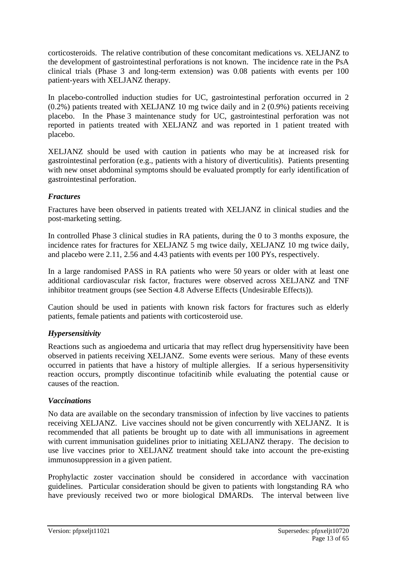corticosteroids. The relative contribution of these concomitant medications vs. XELJANZ to the development of gastrointestinal perforations is not known. The incidence rate in the PsA clinical trials (Phase 3 and long-term extension) was 0.08 patients with events per 100 patient-years with XELJANZ therapy.

In placebo-controlled induction studies for UC, gastrointestinal perforation occurred in 2 (0.2%) patients treated with XELJANZ 10 mg twice daily and in 2 (0.9%) patients receiving placebo. In the Phase 3 maintenance study for UC, gastrointestinal perforation was not reported in patients treated with XELJANZ and was reported in 1 patient treated with placebo.

XELJANZ should be used with caution in patients who may be at increased risk for gastrointestinal perforation (e.g., patients with a history of diverticulitis). Patients presenting with new onset abdominal symptoms should be evaluated promptly for early identification of gastrointestinal perforation.

#### *Fractures*

Fractures have been observed in patients treated with XELJANZ in clinical studies and the post-marketing setting.

In controlled Phase 3 clinical studies in RA patients, during the 0 to 3 months exposure, the incidence rates for fractures for XELJANZ 5 mg twice daily, XELJANZ 10 mg twice daily, and placebo were 2.11, 2.56 and 4.43 patients with events per 100 PYs, respectively.

In a large randomised PASS in RA patients who were 50 years or older with at least one additional cardiovascular risk factor, fractures were observed across XELJANZ and TNF inhibitor treatment groups (see Section 4.8 Adverse Effects (Undesirable Effects)).

Caution should be used in patients with known risk factors for fractures such as elderly patients, female patients and patients with corticosteroid use.

## *Hypersensitivity*

Reactions such as angioedema and urticaria that may reflect drug hypersensitivity have been observed in patients receiving XELJANZ. Some events were serious. Many of these events occurred in patients that have a history of multiple allergies. If a serious hypersensitivity reaction occurs, promptly discontinue tofacitinib while evaluating the potential cause or causes of the reaction.

#### *Vaccinations*

No data are available on the secondary transmission of infection by live vaccines to patients receiving XELJANZ. Live vaccines should not be given concurrently with XELJANZ. It is recommended that all patients be brought up to date with all immunisations in agreement with current immunisation guidelines prior to initiating XELJANZ therapy. The decision to use live vaccines prior to XELJANZ treatment should take into account the pre-existing immunosuppression in a given patient.

Prophylactic zoster vaccination should be considered in accordance with vaccination guidelines. Particular consideration should be given to patients with longstanding RA who have previously received two or more biological DMARDs. The interval between live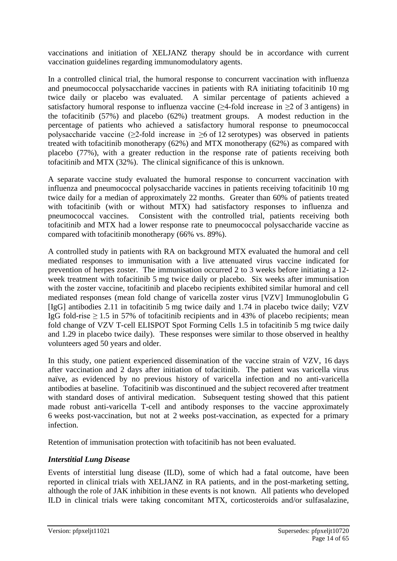vaccinations and initiation of XELJANZ therapy should be in accordance with current vaccination guidelines regarding immunomodulatory agents.

In a controlled clinical trial, the humoral response to concurrent vaccination with influenza and pneumococcal polysaccharide vaccines in patients with RA initiating tofacitinib 10 mg twice daily or placebo was evaluated. A similar percentage of patients achieved a satisfactory humoral response to influenza vaccine ( $\geq$ 4-fold increase in  $\geq$ 2 of 3 antigens) in the tofacitinib (57%) and placebo (62%) treatment groups. A modest reduction in the percentage of patients who achieved a satisfactory humoral response to pneumococcal polysaccharide vaccine ( $\geq$ 2-fold increase in  $\geq$ 6 of 12 serotypes) was observed in patients treated with tofacitinib monotherapy (62%) and MTX monotherapy (62%) as compared with placebo (77%), with a greater reduction in the response rate of patients receiving both tofacitinib and MTX (32%). The clinical significance of this is unknown.

A separate vaccine study evaluated the humoral response to concurrent vaccination with influenza and pneumococcal polysaccharide vaccines in patients receiving tofacitinib 10 mg twice daily for a median of approximately 22 months. Greater than 60% of patients treated with tofacitinib (with or without MTX) had satisfactory responses to influenza and pneumococcal vaccines. Consistent with the controlled trial, patients receiving both tofacitinib and MTX had a lower response rate to pneumococcal polysaccharide vaccine as compared with tofacitinib monotherapy (66% vs. 89%).

A controlled study in patients with RA on background MTX evaluated the humoral and cell mediated responses to immunisation with a live attenuated virus vaccine indicated for prevention of herpes zoster. The immunisation occurred 2 to 3 weeks before initiating a 12 week treatment with tofacitinib 5 mg twice daily or placebo. Six weeks after immunisation with the zoster vaccine, tofacitinib and placebo recipients exhibited similar humoral and cell mediated responses (mean fold change of varicella zoster virus [VZV] Immunoglobulin G [IgG] antibodies 2.11 in tofacitinib 5 mg twice daily and 1.74 in placebo twice daily; VZV IgG fold-rise  $\geq$  1.5 in 57% of tofacitinib recipients and in 43% of placebo recipients; mean fold change of VZV T-cell ELISPOT Spot Forming Cells 1.5 in tofacitinib 5 mg twice daily and 1.29 in placebo twice daily). These responses were similar to those observed in healthy volunteers aged 50 years and older.

In this study, one patient experienced dissemination of the vaccine strain of VZV, 16 days after vaccination and 2 days after initiation of tofacitinib. The patient was varicella virus naïve, as evidenced by no previous history of varicella infection and no anti-varicella antibodies at baseline. Tofacitinib was discontinued and the subject recovered after treatment with standard doses of antiviral medication. Subsequent testing showed that this patient made robust anti-varicella T-cell and antibody responses to the vaccine approximately 6 weeks post-vaccination, but not at 2 weeks post-vaccination, as expected for a primary infection.

Retention of immunisation protection with tofacitinib has not been evaluated.

## *Interstitial Lung Disease*

Events of interstitial lung disease (ILD), some of which had a fatal outcome, have been reported in clinical trials with XELJANZ in RA patients, and in the post-marketing setting, although the role of JAK inhibition in these events is not known. All patients who developed ILD in clinical trials were taking concomitant MTX, corticosteroids and/or sulfasalazine,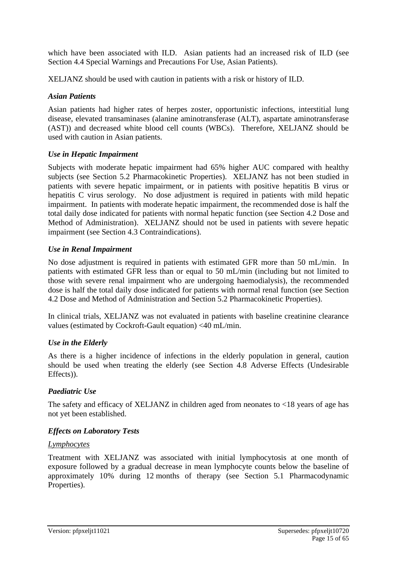which have been associated with ILD. Asian patients had an increased risk of ILD (see Section 4.4 Special Warnings and Precautions For Use, Asian Patients).

XELJANZ should be used with caution in patients with a risk or history of ILD.

#### *Asian Patients*

Asian patients had higher rates of herpes zoster, opportunistic infections, interstitial lung disease, elevated transaminases (alanine aminotransferase (ALT), aspartate aminotransferase (AST)) and decreased white blood cell counts (WBCs). Therefore, XELJANZ should be used with caution in Asian patients.

## *Use in Hepatic Impairment*

Subjects with moderate hepatic impairment had 65% higher AUC compared with healthy subjects (see Section 5.2 Pharmacokinetic Properties). XELJANZ has not been studied in patients with severe hepatic impairment, or in patients with positive hepatitis B virus or hepatitis C virus serology. No dose adjustment is required in patients with mild hepatic impairment. In patients with moderate hepatic impairment, the recommended dose is half the total daily dose indicated for patients with normal hepatic function (see Section 4.2 Dose and Method of Administration). XELJANZ should not be used in patients with severe hepatic impairment (see Section 4.3 Contraindications).

#### *Use in Renal Impairment*

No dose adjustment is required in patients with estimated GFR more than 50 mL/min. In patients with estimated GFR less than or equal to 50 mL/min (including but not limited to those with severe renal impairment who are undergoing haemodialysis), the recommended dose is half the total daily dose indicated for patients with normal renal function (see Section 4.2 Dose and Method of Administration and Section 5.2 Pharmacokinetic Properties).

In clinical trials, XELJANZ was not evaluated in patients with baseline creatinine clearance values (estimated by Cockroft-Gault equation) <40 mL/min.

## *Use in the Elderly*

As there is a higher incidence of infections in the elderly population in general, caution should be used when treating the elderly (see Section 4.8 Adverse Effects (Undesirable Effects)).

## *Paediatric Use*

The safety and efficacy of XELJANZ in children aged from neonates to  $\langle 18 \rangle$  vears of age has not yet been established.

#### *Effects on Laboratory Tests*

#### *Lymphocytes*

Treatment with XELJANZ was associated with initial lymphocytosis at one month of exposure followed by a gradual decrease in mean lymphocyte counts below the baseline of approximately 10% during 12 months of therapy (see Section 5.1 Pharmacodynamic Properties).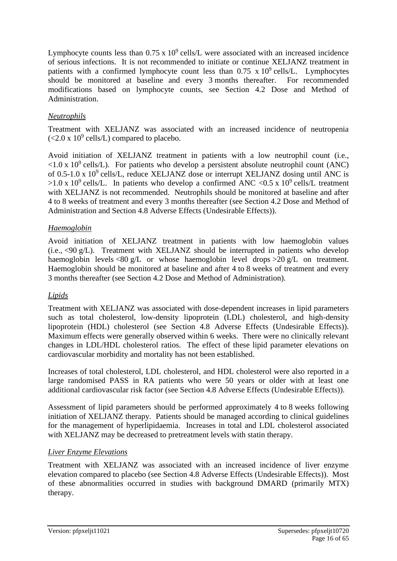Lymphocyte counts less than  $0.75 \times 10^9$  cells/L were associated with an increased incidence of serious infections. It is not recommended to initiate or continue XELJANZ treatment in patients with a confirmed lymphocyte count less than  $0.75 \times 10^9$  cells/L. Lymphocytes should be monitored at baseline and every 3 months thereafter. For recommended modifications based on lymphocyte counts, see Section 4.2 Dose and Method of Administration.

## *Neutrophils*

Treatment with XELJANZ was associated with an increased incidence of neutropenia  $(<2.0 \text{ x } 10^9 \text{ cells/L})$  compared to placebo.

Avoid initiation of XELJANZ treatment in patients with a low neutrophil count (i.e.,  $\langle 1.0 \times 10^9 \text{ cells/L} \rangle$ . For patients who develop a persistent absolute neutrophil count (ANC) of  $0.5$ -1.0 x  $10^9$  cells/L, reduce XELJANZ dose or interrupt XELJANZ dosing until ANC is  $>1.0 \times 10^9$  cells/L. In patients who develop a confirmed ANC <0.5 x 10<sup>9</sup> cells/L treatment with XELJANZ is not recommended. Neutrophils should be monitored at baseline and after 4 to 8 weeks of treatment and every 3 months thereafter (see Section 4.2 Dose and Method of Administration and Section 4.8 Adverse Effects (Undesirable Effects)).

## *Haemoglobin*

Avoid initiation of XELJANZ treatment in patients with low haemoglobin values  $(i.e., <90 g/L)$ . Treatment with XELJANZ should be interrupted in patients who develop haemoglobin levels <80 g/L or whose haemoglobin level drops >20 g/L on treatment. Haemoglobin should be monitored at baseline and after 4 to 8 weeks of treatment and every 3 months thereafter (see Section 4.2 Dose and Method of Administration).

#### *Lipids*

Treatment with XELJANZ was associated with dose-dependent increases in lipid parameters such as total cholesterol, low-density lipoprotein (LDL) cholesterol, and high-density lipoprotein (HDL) cholesterol (see Section 4.8 Adverse Effects (Undesirable Effects)). Maximum effects were generally observed within 6 weeks. There were no clinically relevant changes in LDL/HDL cholesterol ratios. The effect of these lipid parameter elevations on cardiovascular morbidity and mortality has not been established.

Increases of total cholesterol, LDL cholesterol, and HDL cholesterol were also reported in a large randomised PASS in RA patients who were 50 years or older with at least one additional cardiovascular risk factor (see Section 4.8 Adverse Effects (Undesirable Effects)).

Assessment of lipid parameters should be performed approximately 4 to 8 weeks following initiation of XELJANZ therapy. Patients should be managed according to clinical guidelines for the management of hyperlipidaemia. Increases in total and LDL cholesterol associated with XELJANZ may be decreased to pretreatment levels with statin therapy.

#### *Liver Enzyme Elevations*

Treatment with XELJANZ was associated with an increased incidence of liver enzyme elevation compared to placebo (see Section 4.8 Adverse Effects (Undesirable Effects)). Most of these abnormalities occurred in studies with background DMARD (primarily MTX) therapy.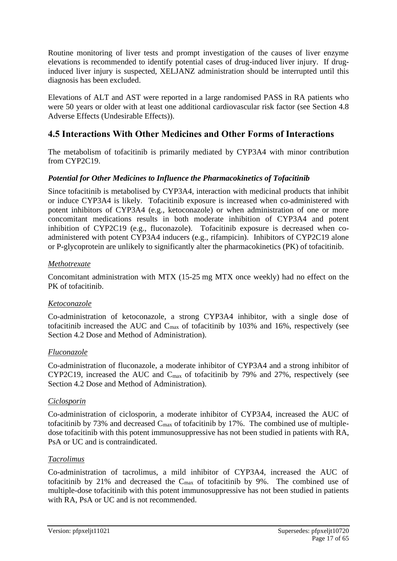Routine monitoring of liver tests and prompt investigation of the causes of liver enzyme elevations is recommended to identify potential cases of drug-induced liver injury. If druginduced liver injury is suspected, XELJANZ administration should be interrupted until this diagnosis has been excluded.

Elevations of ALT and AST were reported in a large randomised PASS in RA patients who were 50 years or older with at least one additional cardiovascular risk factor (see Section 4.8 Adverse Effects (Undesirable Effects)).

## **4.5 Interactions With Other Medicines and Other Forms of Interactions**

The metabolism of tofacitinib is primarily mediated by CYP3A4 with minor contribution from CYP2C19.

## *Potential for Other Medicines to Influence the Pharmacokinetics of Tofacitinib*

Since tofacitinib is metabolised by CYP3A4, interaction with medicinal products that inhibit or induce CYP3A4 is likely. Tofacitinib exposure is increased when co-administered with potent inhibitors of CYP3A4 (e.g., ketoconazole) or when administration of one or more concomitant medications results in both moderate inhibition of CYP3A4 and potent inhibition of CYP2C19 (e.g., fluconazole). Tofacitinib exposure is decreased when coadministered with potent CYP3A4 inducers (e.g., rifampicin). Inhibitors of CYP2C19 alone or P-glycoprotein are unlikely to significantly alter the pharmacokinetics (PK) of tofacitinib.

#### *Methotrexate*

Concomitant administration with MTX (15-25 mg MTX once weekly) had no effect on the PK of tofacitinib.

#### *Ketoconazole*

Co-administration of ketoconazole, a strong CYP3A4 inhibitor, with a single dose of tofacitinib increased the AUC and  $C_{\text{max}}$  of tofacitinib by 103% and 16%, respectively (see Section 4.2 Dose and Method of Administration).

## *Fluconazole*

Co-administration of fluconazole, a moderate inhibitor of CYP3A4 and a strong inhibitor of CYP2C19, increased the AUC and Cmax of tofacitinib by 79% and 27%, respectively (see Section 4.2 Dose and Method of Administration).

#### *Ciclosporin*

Co-administration of ciclosporin, a moderate inhibitor of CYP3A4, increased the AUC of tofacitinib by 73% and decreased  $C_{\text{max}}$  of tofacitinib by 17%. The combined use of multipledose tofacitinib with this potent immunosuppressive has not been studied in patients with RA, PsA or UC and is contraindicated.

## *Tacrolimus*

Co-administration of tacrolimus, a mild inhibitor of CYP3A4, increased the AUC of tofacitinib by 21% and decreased the  $C_{\text{max}}$  of tofacitinib by 9%. The combined use of multiple-dose tofacitinib with this potent immunosuppressive has not been studied in patients with RA, PsA or UC and is not recommended.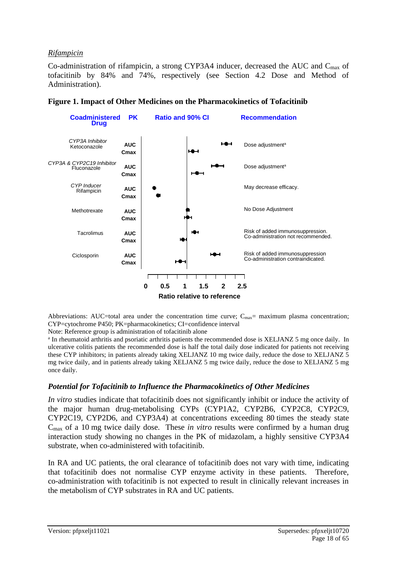#### *Rifampicin*

Co-administration of rifampicin, a strong CYP3A4 inducer, decreased the AUC and Cmax of tofacitinib by 84% and 74%, respectively (see Section 4.2 Dose and Method of Administration).



#### **Figure 1. Impact of Other Medicines on the Pharmacokinetics of Tofacitinib**

Abbreviations: AUC=total area under the concentration time curve;  $C_{\text{max}}$  = maximum plasma concentration; CYP=cytochrome P450; PK=pharmacokinetics; CI=confidence interval

Note: Reference group is administration of tofacitinib alone

<sup>a</sup> In rheumatoid arthritis and psoriatic arthritis patients the recommended dose is XELJANZ 5 mg once daily. In ulcerative colitis patients the recommended dose is half the total daily dose indicated for patients not receiving these CYP inhibitors; in patients already taking XELJANZ 10 mg twice daily, reduce the dose to XELJANZ 5 mg twice daily, and in patients already taking XELJANZ 5 mg twice daily, reduce the dose to XELJANZ 5 mg once daily.

#### *Potential for Tofacitinib to Influence the Pharmacokinetics of Other Medicines*

*In vitro* studies indicate that tofacitinib does not significantly inhibit or induce the activity of the major human drug-metabolising CYPs (CYP1A2, CYP2B6, CYP2C8, CYP2C9, CYP2C19, CYP2D6, and CYP3A4) at concentrations exceeding 80 times the steady state Cmax of a 10 mg twice daily dose. These *in vitro* results were confirmed by a human drug interaction study showing no changes in the PK of midazolam, a highly sensitive CYP3A4 substrate, when co-administered with tofacitinib.

In RA and UC patients, the oral clearance of tofacitinib does not vary with time, indicating that tofacitinib does not normalise CYP enzyme activity in these patients. Therefore, co-administration with tofacitinib is not expected to result in clinically relevant increases in the metabolism of CYP substrates in RA and UC patients.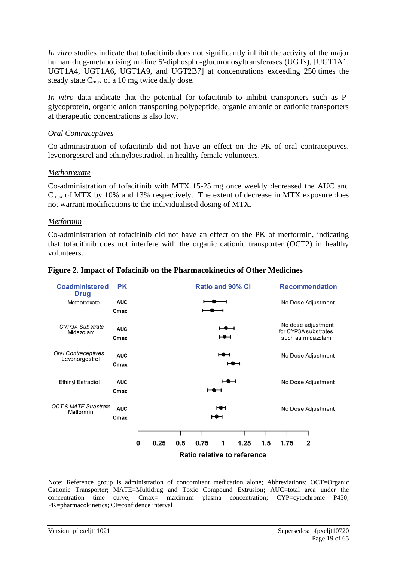*In vitro* studies indicate that tofacitinib does not significantly inhibit the activity of the major human drug-metabolising uridine 5'-diphospho-glucuronosyltransferases (UGTs), [UGT1A1, UGT1A4, UGT1A6, UGT1A9, and UGT2B7] at concentrations exceeding 250 times the steady state  $C_{\text{max}}$  of a 10 mg twice daily dose.

*In vitro* data indicate that the potential for tofacitinib to inhibit transporters such as Pglycoprotein, organic anion transporting polypeptide, organic anionic or cationic transporters at therapeutic concentrations is also low.

#### *Oral Contraceptives*

Co-administration of tofacitinib did not have an effect on the PK of oral contraceptives, levonorgestrel and ethinyloestradiol, in healthy female volunteers.

#### *Methotrexate*

Co-administration of tofacitinib with MTX 15-25 mg once weekly decreased the AUC and  $C_{\text{max}}$  of MTX by 10% and 13% respectively. The extent of decrease in MTX exposure does not warrant modifications to the individualised dosing of MTX.

#### *Metformin*

Co-administration of tofacitinib did not have an effect on the PK of metformin, indicating that tofacitinib does not interfere with the organic cationic transporter (OCT2) in healthy volunteers.



#### **Figure 2. Impact of Tofacinib on the Pharmacokinetics of Other Medicines**

Note: Reference group is administration of concomitant medication alone; Abbreviations: OCT=Organic Cationic Transporter; MATE=Multidrug and Toxic Compound Extrusion; AUC=total area under the concentration time curve; Cmax= maximum plasma concentration; CYP=cytochrome P450; PK=pharmacokinetics; CI=confidence interval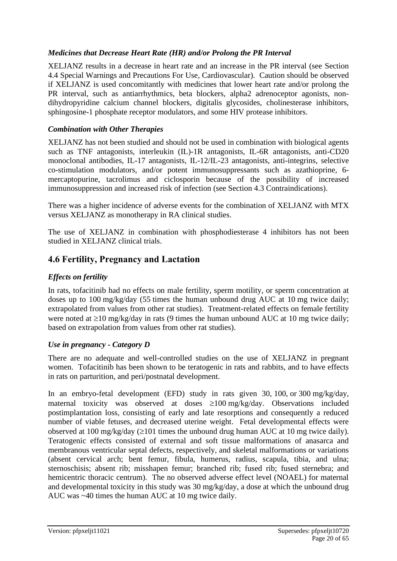## *Medicines that Decrease Heart Rate (HR) and/or Prolong the PR Interval*

XELJANZ results in a decrease in heart rate and an increase in the PR interval (see Section 4.4 Special Warnings and Precautions For Use, Cardiovascular). Caution should be observed if XELJANZ is used concomitantly with medicines that lower heart rate and/or prolong the PR interval, such as antiarrhythmics, beta blockers, alpha2 adrenoceptor agonists, nondihydropyridine calcium channel blockers, digitalis glycosides, cholinesterase inhibitors, sphingosine-1 phosphate receptor modulators, and some HIV protease inhibitors.

#### *Combination with Other Therapies*

XELJANZ has not been studied and should not be used in combination with biological agents such as TNF antagonists, interleukin (IL)-1R antagonists, IL-6R antagonists, anti-CD20 monoclonal antibodies, IL-17 antagonists, IL-12/IL-23 antagonists, anti-integrins, selective co-stimulation modulators, and/or potent immunosuppressants such as azathioprine, 6 mercaptopurine, tacrolimus and ciclosporin because of the possibility of increased immunosuppression and increased risk of infection (see Section 4.3 Contraindications).

There was a higher incidence of adverse events for the combination of XELJANZ with MTX versus XELJANZ as monotherapy in RA clinical studies.

The use of XELJANZ in combination with phosphodiesterase 4 inhibitors has not been studied in XELJANZ clinical trials.

## **4.6 Fertility, Pregnancy and Lactation**

### *Effects on fertility*

In rats, tofacitinib had no effects on male fertility, sperm motility, or sperm concentration at doses up to 100 mg/kg/day (55 times the human unbound drug AUC at 10 mg twice daily; extrapolated from values from other rat studies). Treatment-related effects on female fertility were noted at  $\geq 10$  mg/kg/day in rats (9 times the human unbound AUC at 10 mg twice daily; based on extrapolation from values from other rat studies).

#### *Use in pregnancy - Category D*

There are no adequate and well-controlled studies on the use of XELJANZ in pregnant women. Tofacitinib has been shown to be teratogenic in rats and rabbits, and to have effects in rats on parturition, and peri/postnatal development.

In an embryo-fetal development (EFD) study in rats given 30, 100, or 300 mg/kg/day, maternal toxicity was observed at doses  $\geq 100$  mg/kg/day. Observations included postimplantation loss, consisting of early and late resorptions and consequently a reduced number of viable fetuses, and decreased uterine weight. Fetal developmental effects were observed at 100 mg/kg/day ( $\geq$ 101 times the unbound drug human AUC at 10 mg twice daily). Teratogenic effects consisted of external and soft tissue malformations of anasarca and membranous ventricular septal defects, respectively, and skeletal malformations or variations (absent cervical arch; bent femur, fibula, humerus, radius, scapula, tibia, and ulna; sternoschisis; absent rib; misshapen femur; branched rib; fused rib; fused sternebra; and hemicentric thoracic centrum). The no observed adverse effect level (NOAEL) for maternal and developmental toxicity in this study was 30 mg/kg/day, a dose at which the unbound drug AUC was ~40 times the human AUC at 10 mg twice daily.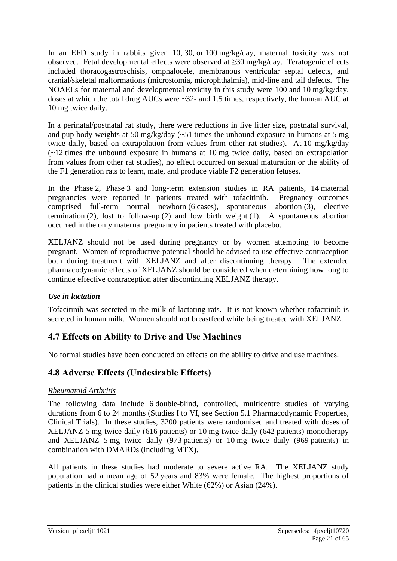In an EFD study in rabbits given 10, 30, or 100 mg/kg/day, maternal toxicity was not observed. Fetal developmental effects were observed at ≥30 mg/kg/day. Teratogenic effects included thoracogastroschisis, omphalocele, membranous ventricular septal defects, and cranial/skeletal malformations (microstomia, microphthalmia), mid-line and tail defects. The NOAELs for maternal and developmental toxicity in this study were 100 and 10 mg/kg/day, doses at which the total drug AUCs were ~32- and 1.5 times, respectively, the human AUC at 10 mg twice daily.

In a perinatal/postnatal rat study, there were reductions in live litter size, postnatal survival, and pup body weights at 50 mg/kg/day  $(-51)$  times the unbound exposure in humans at 5 mg twice daily, based on extrapolation from values from other rat studies). At 10 mg/kg/day (~12 times the unbound exposure in humans at 10 mg twice daily, based on extrapolation from values from other rat studies), no effect occurred on sexual maturation or the ability of the F1 generation rats to learn, mate, and produce viable F2 generation fetuses.

In the Phase 2, Phase 3 and long-term extension studies in RA patients, 14 maternal pregnancies were reported in patients treated with tofacitinib. Pregnancy outcomes comprised full-term normal newborn (6 cases), spontaneous abortion (3), elective termination (2), lost to follow-up (2) and low birth weight (1). A spontaneous abortion occurred in the only maternal pregnancy in patients treated with placebo.

XELJANZ should not be used during pregnancy or by women attempting to become pregnant. Women of reproductive potential should be advised to use effective contraception both during treatment with XELJANZ and after discontinuing therapy. The extended pharmacodynamic effects of XELJANZ should be considered when determining how long to continue effective contraception after discontinuing XELJANZ therapy.

## *Use in lactation*

Tofacitinib was secreted in the milk of lactating rats. It is not known whether tofacitinib is secreted in human milk. Women should not breastfeed while being treated with XELJANZ.

## **4.7 Effects on Ability to Drive and Use Machines**

No formal studies have been conducted on effects on the ability to drive and use machines.

## **4.8 Adverse Effects (Undesirable Effects)**

#### *Rheumatoid Arthritis*

The following data include 6 double-blind, controlled, multicentre studies of varying durations from 6 to 24 months (Studies I to VI, see Section 5.1 Pharmacodynamic Properties, Clinical Trials). In these studies, 3200 patients were randomised and treated with doses of XELJANZ 5 mg twice daily (616 patients) or 10 mg twice daily (642 patients) monotherapy and XELJANZ 5 mg twice daily (973 patients) or 10 mg twice daily (969 patients) in combination with DMARDs (including MTX).

All patients in these studies had moderate to severe active RA. The XELJANZ study population had a mean age of 52 years and 83% were female. The highest proportions of patients in the clinical studies were either White (62%) or Asian (24%).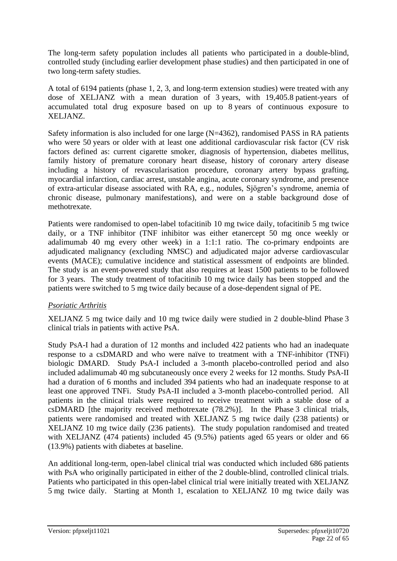The long-term safety population includes all patients who participated in a double-blind, controlled study (including earlier development phase studies) and then participated in one of two long-term safety studies.

A total of 6194 patients (phase 1, 2, 3, and long-term extension studies) were treated with any dose of XELJANZ with a mean duration of 3 years, with 19,405.8 patient-years of accumulated total drug exposure based on up to 8 years of continuous exposure to XELJANZ.

Safety information is also included for one large (N=4362), randomised PASS in RA patients who were 50 years or older with at least one additional cardiovascular risk factor (CV risk factors defined as: current cigarette smoker, diagnosis of hypertension, diabetes mellitus, family history of premature coronary heart disease, history of coronary artery disease including a history of revascularisation procedure, coronary artery bypass grafting, myocardial infarction, cardiac arrest, unstable angina, acute coronary syndrome, and presence of extra-articular disease associated with RA, e.g., nodules, Sjögren's syndrome, anemia of chronic disease, pulmonary manifestations), and were on a stable background dose of methotrexate.

Patients were randomised to open-label tofacitinib 10 mg twice daily, tofacitinib 5 mg twice daily, or a TNF inhibitor (TNF inhibitor was either etanercept 50 mg once weekly or adalimumab 40 mg every other week) in a 1:1:1 ratio. The co-primary endpoints are adjudicated malignancy (excluding NMSC) and adjudicated major adverse cardiovascular events (MACE); cumulative incidence and statistical assessment of endpoints are blinded. The study is an event-powered study that also requires at least 1500 patients to be followed for 3 years. The study treatment of tofacitinib 10 mg twice daily has been stopped and the patients were switched to 5 mg twice daily because of a dose-dependent signal of PE.

## *Psoriatic Arthritis*

XELJANZ 5 mg twice daily and 10 mg twice daily were studied in 2 double-blind Phase 3 clinical trials in patients with active PsA.

Study PsA-I had a duration of 12 months and included 422 patients who had an inadequate response to a csDMARD and who were naïve to treatment with a TNF-inhibitor (TNFi) biologic DMARD. Study PsA-I included a 3-month placebo-controlled period and also included adalimumab 40 mg subcutaneously once every 2 weeks for 12 months. Study PsA-II had a duration of 6 months and included 394 patients who had an inadequate response to at least one approved TNFi. Study PsA-II included a 3-month placebo-controlled period. All patients in the clinical trials were required to receive treatment with a stable dose of a csDMARD [the majority received methotrexate (78.2%)]. In the Phase 3 clinical trials, patients were randomised and treated with XELJANZ 5 mg twice daily (238 patients) or XELJANZ 10 mg twice daily (236 patients). The study population randomised and treated with XELJANZ (474 patients) included 45 (9.5%) patients aged 65 years or older and 66 (13.9%) patients with diabetes at baseline.

An additional long-term, open-label clinical trial was conducted which included 686 patients with PsA who originally participated in either of the 2 double-blind, controlled clinical trials. Patients who participated in this open-label clinical trial were initially treated with XELJANZ 5 mg twice daily. Starting at Month 1, escalation to XELJANZ 10 mg twice daily was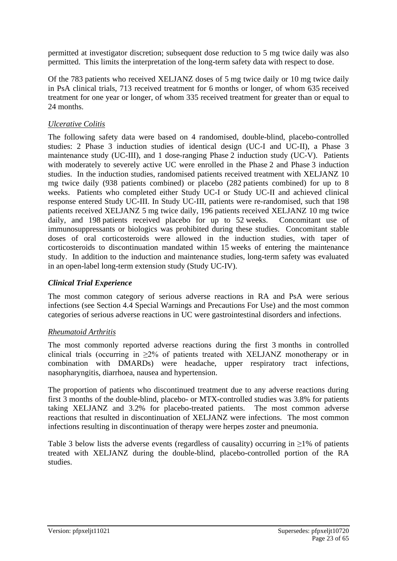permitted at investigator discretion; subsequent dose reduction to 5 mg twice daily was also permitted. This limits the interpretation of the long-term safety data with respect to dose.

Of the 783 patients who received XELJANZ doses of 5 mg twice daily or 10 mg twice daily in PsA clinical trials, 713 received treatment for 6 months or longer, of whom 635 received treatment for one year or longer, of whom 335 received treatment for greater than or equal to 24 months.

## *Ulcerative Colitis*

The following safety data were based on 4 randomised, double-blind, placebo-controlled studies: 2 Phase 3 induction studies of identical design (UC-I and UC-II), a Phase 3 maintenance study (UC-III), and 1 dose-ranging Phase 2 induction study (UC-V). Patients with moderately to severely active UC were enrolled in the Phase 2 and Phase 3 induction studies. In the induction studies, randomised patients received treatment with XELJANZ 10 mg twice daily (938 patients combined) or placebo (282 patients combined) for up to 8 weeks. Patients who completed either Study UC-I or Study UC-II and achieved clinical response entered Study UC-III. In Study UC-III, patients were re-randomised, such that 198 patients received XELJANZ 5 mg twice daily, 196 patients received XELJANZ 10 mg twice daily, and 198 patients received placebo for up to 52 weeks. Concomitant use of immunosuppressants or biologics was prohibited during these studies. Concomitant stable doses of oral corticosteroids were allowed in the induction studies, with taper of corticosteroids to discontinuation mandated within 15 weeks of entering the maintenance study. In addition to the induction and maintenance studies, long-term safety was evaluated in an open-label long-term extension study (Study UC-IV).

## *Clinical Trial Experience*

The most common category of serious adverse reactions in RA and PsA were serious infections (see Section 4.4 Special Warnings and Precautions For Use) and the most common categories of serious adverse reactions in UC were gastrointestinal disorders and infections.

## *Rheumatoid Arthritis*

The most commonly reported adverse reactions during the first 3 months in controlled clinical trials (occurring in ≥2% of patients treated with XELJANZ monotherapy or in combination with DMARDs) were headache, upper respiratory tract infections, nasopharyngitis, diarrhoea, nausea and hypertension.

The proportion of patients who discontinued treatment due to any adverse reactions during first 3 months of the double-blind, placebo- or MTX-controlled studies was 3.8% for patients taking XELJANZ and 3.2% for placebo-treated patients. The most common adverse reactions that resulted in discontinuation of XELJANZ were infections. The most common infections resulting in discontinuation of therapy were herpes zoster and pneumonia.

Table 3 below lists the adverse events (regardless of causality) occurring in  $\geq$ 1% of patients treated with XELJANZ during the double-blind, placebo-controlled portion of the RA studies.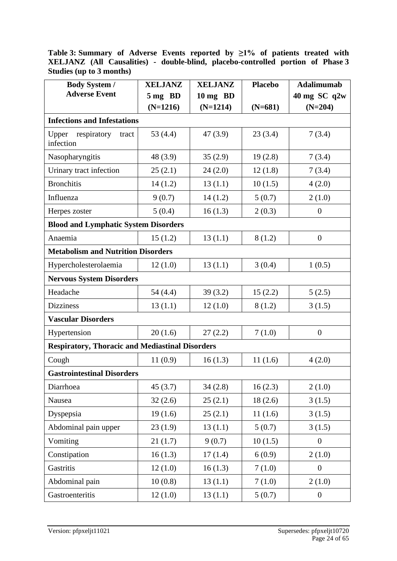**Table 3: Summary of Adverse Events reported by ≥1% of patients treated with XELJANZ (All Causalities) - double-blind, placebo-controlled portion of Phase 3 Studies (up to 3 months)**

| <b>Body System /</b>                                   | <b>XELJANZ</b> | <b>XELJANZ</b>     | <b>Placebo</b> | <b>Adalimumab</b> |  |  |  |  |  |
|--------------------------------------------------------|----------------|--------------------|----------------|-------------------|--|--|--|--|--|
| <b>Adverse Event</b>                                   | 5 mg BD        | $10 \text{ mg}$ BD |                | 40 mg SC q2w      |  |  |  |  |  |
|                                                        | $(N=1216)$     | $(N=1214)$         | $(N=681)$      | $(N=204)$         |  |  |  |  |  |
| <b>Infections and Infestations</b>                     |                |                    |                |                   |  |  |  |  |  |
| respiratory<br>Upper<br>tract<br>infection             | 53 $(4.4)$     | 47(3.9)            | 23(3.4)        | 7(3.4)            |  |  |  |  |  |
| Nasopharyngitis                                        | 48 (3.9)       | 35(2.9)            | 19(2.8)        | 7(3.4)            |  |  |  |  |  |
| Urinary tract infection                                | 25(2.1)        | 24(2.0)            | 12(1.8)        | 7(3.4)            |  |  |  |  |  |
| <b>Bronchitis</b>                                      | 14(1.2)        | 13(1.1)            | 10(1.5)        | 4(2.0)            |  |  |  |  |  |
| Influenza                                              | 9(0.7)         | 14(1.2)            | 5(0.7)         | 2(1.0)            |  |  |  |  |  |
| Herpes zoster                                          | 5(0.4)         | 16(1.3)            | 2(0.3)         | $\boldsymbol{0}$  |  |  |  |  |  |
| <b>Blood and Lymphatic System Disorders</b>            |                |                    |                |                   |  |  |  |  |  |
| Anaemia                                                | 15(1.2)        | 13(1.1)            | 8(1.2)         | $\overline{0}$    |  |  |  |  |  |
| <b>Metabolism and Nutrition Disorders</b>              |                |                    |                |                   |  |  |  |  |  |
| Hypercholesterolaemia                                  | 12(1.0)        | 13(1.1)            | 3(0.4)         | 1(0.5)            |  |  |  |  |  |
| <b>Nervous System Disorders</b>                        |                |                    |                |                   |  |  |  |  |  |
| Headache                                               | 54 (4.4)       | 39(3.2)            | 15(2.2)        | 5(2.5)            |  |  |  |  |  |
| <b>Dizziness</b>                                       | 13(1.1)        | 12(1.0)            | 8(1.2)         | 3(1.5)            |  |  |  |  |  |
| <b>Vascular Disorders</b>                              |                |                    |                |                   |  |  |  |  |  |
| Hypertension                                           | 20(1.6)        | 27(2.2)            | 7(1.0)         | $\overline{0}$    |  |  |  |  |  |
| <b>Respiratory, Thoracic and Mediastinal Disorders</b> |                |                    |                |                   |  |  |  |  |  |
| Cough                                                  | 11(0.9)        | 16(1.3)            | 11(1.6)        | 4(2.0)            |  |  |  |  |  |
| <b>Gastrointestinal Disorders</b>                      |                |                    |                |                   |  |  |  |  |  |
| Diarrhoea                                              | 45(3.7)        | 34(2.8)            | 16(2.3)        | 2(1.0)            |  |  |  |  |  |
| Nausea                                                 | 32(2.6)        | 25(2.1)            | 18(2.6)        | 3(1.5)            |  |  |  |  |  |
| Dyspepsia                                              | 19(1.6)        | 25(2.1)            | 11(1.6)        | 3(1.5)            |  |  |  |  |  |
| Abdominal pain upper                                   | 23(1.9)        | 13(1.1)            | 5(0.7)         | 3(1.5)            |  |  |  |  |  |
| Vomiting                                               | 21(1.7)        | 9(0.7)             | 10(1.5)        | $\boldsymbol{0}$  |  |  |  |  |  |
| Constipation                                           | 16(1.3)        | 17(1.4)            | 6(0.9)         | 2(1.0)            |  |  |  |  |  |
| Gastritis                                              | 12(1.0)        | 16(1.3)            | 7(1.0)         | $\boldsymbol{0}$  |  |  |  |  |  |
| Abdominal pain                                         | 10(0.8)        | 13(1.1)            | 7(1.0)         | 2(1.0)            |  |  |  |  |  |
| Gastroenteritis                                        | 12(1.0)        | 13(1.1)            | 5(0.7)         | $\boldsymbol{0}$  |  |  |  |  |  |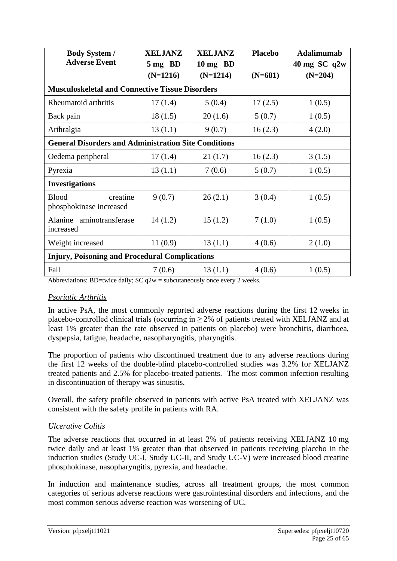| <b>Body System /</b>                                               | <b>XELJANZ</b><br><b>XELJANZ</b> |            | <b>Placebo</b> | <b>Adalimumab</b> |  |  |
|--------------------------------------------------------------------|----------------------------------|------------|----------------|-------------------|--|--|
| <b>Adverse Event</b>                                               | 5 mg BD                          | 10 mg BD   |                | $40$ mg SC q2w    |  |  |
|                                                                    | $(N=1216)$                       | $(N=1214)$ | $(N=204)$      |                   |  |  |
| <b>Musculoskeletal and Connective Tissue Disorders</b>             |                                  |            |                |                   |  |  |
| Rheumatoid arthritis                                               | 17(1.4)                          | 5(0.4)     | 17(2.5)        | 1(0.5)            |  |  |
| Back pain                                                          | 18(1.5)                          | 20(1.6)    | 5(0.7)         | 1(0.5)            |  |  |
| Arthralgia                                                         | 13(1.1)                          | 9(0.7)     | 16(2.3)        | 4(2.0)            |  |  |
| <b>General Disorders and Administration Site Conditions</b>        |                                  |            |                |                   |  |  |
| Oedema peripheral                                                  | 17(1.4)                          | 21(1.7)    | 16(2.3)        | 3(1.5)            |  |  |
| Pyrexia                                                            | 13(1.1)                          | 7(0.6)     | 5(0.7)         | 1(0.5)            |  |  |
| <b>Investigations</b>                                              |                                  |            |                |                   |  |  |
| <b>Blood</b><br>creatine<br>phosphokinase increased                | 9(0.7)                           | 26(2.1)    | 3(0.4)         | 1(0.5)            |  |  |
| Alanine aminotransferase<br>increased                              | 14(1.2)                          | 15(1.2)    | 7(1.0)         | 1(0.5)            |  |  |
| Weight increased                                                   | 11(0.9)                          | 13(1.1)    | 4(0.6)         | 2(1.0)            |  |  |
| <b>Injury, Poisoning and Procedural Complications</b>              |                                  |            |                |                   |  |  |
| Fall<br>$\sim$ $\sim$<br>$\sim$ $\sim$ $\sim$ $\sim$ $\sim$ $\sim$ | 7(0.6)                           | 13(1.1)    | 4(0.6)         | 1(0.5)            |  |  |

Abbreviations: BD=twice daily; SC  $q2w =$  subcutaneously once every 2 weeks.

#### *Psoriatic Arthritis*

In active PsA, the most commonly reported adverse reactions during the first 12 weeks in placebo-controlled clinical trials (occurring in  $\geq$  2% of patients treated with XELJANZ and at least 1% greater than the rate observed in patients on placebo) were bronchitis, diarrhoea, dyspepsia, fatigue, headache, nasopharyngitis, pharyngitis.

The proportion of patients who discontinued treatment due to any adverse reactions during the first 12 weeks of the double-blind placebo-controlled studies was 3.2% for XELJANZ treated patients and 2.5% for placebo-treated patients. The most common infection resulting in discontinuation of therapy was sinusitis.

Overall, the safety profile observed in patients with active PsA treated with XELJANZ was consistent with the safety profile in patients with RA.

## *Ulcerative Colitis*

The adverse reactions that occurred in at least 2% of patients receiving XELJANZ 10 mg twice daily and at least 1% greater than that observed in patients receiving placebo in the induction studies (Study UC-I, Study UC-II, and Study UC-V) were increased blood creatine phosphokinase, nasopharyngitis, pyrexia, and headache.

In induction and maintenance studies, across all treatment groups, the most common categories of serious adverse reactions were gastrointestinal disorders and infections, and the most common serious adverse reaction was worsening of UC.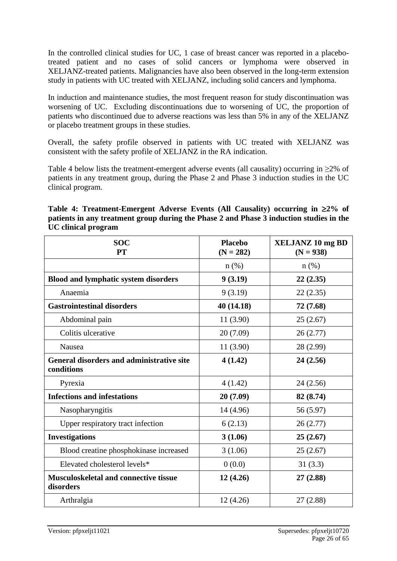In the controlled clinical studies for UC, 1 case of breast cancer was reported in a placebotreated patient and no cases of solid cancers or lymphoma were observed in XELJANZ-treated patients. Malignancies have also been observed in the long-term extension study in patients with UC treated with XELJANZ, including solid cancers and lymphoma.

In induction and maintenance studies, the most frequent reason for study discontinuation was worsening of UC. Excluding discontinuations due to worsening of UC, the proportion of patients who discontinued due to adverse reactions was less than 5% in any of the XELJANZ or placebo treatment groups in these studies.

Overall, the safety profile observed in patients with UC treated with XELJANZ was consistent with the safety profile of XELJANZ in the RA indication.

Table 4 below lists the treatment-emergent adverse events (all causality) occurring in  $\geq 2\%$  of patients in any treatment group, during the Phase 2 and Phase 3 induction studies in the UC clinical program.

| Table 4: Treatment-Emergent Adverse Events (All Causality) occurring in $\geq 2\%$ of   |
|-----------------------------------------------------------------------------------------|
| patients in any treatment group during the Phase 2 and Phase 3 induction studies in the |
| <b>UC</b> clinical program                                                              |

| <b>SOC</b><br><b>PT</b>                                        | <b>Placebo</b><br>$(N = 282)$ | <b>XELJANZ 10 mg BD</b><br>$(N = 938)$ |
|----------------------------------------------------------------|-------------------------------|----------------------------------------|
|                                                                | $n$ (%)                       | $n$ (%)                                |
| <b>Blood and lymphatic system disorders</b>                    | 9(3.19)                       | 22(2.35)                               |
| Anaemia                                                        | 9(3.19)                       | 22(2.35)                               |
| <b>Gastrointestinal disorders</b>                              | 40 (14.18)                    | 72 (7.68)                              |
| Abdominal pain                                                 | 11 (3.90)                     | 25(2.67)                               |
| Colitis ulcerative                                             | 20 (7.09)                     | 26(2.77)                               |
| Nausea                                                         | 11 (3.90)                     | 28 (2.99)                              |
| <b>General disorders and administrative site</b><br>conditions | 4(1.42)                       | 24(2.56)                               |
| Pyrexia                                                        | 4(1.42)                       | 24(2.56)                               |
| <b>Infections and infestations</b>                             | 20(7.09)                      | 82 (8.74)                              |
| Nasopharyngitis                                                | 14 (4.96)                     | 56 (5.97)                              |
| Upper respiratory tract infection                              | 6(2.13)                       | 26(2.77)                               |
| <b>Investigations</b>                                          | 3(1.06)                       | 25(2.67)                               |
| Blood creatine phosphokinase increased                         | 3(1.06)                       | 25(2.67)                               |
| Elevated cholesterol levels*                                   | 0(0.0)                        | 31(3.3)                                |
| Musculoskeletal and connective tissue<br>disorders             | 12(4.26)                      | 27(2.88)                               |
| Arthralgia                                                     | 12(4.26)                      | 27 (2.88)                              |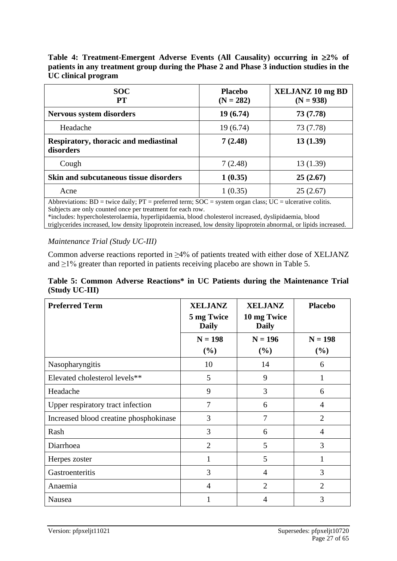**Table 4: Treatment-Emergent Adverse Events (All Causality) occurring in 2% of patients in any treatment group during the Phase 2 and Phase 3 induction studies in the UC clinical program**

| <b>Placebo</b><br>$(N = 282)$ | <b>XELJANZ 10 mg BD</b><br>$(N = 938)$                                                                                                                                 |
|-------------------------------|------------------------------------------------------------------------------------------------------------------------------------------------------------------------|
| 19(6.74)                      | 73(7.78)                                                                                                                                                               |
| 19(6.74)                      | 73 (7.78)                                                                                                                                                              |
| 7(2.48)                       | 13(1.39)                                                                                                                                                               |
| 7(2.48)                       | 13(1.39)                                                                                                                                                               |
| 1(0.35)                       | 25(2.67)                                                                                                                                                               |
| 1(0.35)                       | 25(2.67)                                                                                                                                                               |
|                               | $\Lambda$ h h provisions: $\overline{BD}$ = twice doily: $\overline{DT}$ = proferred term: $\overline{SOC}$ = system ergan close: $\overline{HC}$ = ulcerative colitic |

Abbreviations:  $BD =$  twice daily;  $PT =$  preferred term;  $SOC =$  system organ class;  $UC =$  ulcerative colitis. Subjects are only counted once per treatment for each row.

\*includes: hypercholesterolaemia, hyperlipidaemia, blood cholesterol increased, dyslipidaemia, blood triglycerides increased, low density lipoprotein increased, low density lipoprotein abnormal, or lipids increased.

#### *Maintenance Trial (Study UC-III)*

Common adverse reactions reported in ≥4% of patients treated with either dose of XELJANZ and  $\geq$ 1% greater than reported in patients receiving placebo are shown in Table 5.

#### **Table 5: Common Adverse Reactions\* in UC Patients during the Maintenance Trial (Study UC-III)**

| <b>Preferred Term</b>                  | <b>XELJANZ</b><br><b>XELJANZ</b> |                             | <b>Placebo</b> |  |
|----------------------------------------|----------------------------------|-----------------------------|----------------|--|
|                                        | 5 mg Twice<br><b>Daily</b>       | 10 mg Twice<br><b>Daily</b> |                |  |
|                                        | $N = 198$                        | $N = 196$                   | $N = 198$      |  |
|                                        | (%)                              | (%)                         | (%)            |  |
| Nasopharyngitis                        | 10                               | 14                          | 6              |  |
| Elevated cholesterol levels**          | 5                                | 9                           | 1              |  |
| Headache                               | 9                                | 3                           | 6              |  |
| Upper respiratory tract infection      | 7                                | 6                           | $\overline{4}$ |  |
| Increased blood creatine phosphokinase | 3                                | $\overline{7}$              | $\overline{2}$ |  |
| Rash                                   | 3                                | 6                           | 4              |  |
| Diarrhoea                              | $\overline{2}$                   | 5                           | 3              |  |
| Herpes zoster                          | 1                                | 5                           | 1              |  |
| Gastroenteritis                        | 3                                | $\overline{4}$              | 3              |  |
| Anaemia                                | 4                                | $\overline{2}$              | $\overline{2}$ |  |
| Nausea                                 |                                  | 4                           | 3              |  |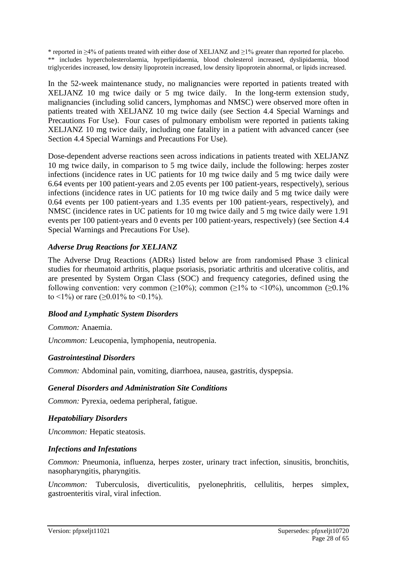\* reported in ≥4% of patients treated with either dose of XELJANZ and ≥1% greater than reported for placebo. \*\* includes hypercholesterolaemia, hyperlipidaemia, blood cholesterol increased, dyslipidaemia, blood triglycerides increased, low density lipoprotein increased, low density lipoprotein abnormal, or lipids increased.

In the 52-week maintenance study, no malignancies were reported in patients treated with XELJANZ 10 mg twice daily or 5 mg twice daily. In the long-term extension study, malignancies (including solid cancers, lymphomas and NMSC) were observed more often in patients treated with XELJANZ 10 mg twice daily (see Section 4.4 Special Warnings and Precautions For Use). Four cases of pulmonary embolism were reported in patients taking XELJANZ 10 mg twice daily, including one fatality in a patient with advanced cancer (see Section 4.4 Special Warnings and Precautions For Use).

Dose-dependent adverse reactions seen across indications in patients treated with XELJANZ 10 mg twice daily, in comparison to 5 mg twice daily, include the following: herpes zoster infections (incidence rates in UC patients for 10 mg twice daily and 5 mg twice daily were 6.64 events per 100 patient-years and 2.05 events per 100 patient-years, respectively), serious infections (incidence rates in UC patients for 10 mg twice daily and 5 mg twice daily were 0.64 events per 100 patient-years and 1.35 events per 100 patient-years, respectively), and NMSC (incidence rates in UC patients for 10 mg twice daily and 5 mg twice daily were 1.91 events per 100 patient-years and 0 events per 100 patient-years, respectively) (see Section 4.4 Special Warnings and Precautions For Use).

## *Adverse Drug Reactions for XELJANZ*

The Adverse Drug Reactions (ADRs) listed below are from randomised Phase 3 clinical studies for rheumatoid arthritis, plaque psoriasis, psoriatic arthritis and ulcerative colitis, and are presented by System Organ Class (SOC) and frequency categories, defined using the following convention: very common ( $\geq 10\%$ ); common ( $\geq 1\%$  to <10%), uncommon ( $\geq 0.1\%$ to <1%) or rare ( $\geq$ 0.01% to <0.1%).

## *Blood and Lymphatic System Disorders*

*Common:* Anaemia.

*Uncommon:* Leucopenia, lymphopenia, neutropenia.

## *Gastrointestinal Disorders*

*Common:* Abdominal pain, vomiting, diarrhoea, nausea, gastritis, dyspepsia.

## *General Disorders and Administration Site Conditions*

*Common:* Pyrexia, oedema peripheral, fatigue.

## *Hepatobiliary Disorders*

*Uncommon:* Hepatic steatosis.

## *Infections and Infestations*

*Common:* Pneumonia, influenza, herpes zoster, urinary tract infection, sinusitis, bronchitis, nasopharyngitis, pharyngitis.

*Uncommon:* Tuberculosis, diverticulitis, pyelonephritis, cellulitis, herpes simplex, gastroenteritis viral, viral infection.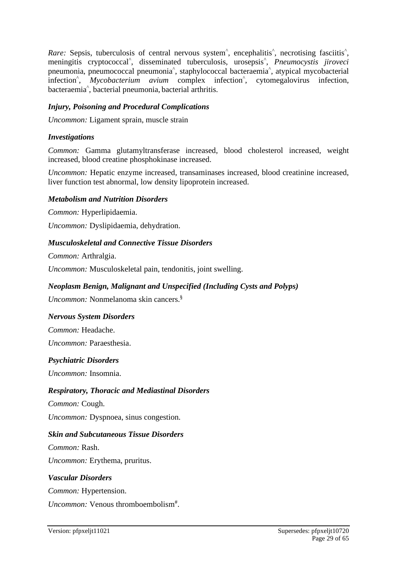Rare: Sepsis, tuberculosis of central nervous system<sup>^</sup>, encephalitis<sup>^</sup>, necrotising fasciitis<sup>^</sup>, meningitis cryptococcal^ , disseminated tuberculosis, urosepsis^ , *Pneumocystis jiroveci* pneumonia, pneumococcal pneumonia^ , staphylococcal bacteraemia^ , atypical mycobacterial infection<sup>^</sup>, *Mycobacterium avium* complex infection<sup>^</sup>, cytomegalovirus infection, bacteraemia^ , bacterial pneumonia, bacterial arthritis.

### *Injury, Poisoning and Procedural Complications*

*Uncommon:* Ligament sprain, muscle strain

#### *Investigations*

*Common:* Gamma glutamyltransferase increased, blood cholesterol increased, weight increased, blood creatine phosphokinase increased.

*Uncommon:* Hepatic enzyme increased, transaminases increased, blood creatinine increased, liver function test abnormal, low density lipoprotein increased.

#### *Metabolism and Nutrition Disorders*

*Common:* Hyperlipidaemia.

*Uncommon:* Dyslipidaemia, dehydration.

#### *Musculoskeletal and Connective Tissue Disorders*

*Common:* Arthralgia.

*Uncommon:* Musculoskeletal pain, tendonitis, joint swelling.

#### *Neoplasm Benign, Malignant and Unspecified (Including Cysts and Polyps)*

*Uncommon:* Nonmelanoma skin cancers.§

#### *Nervous System Disorders*

*Common:* Headache.

*Uncommon:* Paraesthesia.

#### *Psychiatric Disorders*

*Uncommon:* Insomnia.

#### *Respiratory, Thoracic and Mediastinal Disorders*

*Common:* Cough.

*Uncommon:* Dyspnoea, sinus congestion.

#### *Skin and Subcutaneous Tissue Disorders*

*Common:* Rash. *Uncommon:* Erythema, pruritus.

#### *Vascular Disorders*

*Common:* Hypertension.

Uncommon: Venous thromboembolism<sup>#</sup>.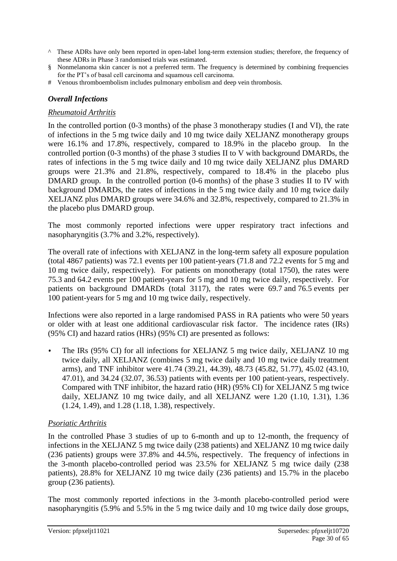- ^ These ADRs have only been reported in open-label long-term extension studies; therefore, the frequency of these ADRs in Phase 3 randomised trials was estimated.
- § Nonmelanoma skin cancer is not a preferred term. The frequency is determined by combining frequencies for the PT's of basal cell carcinoma and squamous cell carcinoma.
- # Venous thromboembolism includes pulmonary embolism and deep vein thrombosis.

### *Overall Infections*

#### *Rheumatoid Arthritis*

In the controlled portion (0-3 months) of the phase 3 monotherapy studies (I and VI), the rate of infections in the 5 mg twice daily and 10 mg twice daily XELJANZ monotherapy groups were 16.1% and 17.8%, respectively, compared to 18.9% in the placebo group. In the controlled portion (0-3 months) of the phase 3 studies II to V with background DMARDs, the rates of infections in the 5 mg twice daily and 10 mg twice daily XELJANZ plus DMARD groups were 21.3% and 21.8%, respectively, compared to 18.4% in the placebo plus DMARD group. In the controlled portion (0-6 months) of the phase 3 studies II to IV with background DMARDs, the rates of infections in the 5 mg twice daily and 10 mg twice daily XELJANZ plus DMARD groups were 34.6% and 32.8%, respectively, compared to 21.3% in the placebo plus DMARD group.

The most commonly reported infections were upper respiratory tract infections and nasopharyngitis (3.7% and 3.2%, respectively).

The overall rate of infections with XELJANZ in the long-term safety all exposure population (total 4867 patients) was 72.1 events per 100 patient-years (71.8 and 72.2 events for 5 mg and 10 mg twice daily, respectively). For patients on monotherapy (total 1750), the rates were 75.3 and 64.2 events per 100 patient-years for 5 mg and 10 mg twice daily, respectively. For patients on background DMARDs (total 3117), the rates were 69.7 and 76.5 events per 100 patient-years for 5 mg and 10 mg twice daily, respectively.

Infections were also reported in a large randomised PASS in RA patients who were 50 years or older with at least one additional cardiovascular risk factor. The incidence rates (IRs) (95% CI) and hazard ratios (HRs) (95% CI) are presented as follows:

• The IRs (95% CI) for all infections for XELJANZ 5 mg twice daily, XELJANZ 10 mg twice daily, all XELJANZ (combines 5 mg twice daily and 10 mg twice daily treatment arms), and TNF inhibitor were 41.74 (39.21, 44.39), 48.73 (45.82, 51.77), 45.02 (43.10, 47.01), and 34.24 (32.07, 36.53) patients with events per 100 patient-years, respectively. Compared with TNF inhibitor, the hazard ratio (HR) (95% CI) for XELJANZ 5 mg twice daily, XELJANZ 10 mg twice daily, and all XELJANZ were 1.20 (1.10, 1.31), 1.36 (1.24, 1.49), and 1.28 (1.18, 1.38), respectively.

## *Psoriatic Arthritis*

In the controlled Phase 3 studies of up to 6-month and up to 12-month, the frequency of infections in the XELJANZ 5 mg twice daily (238 patients) and XELJANZ 10 mg twice daily (236 patients) groups were 37.8% and 44.5%, respectively. The frequency of infections in the 3-month placebo-controlled period was 23.5% for XELJANZ 5 mg twice daily (238 patients), 28.8% for XELJANZ 10 mg twice daily (236 patients) and 15.7% in the placebo group (236 patients).

The most commonly reported infections in the 3-month placebo-controlled period were nasopharyngitis (5.9% and 5.5% in the 5 mg twice daily and 10 mg twice daily dose groups,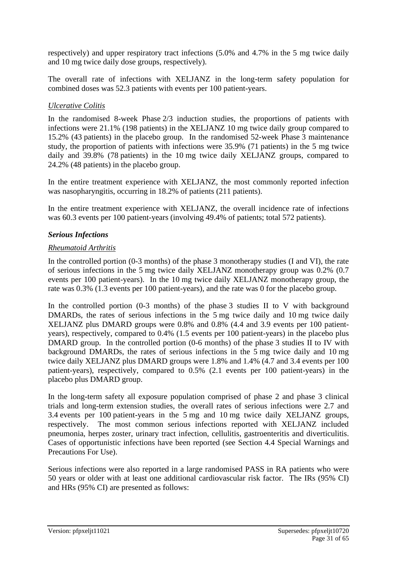respectively) and upper respiratory tract infections (5.0% and 4.7% in the 5 mg twice daily and 10 mg twice daily dose groups, respectively).

The overall rate of infections with XELJANZ in the long-term safety population for combined doses was 52.3 patients with events per 100 patient-years.

### *Ulcerative Colitis*

In the randomised 8-week Phase 2/3 induction studies, the proportions of patients with infections were 21.1% (198 patients) in the XELJANZ 10 mg twice daily group compared to 15.2% (43 patients) in the placebo group. In the randomised 52-week Phase 3 maintenance study, the proportion of patients with infections were 35.9% (71 patients) in the 5 mg twice daily and 39.8% (78 patients) in the 10 mg twice daily XELJANZ groups, compared to 24.2% (48 patients) in the placebo group.

In the entire treatment experience with XELJANZ, the most commonly reported infection was nasopharyngitis, occurring in 18.2% of patients (211 patients).

In the entire treatment experience with XELJANZ, the overall incidence rate of infections was 60.3 events per 100 patient-years (involving 49.4% of patients; total 572 patients).

#### *Serious Infections*

#### *Rheumatoid Arthritis*

In the controlled portion (0-3 months) of the phase 3 monotherapy studies (I and VI), the rate of serious infections in the 5 mg twice daily XELJANZ monotherapy group was 0.2% (0.7 events per 100 patient-years). In the 10 mg twice daily XELJANZ monotherapy group, the rate was 0.3% (1.3 events per 100 patient-years), and the rate was 0 for the placebo group.

In the controlled portion  $(0-3 \text{ months})$  of the phase 3 studies II to V with background DMARDs, the rates of serious infections in the 5 mg twice daily and 10 mg twice daily XELJANZ plus DMARD groups were 0.8% and 0.8% (4.4 and 3.9 events per 100 patientyears), respectively, compared to 0.4% (1.5 events per 100 patient-years) in the placebo plus DMARD group. In the controlled portion (0-6 months) of the phase 3 studies II to IV with background DMARDs, the rates of serious infections in the 5 mg twice daily and 10 mg twice daily XELJANZ plus DMARD groups were 1.8% and 1.4% (4.7 and 3.4 events per 100 patient-years), respectively, compared to 0.5% (2.1 events per 100 patient-years) in the placebo plus DMARD group.

In the long-term safety all exposure population comprised of phase 2 and phase 3 clinical trials and long-term extension studies, the overall rates of serious infections were 2.7 and 3.4 events per 100 patient-years in the 5 mg and 10 mg twice daily XELJANZ groups, respectively. The most common serious infections reported with XELJANZ included pneumonia, herpes zoster, urinary tract infection, cellulitis, gastroenteritis and diverticulitis. Cases of opportunistic infections have been reported (see Section 4.4 Special Warnings and Precautions For Use).

Serious infections were also reported in a large randomised PASS in RA patients who were 50 years or older with at least one additional cardiovascular risk factor. The IRs (95% CI) and HRs (95% CI) are presented as follows: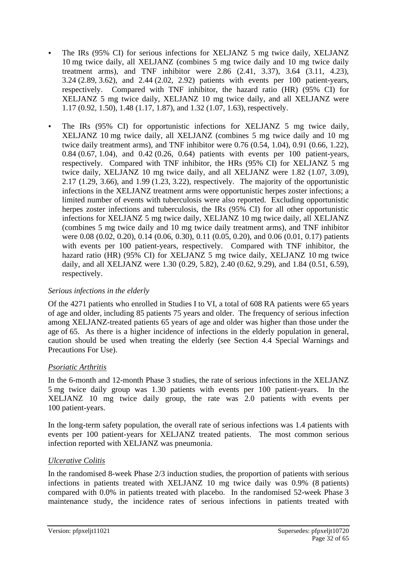- The IRs (95% CI) for serious infections for XELJANZ 5 mg twice daily, XELJANZ 10 mg twice daily, all XELJANZ (combines 5 mg twice daily and 10 mg twice daily treatment arms), and TNF inhibitor were  $2.86$   $(2.41, 3.37)$ ,  $3.64$   $(3.11, 4.23)$ , 3.24 (2.89, 3.62), and 2.44 (2.02, 2.92) patients with events per 100 patient-years, respectively. Compared with TNF inhibitor, the hazard ratio (HR) (95% CI) for XELJANZ 5 mg twice daily, XELJANZ 10 mg twice daily, and all XELJANZ were 1.17 (0.92, 1.50), 1.48 (1.17, 1.87), and 1.32 (1.07, 1.63), respectively.
- The IRs (95% CI) for opportunistic infections for XELJANZ 5 mg twice daily, XELJANZ 10 mg twice daily, all XELJANZ (combines 5 mg twice daily and 10 mg twice daily treatment arms), and TNF inhibitor were 0.76 (0.54, 1.04), 0.91 (0.66, 1.22), 0.84 (0.67, 1.04), and 0.42 (0.26, 0.64) patients with events per 100 patient-years, respectively. Compared with TNF inhibitor, the HRs (95% CI) for XELJANZ 5 mg twice daily, XELJANZ 10 mg twice daily, and all XELJANZ were 1.82 (1.07, 3.09), 2.17 (1.29, 3.66), and 1.99 (1.23, 3.22), respectively. The majority of the opportunistic infections in the XELJANZ treatment arms were opportunistic herpes zoster infections; a limited number of events with tuberculosis were also reported. Excluding opportunistic herpes zoster infections and tuberculosis, the IRs (95% CI) for all other opportunistic infections for XELJANZ 5 mg twice daily, XELJANZ 10 mg twice daily, all XELJANZ (combines 5 mg twice daily and 10 mg twice daily treatment arms), and TNF inhibitor were 0.08 (0.02, 0.20), 0.14 (0.06, 0.30), 0.11 (0.05, 0.20), and 0.06 (0.01, 0.17) patients with events per 100 patient-years, respectively. Compared with TNF inhibitor, the hazard ratio (HR) (95% CI) for XELJANZ 5 mg twice daily, XELJANZ 10 mg twice daily, and all XELJANZ were 1.30 (0.29, 5.82), 2.40 (0.62, 9.29), and 1.84 (0.51, 6.59), respectively.

#### *Serious infections in the elderly*

Of the 4271 patients who enrolled in Studies I to VI, a total of 608 RA patients were 65 years of age and older, including 85 patients 75 years and older. The frequency of serious infection among XELJANZ-treated patients 65 years of age and older was higher than those under the age of 65. As there is a higher incidence of infections in the elderly population in general, caution should be used when treating the elderly (see Section 4.4 Special Warnings and Precautions For Use).

## *Psoriatic Arthritis*

In the 6-month and 12-month Phase 3 studies, the rate of serious infections in the XELJANZ 5 mg twice daily group was 1.30 patients with events per 100 patient-years. In the XELJANZ 10 mg twice daily group, the rate was 2.0 patients with events per 100 patient-years.

In the long-term safety population, the overall rate of serious infections was 1.4 patients with events per 100 patient-years for XELJANZ treated patients. The most common serious infection reported with XELJANZ was pneumonia.

## *Ulcerative Colitis*

In the randomised 8-week Phase 2/3 induction studies, the proportion of patients with serious infections in patients treated with XELJANZ 10 mg twice daily was 0.9% (8 patients) compared with 0.0% in patients treated with placebo. In the randomised 52-week Phase 3 maintenance study, the incidence rates of serious infections in patients treated with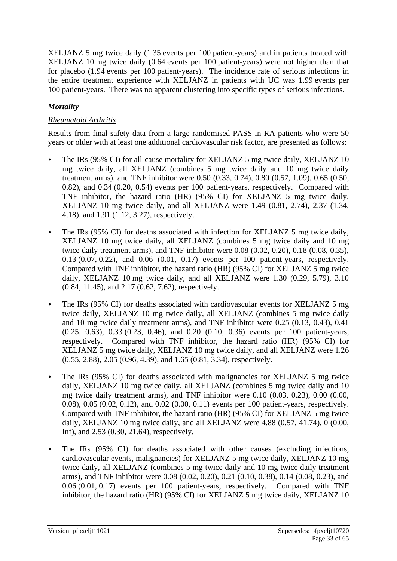XELJANZ 5 mg twice daily (1.35 events per 100 patient-years) and in patients treated with XELJANZ 10 mg twice daily (0.64 events per 100 patient-years) were not higher than that for placebo (1.94 events per 100 patient-years). The incidence rate of serious infections in the entire treatment experience with XELJANZ in patients with UC was 1.99 events per 100 patient-years. There was no apparent clustering into specific types of serious infections.

## *Mortality*

## *Rheumatoid Arthritis*

Results from final safety data from a large randomised PASS in RA patients who were 50 years or older with at least one additional cardiovascular risk factor, are presented as follows:

- The IRs (95% CI) for all-cause mortality for XELJANZ 5 mg twice daily, XELJANZ 10 mg twice daily, all XELJANZ (combines 5 mg twice daily and 10 mg twice daily treatment arms), and TNF inhibitor were 0.50 (0.33, 0.74), 0.80 (0.57, 1.09), 0.65 (0.50, 0.82), and 0.34 (0.20, 0.54) events per 100 patient-years, respectively. Compared with TNF inhibitor, the hazard ratio (HR) (95% CI) for XELJANZ 5 mg twice daily, XELJANZ 10 mg twice daily, and all XELJANZ were 1.49 (0.81, 2.74), 2.37 (1.34, 4.18), and 1.91 (1.12, 3.27), respectively.
- The IRs (95% CI) for deaths associated with infection for XELJANZ 5 mg twice daily, XELJANZ 10 mg twice daily, all XELJANZ (combines 5 mg twice daily and 10 mg twice daily treatment arms), and TNF inhibitor were 0.08 (0.02, 0.20), 0.18 (0.08, 0.35), 0.13 (0.07, 0.22), and 0.06 (0.01, 0.17) events per 100 patient-years, respectively. Compared with TNF inhibitor, the hazard ratio (HR) (95% CI) for XELJANZ 5 mg twice daily, XELJANZ 10 mg twice daily, and all XELJANZ were 1.30 (0.29, 5.79), 3.10 (0.84, 11.45), and 2.17 (0.62, 7.62), respectively.
- The IRs (95% CI) for deaths associated with cardiovascular events for XELJANZ 5 mg twice daily, XELJANZ 10 mg twice daily, all XELJANZ (combines 5 mg twice daily and 10 mg twice daily treatment arms), and TNF inhibitor were 0.25 (0.13, 0.43), 0.41 (0.25, 0.63), 0.33 (0.23, 0.46), and 0.20 (0.10, 0.36) events per 100 patient-years, respectively. Compared with TNF inhibitor, the hazard ratio (HR) (95% CI) for XELJANZ 5 mg twice daily, XELJANZ 10 mg twice daily, and all XELJANZ were 1.26 (0.55, 2.88), 2.05 (0.96, 4.39), and 1.65 (0.81, 3.34), respectively.
- The IRs (95% CI) for deaths associated with malignancies for XELJANZ 5 mg twice daily, XELJANZ 10 mg twice daily, all XELJANZ (combines 5 mg twice daily and 10 mg twice daily treatment arms), and TNF inhibitor were 0.10 (0.03, 0.23), 0.00 (0.00, 0.08), 0.05 (0.02, 0.12), and 0.02 (0.00, 0.11) events per 100 patient-years, respectively. Compared with TNF inhibitor, the hazard ratio (HR) (95% CI) for XELJANZ 5 mg twice daily, XELJANZ 10 mg twice daily, and all XELJANZ were 4.88 (0.57, 41.74), 0 (0.00, Inf), and 2.53 (0.30, 21.64), respectively.
- The IRs (95% CI) for deaths associated with other causes (excluding infections, cardiovascular events, malignancies) for XELJANZ 5 mg twice daily, XELJANZ 10 mg twice daily, all XELJANZ (combines 5 mg twice daily and 10 mg twice daily treatment arms), and TNF inhibitor were 0.08 (0.02, 0.20), 0.21 (0.10, 0.38), 0.14 (0.08, 0.23), and 0.06 (0.01, 0.17) events per 100 patient-years, respectively. Compared with TNF inhibitor, the hazard ratio (HR) (95% CI) for XELJANZ 5 mg twice daily, XELJANZ 10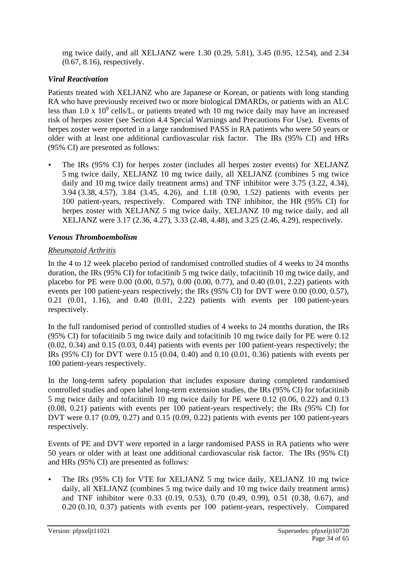mg twice daily, and all XELJANZ were 1.30 (0.29, 5.81), 3.45 (0.95, 12.54), and 2.34 (0.67, 8.16), respectively.

## *Viral Reactivation*

Patients treated with XELJANZ who are Japanese or Korean, or patients with long standing RA who have previously received two or more biological DMARDs, or patients with an ALC less than  $1.0 \times 10^9$  cells/L, or patients treated wth 10 mg twice daily may have an increased risk of herpes zoster (see Section 4.4 Special Warnings and Precautions For Use). Events of herpes zoster were reported in a large randomised PASS in RA patients who were 50 years or older with at least one additional cardiovascular risk factor. The IRs (95% CI) and HRs (95% CI) are presented as follows:

• The IRs (95% CI) for herpes zoster (includes all herpes zoster events) for XELJANZ 5 mg twice daily, XELJANZ 10 mg twice daily, all XELJANZ (combines 5 mg twice daily and 10 mg twice daily treatment arms) and TNF inhibitor were 3.75 (3.22, 4.34), 3.94 (3.38, 4.57), 3.84 (3.45, 4.26), and 1.18 (0.90, 1.52) patients with events per 100  patient-years, respectively. Compared with TNF inhibitor, the HR (95% CI) for herpes zoster with XELJANZ 5 mg twice daily, XELJANZ 10 mg twice daily, and all XELJANZ were 3.17 (2.36, 4.27), 3.33 (2.48, 4.48), and 3.25 (2.46, 4.29), respectively.

## *Venous Thromboembolism*

## *Rheumatoid Arthritis*

In the 4 to 12 week placebo period of randomised controlled studies of 4 weeks to 24 months duration, the IRs (95% CI) for tofacitinib 5 mg twice daily, tofacitinib 10 mg twice daily, and placebo for PE were 0.00 (0.00, 0.57), 0.00 (0.00, 0.77), and 0.40 (0.01, 2.22) patients with events per 100 patient-years respectively; the IRs (95% CI) for DVT were 0.00 (0.00, 0.57), 0.21 (0.01, 1.16), and 0.40 (0.01, 2.22) patients with events per 100 patient-years respectively.

In the full randomised period of controlled studies of 4 weeks to 24 months duration, the IRs (95% CI) for tofacitinib 5 mg twice daily and tofacitinib 10 mg twice daily for PE were 0.12  $(0.02, 0.34)$  and  $(0.15, (0.03, 0.44)$  patients with events per 100 patient-years respectively; the IRs (95% CI) for DVT were 0.15 (0.04, 0.40) and 0.10 (0.01, 0.36) patients with events per 100 patient-years respectively.

In the long-term safety population that includes exposure during completed randomised controlled studies and open label long-term extension studies, the IRs (95% CI) for tofacitinib 5 mg twice daily and tofacitinib 10 mg twice daily for PE were 0.12 (0.06, 0.22) and 0.13 (0.08, 0.21) patients with events per 100 patient-years respectively; the IRs (95% CI) for DVT were 0.17 (0.09, 0.27) and 0.15 (0.09, 0.22) patients with events per 100 patient-years respectively.

Events of PE and DVT were reported in a large randomised PASS in RA patients who were 50 years or older with at least one additional cardiovascular risk factor. The IRs (95% CI) and HRs (95% CI) are presented as follows:

• The IRs (95% CI) for VTE for XELJANZ 5 mg twice daily, XELJANZ 10 mg twice daily, all XELJANZ (combines 5 mg twice daily and 10 mg twice daily treatment arms) and TNF inhibitor were 0.33 (0.19, 0.53), 0.70 (0.49, 0.99), 0.51 (0.38, 0.67), and 0.20 (0.10, 0.37) patients with events per 100  patient-years, respectively. Compared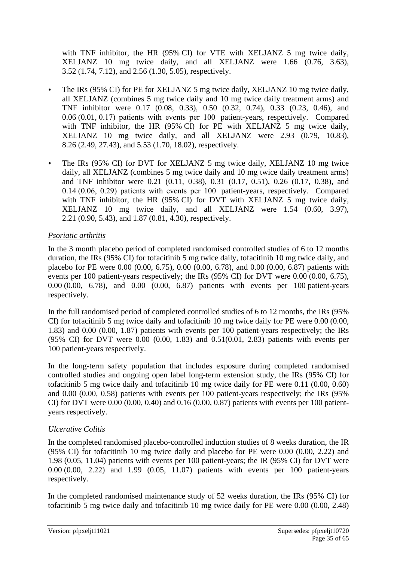with TNF inhibitor, the HR (95% CI) for VTE with XELJANZ 5 mg twice daily, XELJANZ 10 mg twice daily, and all XELJANZ were 1.66 (0.76, 3.63), 3.52 (1.74, 7.12), and 2.56 (1.30, 5.05), respectively.

- The IRs (95% CI) for PE for XELJANZ 5 mg twice daily, XELJANZ 10 mg twice daily, all XELJANZ (combines 5 mg twice daily and 10 mg twice daily treatment arms) and TNF inhibitor were 0.17 (0.08, 0.33), 0.50 (0.32, 0.74), 0.33 (0.23, 0.46), and 0.06 (0.01, 0.17) patients with events per 100  patient-years, respectively. Compared with TNF inhibitor, the HR (95% CI) for PE with XELJANZ 5 mg twice daily, XELJANZ 10 mg twice daily, and all XELJANZ were 2.93 (0.79, 10.83), 8.26 (2.49, 27.43), and 5.53 (1.70, 18.02), respectively.
- The IRs (95% CI) for DVT for XELJANZ 5 mg twice daily, XELJANZ 10 mg twice daily, all XELJANZ (combines 5 mg twice daily and 10 mg twice daily treatment arms) and TNF inhibitor were 0.21 (0.11, 0.38), 0.31 (0.17, 0.51), 0.26 (0.17, 0.38), and 0.14 (0.06, 0.29) patients with events per 100  patient-years, respectively. Compared with TNF inhibitor, the HR (95% CI) for DVT with XELJANZ 5 mg twice daily, XELJANZ 10 mg twice daily, and all XELJANZ were 1.54 (0.60, 3.97), 2.21 (0.90, 5.43), and 1.87 (0.81, 4.30), respectively.

## *Psoriatic arthritis*

In the 3 month placebo period of completed randomised controlled studies of 6 to 12 months duration, the IRs (95% CI) for tofacitinib 5 mg twice daily, tofacitinib 10 mg twice daily, and placebo for PE were 0.00 (0.00, 6.75), 0.00 (0.00, 6.78), and 0.00 (0.00, 6.87) patients with events per 100 patient-years respectively; the IRs (95% CI) for DVT were 0.00 (0.00, 6.75). 0.00 (0.00, 6.78), and 0.00 (0.00, 6.87) patients with events per 100 patient-years respectively.

In the full randomised period of completed controlled studies of 6 to 12 months, the IRs (95% CI) for tofacitinib 5 mg twice daily and tofacitinib 10 mg twice daily for PE were 0.00 (0.00, 1.83) and 0.00 (0.00, 1.87) patients with events per 100 patient-years respectively; the IRs (95% CI) for DVT were 0.00 (0.00, 1.83) and 0.51(0.01, 2.83) patients with events per 100 patient-years respectively.

In the long-term safety population that includes exposure during completed randomised controlled studies and ongoing open label long-term extension study, the IRs (95% CI) for tofacitinib 5 mg twice daily and tofacitinib 10 mg twice daily for PE were 0.11 (0.00, 0.60) and 0.00 (0.00, 0.58) patients with events per 100 patient-years respectively; the IRs (95% CI) for DVT were  $0.00$   $(0.00, 0.40)$  and  $0.16$   $(0.00, 0.87)$  patients with events per 100 patientyears respectively.

#### *Ulcerative Colitis*

In the completed randomised placebo-controlled induction studies of 8 weeks duration, the IR (95% CI) for tofacitinib 10 mg twice daily and placebo for PE were 0.00 (0.00, 2.22) and 1.98 (0.05, 11.04) patients with events per 100 patient-years; the IR (95% CI) for DVT were 0.00 (0.00, 2.22) and 1.99 (0.05, 11.07) patients with events per 100 patient-years respectively.

In the completed randomised maintenance study of 52 weeks duration, the IRs (95% CI) for tofacitinib 5 mg twice daily and tofacitinib 10 mg twice daily for PE were 0.00 (0.00, 2.48)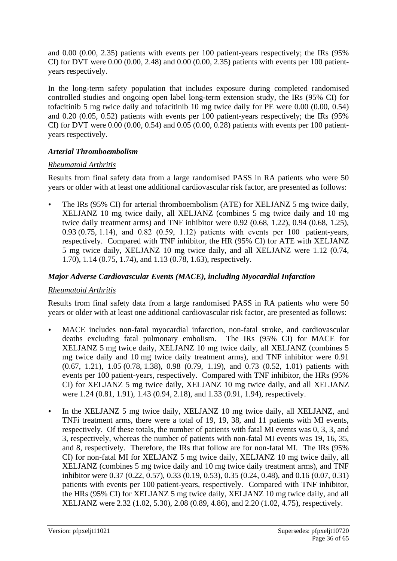and 0.00 (0.00, 2.35) patients with events per 100 patient-years respectively; the IRs (95% CI) for DVT were  $0.00$   $(0.00, 2.48)$  and  $0.00$   $(0.00, 2.35)$  patients with events per 100 patientyears respectively.

In the long-term safety population that includes exposure during completed randomised controlled studies and ongoing open label long-term extension study, the IRs (95% CI) for tofacitinib 5 mg twice daily and tofacitinib 10 mg twice daily for PE were 0.00 (0.00, 0.54) and 0.20 (0.05, 0.52) patients with events per 100 patient-years respectively; the IRs (95% CI) for DVT were  $0.00$   $(0.00, 0.54)$  and  $0.05$   $(0.00, 0.28)$  patients with events per 100 patientyears respectively.

#### *Arterial Thromboembolism*

## *Rheumatoid Arthritis*

Results from final safety data from a large randomised PASS in RA patients who were 50 years or older with at least one additional cardiovascular risk factor, are presented as follows:

• The IRs (95% CI) for arterial thromboembolism (ATE) for XELJANZ 5 mg twice daily, XELJANZ 10 mg twice daily, all XELJANZ (combines 5 mg twice daily and 10 mg twice daily treatment arms) and TNF inhibitor were 0.92 (0.68, 1.22), 0.94 (0.68, 1.25), 0.93 (0.75, 1.14), and 0.82 (0.59, 1.12) patients with events per 100  patient-years, respectively. Compared with TNF inhibitor, the HR (95% CI) for ATE with XELJANZ 5 mg twice daily, XELJANZ 10 mg twice daily, and all XELJANZ were 1.12 (0.74, 1.70), 1.14 (0.75, 1.74), and 1.13 (0.78, 1.63), respectively.

## *Major Adverse Cardiovascular Events (MACE), including Myocardial Infarction*

## *Rheumatoid Arthritis*

Results from final safety data from a large randomised PASS in RA patients who were 50 years or older with at least one additional cardiovascular risk factor, are presented as follows:

- MACE includes non-fatal myocardial infarction, non-fatal stroke, and cardiovascular deaths excluding fatal pulmonary embolism. The IRs (95% CI) for MACE for XELJANZ 5 mg twice daily, XELJANZ 10 mg twice daily, all XELJANZ (combines 5 mg twice daily and 10 mg twice daily treatment arms), and TNF inhibitor were 0.91 (0.67, 1.21), 1.05 (0.78, 1.38), 0.98 (0.79, 1.19), and 0.73 (0.52, 1.01) patients with events per 100 patient-years, respectively. Compared with TNF inhibitor, the HRs (95% CI) for XELJANZ 5 mg twice daily, XELJANZ 10 mg twice daily, and all XELJANZ were 1.24 (0.81, 1.91), 1.43 (0.94, 2.18), and 1.33 (0.91, 1.94), respectively.
- In the XELJANZ 5 mg twice daily, XELJANZ 10 mg twice daily, all XELJANZ, and TNFi treatment arms, there were a total of 19, 19, 38, and 11 patients with MI events, respectively. Of these totals, the number of patients with fatal MI events was 0, 3, 3, and 3, respectively, whereas the number of patients with non-fatal MI events was 19, 16, 35, and 8, respectively. Therefore, the IRs that follow are for non-fatal MI. The IRs (95% CI) for non-fatal MI for XELJANZ 5 mg twice daily, XELJANZ 10 mg twice daily, all XELJANZ (combines 5 mg twice daily and 10 mg twice daily treatment arms), and TNF inhibitor were 0.37 (0.22, 0.57), 0.33 (0.19, 0.53), 0.35 (0.24, 0.48), and 0.16 (0.07, 0.31) patients with events per 100 patient-years, respectively. Compared with TNF inhibitor, the HRs (95% CI) for XELJANZ 5 mg twice daily, XELJANZ 10 mg twice daily, and all XELJANZ were 2.32 (1.02, 5.30), 2.08 (0.89, 4.86), and 2.20 (1.02, 4.75), respectively.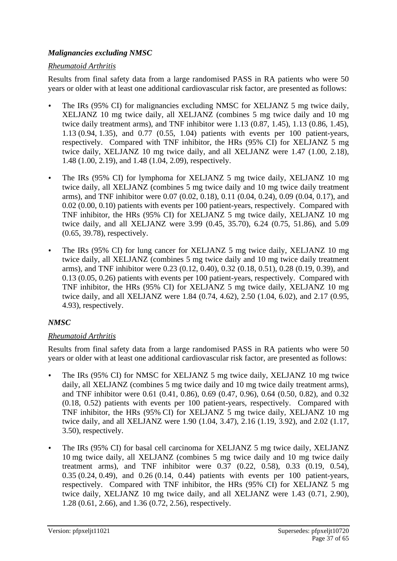## *Malignancies excluding NMSC*

### *Rheumatoid Arthritis*

Results from final safety data from a large randomised PASS in RA patients who were 50 years or older with at least one additional cardiovascular risk factor, are presented as follows:

- The IRs (95% CI) for malignancies excluding NMSC for XELJANZ 5 mg twice daily, XELJANZ 10 mg twice daily, all XELJANZ (combines 5 mg twice daily and 10 mg twice daily treatment arms), and TNF inhibitor were 1.13 (0.87, 1.45), 1.13 (0.86, 1.45), 1.13 (0.94, 1.35), and 0.77 (0.55, 1.04) patients with events per 100 patient-years, respectively. Compared with TNF inhibitor, the HRs (95% CI) for XELJANZ 5 mg twice daily, XELJANZ 10 mg twice daily, and all XELJANZ were 1.47 (1.00, 2.18), 1.48 (1.00, 2.19), and 1.48 (1.04, 2.09), respectively.
- The IRs (95% CI) for lymphoma for XELJANZ 5 mg twice daily, XELJANZ 10 mg twice daily, all XELJANZ (combines 5 mg twice daily and 10 mg twice daily treatment arms), and TNF inhibitor were 0.07 (0.02, 0.18), 0.11 (0.04, 0.24), 0.09 (0.04, 0.17), and 0.02 (0.00, 0.10) patients with events per 100 patient-years, respectively. Compared with TNF inhibitor, the HRs (95% CI) for XELJANZ 5 mg twice daily, XELJANZ 10 mg twice daily, and all XELJANZ were 3.99 (0.45, 35.70), 6.24 (0.75, 51.86), and 5.09 (0.65, 39.78), respectively.
- The IRs (95% CI) for lung cancer for XELJANZ 5 mg twice daily, XELJANZ 10 mg twice daily, all XELJANZ (combines 5 mg twice daily and 10 mg twice daily treatment arms), and TNF inhibitor were 0.23 (0.12, 0.40), 0.32 (0.18, 0.51), 0.28 (0.19, 0.39), and 0.13 (0.05, 0.26) patients with events per 100 patient-years, respectively. Compared with TNF inhibitor, the HRs (95% CI) for XELJANZ 5 mg twice daily, XELJANZ 10 mg twice daily, and all XELJANZ were 1.84 (0.74, 4.62), 2.50 (1.04, 6.02), and 2.17 (0.95, 4.93), respectively.

## *NMSC*

## *Rheumatoid Arthritis*

Results from final safety data from a large randomised PASS in RA patients who were 50 years or older with at least one additional cardiovascular risk factor, are presented as follows:

- The IRs (95% CI) for NMSC for XELJANZ 5 mg twice daily, XELJANZ 10 mg twice daily, all XELJANZ (combines 5 mg twice daily and 10 mg twice daily treatment arms), and TNF inhibitor were 0.61 (0.41, 0.86), 0.69 (0.47, 0.96), 0.64 (0.50, 0.82), and 0.32 (0.18, 0.52) patients with events per 100 patient-years, respectively. Compared with TNF inhibitor, the HRs (95% CI) for XELJANZ 5 mg twice daily, XELJANZ 10 mg twice daily, and all XELJANZ were 1.90 (1.04, 3.47), 2.16 (1.19, 3.92), and 2.02 (1.17, 3.50), respectively.
- The IRs (95% CI) for basal cell carcinoma for XELJANZ 5 mg twice daily, XELJANZ 10 mg twice daily, all XELJANZ (combines 5 mg twice daily and 10 mg twice daily treatment arms), and TNF inhibitor were 0.37 (0.22, 0.58), 0.33 (0.19, 0.54), 0.35 (0.24, 0.49), and 0.26 (0.14, 0.44) patients with events per 100 patient-years, respectively. Compared with TNF inhibitor, the HRs (95% CI) for XELJANZ 5 mg twice daily, XELJANZ 10 mg twice daily, and all XELJANZ were 1.43 (0.71, 2.90), 1.28 (0.61, 2.66), and 1.36 (0.72, 2.56), respectively.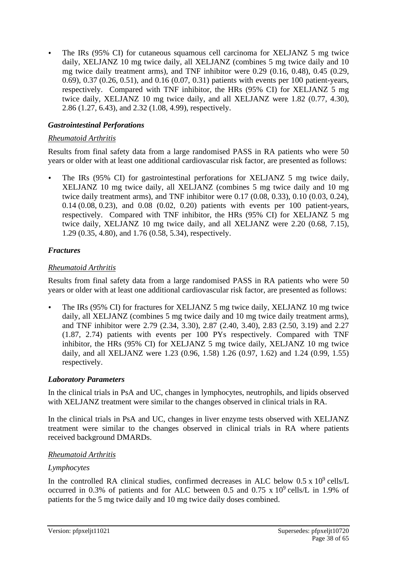• The IRs (95% CI) for cutaneous squamous cell carcinoma for XELJANZ 5 mg twice daily, XELJANZ 10 mg twice daily, all XELJANZ (combines 5 mg twice daily and 10 mg twice daily treatment arms), and TNF inhibitor were 0.29 (0.16, 0.48), 0.45 (0.29, 0.69), 0.37 (0.26, 0.51), and 0.16 (0.07, 0.31) patients with events per 100 patient-years, respectively. Compared with TNF inhibitor, the HRs (95% CI) for XELJANZ 5 mg twice daily, XELJANZ 10 mg twice daily, and all XELJANZ were 1.82 (0.77, 4.30), 2.86 (1.27, 6.43), and 2.32 (1.08, 4.99), respectively.

## *Gastrointestinal Perforations*

### *Rheumatoid Arthritis*

Results from final safety data from a large randomised PASS in RA patients who were 50 years or older with at least one additional cardiovascular risk factor, are presented as follows:

The IRs (95% CI) for gastrointestinal perforations for XELJANZ 5 mg twice daily, XELJANZ 10 mg twice daily, all XELJANZ (combines 5 mg twice daily and 10 mg twice daily treatment arms), and TNF inhibitor were 0.17 (0.08, 0.33), 0.10 (0.03, 0.24), 0.14 (0.08, 0.23), and 0.08 (0.02, 0.20) patients with events per 100 patient-years, respectively. Compared with TNF inhibitor, the HRs (95% CI) for XELJANZ 5 mg twice daily, XELJANZ 10 mg twice daily, and all XELJANZ were 2.20 (0.68, 7.15), 1.29 (0.35, 4.80), and 1.76 (0.58, 5.34), respectively.

## *Fractures*

## *Rheumatoid Arthritis*

Results from final safety data from a large randomised PASS in RA patients who were 50 years or older with at least one additional cardiovascular risk factor, are presented as follows:

• The IRs (95% CI) for fractures for XELJANZ 5 mg twice daily, XELJANZ 10 mg twice daily, all XELJANZ (combines 5 mg twice daily and 10 mg twice daily treatment arms), and TNF inhibitor were 2.79 (2.34, 3.30), 2.87 (2.40, 3.40), 2.83 (2.50, 3.19) and 2.27 (1.87, 2.74) patients with events per 100 PYs respectively. Compared with TNF inhibitor, the HRs (95% CI) for XELJANZ 5 mg twice daily, XELJANZ 10 mg twice daily, and all XELJANZ were 1.23 (0.96, 1.58) 1.26 (0.97, 1.62) and 1.24 (0.99, 1.55) respectively.

## *Laboratory Parameters*

In the clinical trials in PsA and UC, changes in lymphocytes, neutrophils, and lipids observed with XELJANZ treatment were similar to the changes observed in clinical trials in RA.

In the clinical trials in PsA and UC, changes in liver enzyme tests observed with XELJANZ treatment were similar to the changes observed in clinical trials in RA where patients received background DMARDs.

## *Rheumatoid Arthritis*

## *Lymphocytes*

In the controlled RA clinical studies, confirmed decreases in ALC below  $0.5 \times 10^9$  cells/L occurred in 0.3% of patients and for ALC between 0.5 and 0.75 x  $10^9$  cells/L in 1.9% of patients for the 5 mg twice daily and 10 mg twice daily doses combined.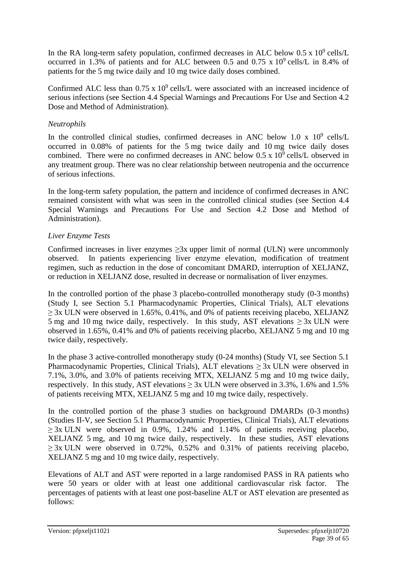In the RA long-term safety population, confirmed decreases in ALC below  $0.5 \times 10^9$  cells/L occurred in 1.3% of patients and for ALC between 0.5 and 0.75 x  $10^9$  cells/L in 8.4% of patients for the 5 mg twice daily and 10 mg twice daily doses combined.

Confirmed ALC less than  $0.75 \times 10^9$  cells/L were associated with an increased incidence of serious infections (see Section 4.4 Special Warnings and Precautions For Use and Section 4.2 Dose and Method of Administration).

### *Neutrophils*

In the controlled clinical studies, confirmed decreases in ANC below 1.0 x  $10^9$  cells/L occurred in 0.08% of patients for the 5 mg twice daily and 10 mg twice daily doses combined. There were no confirmed decreases in ANC below  $0.5 \times 10^9$  cells/L observed in any treatment group. There was no clear relationship between neutropenia and the occurrence of serious infections.

In the long-term safety population, the pattern and incidence of confirmed decreases in ANC remained consistent with what was seen in the controlled clinical studies (see Section 4.4 Special Warnings and Precautions For Use and Section 4.2 Dose and Method of Administration).

## *Liver Enzyme Tests*

Confirmed increases in liver enzymes  $\geq 3x$  upper limit of normal (ULN) were uncommonly observed. In patients experiencing liver enzyme elevation, modification of treatment regimen, such as reduction in the dose of concomitant DMARD, interruption of XELJANZ, or reduction in XELJANZ dose, resulted in decrease or normalisation of liver enzymes.

In the controlled portion of the phase 3 placebo-controlled monotherapy study (0-3 months) (Study I, see Section 5.1 Pharmacodynamic Properties, Clinical Trials), ALT elevations  $\geq$  3x ULN were observed in 1.65%, 0.41%, and 0% of patients receiving placebo, XELJANZ 5 mg and 10 mg twice daily, respectively. In this study, AST elevations  $\geq 3x$  ULN were observed in 1.65%, 0.41% and 0% of patients receiving placebo, XELJANZ 5 mg and 10 mg twice daily, respectively.

In the phase 3 active-controlled monotherapy study (0-24 months) (Study VI, see Section 5.1 Pharmacodynamic Properties, Clinical Trials), ALT elevations  $\geq 3x$  ULN were observed in 7.1%, 3.0%, and 3.0% of patients receiving MTX, XELJANZ 5 mg and 10 mg twice daily, respectively. In this study, AST elevations  $> 3x$  ULN were observed in 3.3%, 1.6% and 1.5% of patients receiving MTX, XELJANZ 5 mg and 10 mg twice daily, respectively.

In the controlled portion of the phase 3 studies on background DMARDs (0-3 months) (Studies II-V, see Section 5.1 Pharmacodynamic Properties, Clinical Trials), ALT elevations  $\geq$  3x ULN were observed in 0.9%, 1.24% and 1.14% of patients receiving placebo, XELJANZ 5 mg, and 10 mg twice daily, respectively. In these studies, AST elevations  $\geq$  3x ULN were observed in 0.72%, 0.52% and 0.31% of patients receiving placebo, XELJANZ 5 mg and 10 mg twice daily, respectively.

Elevations of ALT and AST were reported in a large randomised PASS in RA patients who were 50 years or older with at least one additional cardiovascular risk factor. The percentages of patients with at least one post-baseline ALT or AST elevation are presented as follows: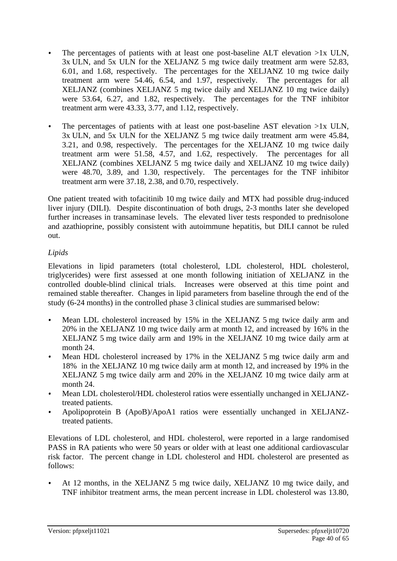- The percentages of patients with at least one post-baseline ALT elevation >1x ULN, 3x ULN, and 5x ULN for the XELJANZ 5 mg twice daily treatment arm were 52.83, 6.01, and 1.68, respectively. The percentages for the XELJANZ 10 mg twice daily treatment arm were 54.46, 6.54, and 1.97, respectively. The percentages for all XELJANZ (combines XELJANZ 5 mg twice daily and XELJANZ 10 mg twice daily) were 53.64, 6.27, and 1.82, respectively. The percentages for the TNF inhibitor treatment arm were 43.33, 3.77, and 1.12, respectively.
- The percentages of patients with at least one post-baseline AST elevation >1x ULN, 3x ULN, and 5x ULN for the XELJANZ 5 mg twice daily treatment arm were 45.84, 3.21, and 0.98, respectively. The percentages for the XELJANZ 10 mg twice daily treatment arm were 51.58, 4.57, and 1.62, respectively. The percentages for all XELJANZ (combines XELJANZ 5 mg twice daily and XELJANZ 10 mg twice daily) were 48.70, 3.89, and 1.30, respectively. The percentages for the TNF inhibitor treatment arm were 37.18, 2.38, and 0.70, respectively.

One patient treated with tofacitinib 10 mg twice daily and MTX had possible drug-induced liver injury (DILI). Despite discontinuation of both drugs, 2-3 months later she developed further increases in transaminase levels. The elevated liver tests responded to prednisolone and azathioprine, possibly consistent with autoimmune hepatitis, but DILI cannot be ruled out.

## *Lipids*

Elevations in lipid parameters (total cholesterol, LDL cholesterol, HDL cholesterol, triglycerides) were first assessed at one month following initiation of XELJANZ in the controlled double-blind clinical trials. Increases were observed at this time point and remained stable thereafter. Changes in lipid parameters from baseline through the end of the study (6-24 months) in the controlled phase 3 clinical studies are summarised below:

- Mean LDL cholesterol increased by 15% in the XELJANZ 5 mg twice daily arm and 20% in the XELJANZ 10 mg twice daily arm at month 12, and increased by 16% in the XELJANZ 5 mg twice daily arm and 19% in the XELJANZ 10 mg twice daily arm at month 24.
- Mean HDL cholesterol increased by 17% in the XELJANZ 5 mg twice daily arm and 18% in the XELJANZ 10 mg twice daily arm at month 12, and increased by 19% in the XELJANZ 5 mg twice daily arm and 20% in the XELJANZ 10 mg twice daily arm at month 24.
- Mean LDL cholesterol/HDL cholesterol ratios were essentially unchanged in XELJANZtreated patients.
- Apolipoprotein B (ApoB)/ApoA1 ratios were essentially unchanged in XELJANZtreated patients.

Elevations of LDL cholesterol, and HDL cholesterol, were reported in a large randomised PASS in RA patients who were 50 years or older with at least one additional cardiovascular risk factor. The percent change in LDL cholesterol and HDL cholesterol are presented as follows:

• At 12 months, in the XELJANZ 5 mg twice daily, XELJANZ 10 mg twice daily, and TNF inhibitor treatment arms, the mean percent increase in LDL cholesterol was 13.80,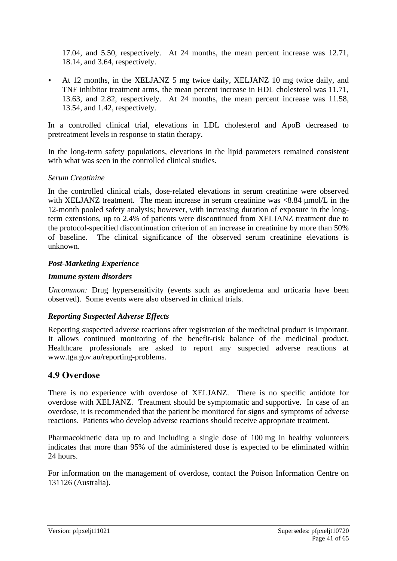17.04, and 5.50, respectively. At 24 months, the mean percent increase was 12.71, 18.14, and 3.64, respectively.

• At 12 months, in the XELJANZ 5 mg twice daily, XELJANZ 10 mg twice daily, and TNF inhibitor treatment arms, the mean percent increase in HDL cholesterol was 11.71, 13.63, and 2.82, respectively. At 24 months, the mean percent increase was 11.58, 13.54, and 1.42, respectively.

In a controlled clinical trial, elevations in LDL cholesterol and ApoB decreased to pretreatment levels in response to statin therapy.

In the long-term safety populations, elevations in the lipid parameters remained consistent with what was seen in the controlled clinical studies.

#### *Serum Creatinine*

In the controlled clinical trials, dose-related elevations in serum creatinine were observed with XELJANZ treatment. The mean increase in serum creatinine was  $\langle 8.84 \text{ umol/L} \rangle$  in the 12-month pooled safety analysis; however, with increasing duration of exposure in the longterm extensions, up to 2.4% of patients were discontinued from XELJANZ treatment due to the protocol-specified discontinuation criterion of an increase in creatinine by more than 50% of baseline. The clinical significance of the observed serum creatinine elevations is unknown.

#### *Post-Marketing Experience*

#### *Immune system disorders*

*Uncommon:* Drug hypersensitivity (events such as angioedema and urticaria have been observed). Some events were also observed in clinical trials.

#### *Reporting Suspected Adverse Effects*

Reporting suspected adverse reactions after registration of the medicinal product is important. It allows continued monitoring of the benefit-risk balance of the medicinal product. Healthcare professionals are asked to report any suspected adverse reactions at [www.tga.gov.au/reporting-problems.](http://www.tga.gov.au/reporting-problems)

## **4.9 Overdose**

There is no experience with overdose of XELJANZ. There is no specific antidote for overdose with XELJANZ. Treatment should be symptomatic and supportive. In case of an overdose, it is recommended that the patient be monitored for signs and symptoms of adverse reactions. Patients who develop adverse reactions should receive appropriate treatment.

Pharmacokinetic data up to and including a single dose of 100 mg in healthy volunteers indicates that more than 95% of the administered dose is expected to be eliminated within 24 hours.

For information on the management of overdose, contact the Poison Information Centre on 131126 (Australia).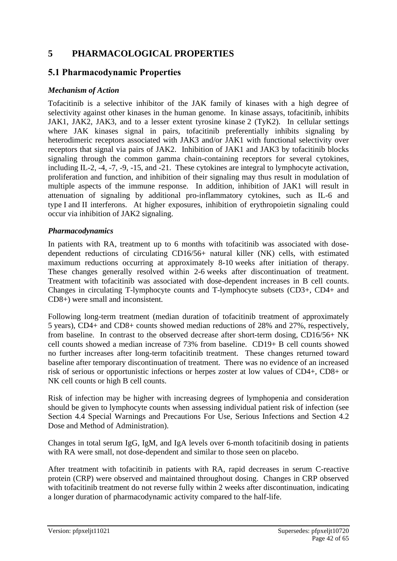## **5 PHARMACOLOGICAL PROPERTIES**

## **5.1 Pharmacodynamic Properties**

#### *Mechanism of Action*

Tofacitinib is a selective inhibitor of the JAK family of kinases with a high degree of selectivity against other kinases in the human genome. In kinase assays, tofacitinib, inhibits JAK1, JAK2, JAK3, and to a lesser extent tyrosine kinase 2 (TyK2). In cellular settings where JAK kinases signal in pairs, tofacitinib preferentially inhibits signaling by heterodimeric receptors associated with JAK3 and/or JAK1 with functional selectivity over receptors that signal via pairs of JAK2. Inhibition of JAK1 and JAK3 by tofacitinib blocks signaling through the common gamma chain-containing receptors for several cytokines, including IL-2, -4, -7, -9, -15, and -21. These cytokines are integral to lymphocyte activation, proliferation and function, and inhibition of their signaling may thus result in modulation of multiple aspects of the immune response. In addition, inhibition of JAK1 will result in attenuation of signaling by additional pro-inflammatory cytokines, such as IL-6 and type I and II interferons. At higher exposures, inhibition of erythropoietin signaling could occur via inhibition of JAK2 signaling.

#### *Pharmacodynamics*

In patients with RA, treatment up to 6 months with tofacitinib was associated with dosedependent reductions of circulating CD16/56+ natural killer (NK) cells, with estimated maximum reductions occurring at approximately 8-10 weeks after initiation of therapy. These changes generally resolved within 2-6 weeks after discontinuation of treatment. Treatment with tofacitinib was associated with dose-dependent increases in B cell counts. Changes in circulating T-lymphocyte counts and T-lymphocyte subsets (CD3+, CD4+ and CD8+) were small and inconsistent.

Following long-term treatment (median duration of tofacitinib treatment of approximately 5 years), CD4+ and CD8+ counts showed median reductions of 28% and 27%, respectively, from baseline. In contrast to the observed decrease after short-term dosing, CD16/56+ NK cell counts showed a median increase of 73% from baseline. CD19+ B cell counts showed no further increases after long-term tofacitinib treatment. These changes returned toward baseline after temporary discontinuation of treatment. There was no evidence of an increased risk of serious or opportunistic infections or herpes zoster at low values of CD4+, CD8+ or NK cell counts or high B cell counts.

Risk of infection may be higher with increasing degrees of lymphopenia and consideration should be given to lymphocyte counts when assessing individual patient risk of infection (see Section 4.4 Special Warnings and Precautions For Use, Serious Infections and Section 4.2 Dose and Method of Administration).

Changes in total serum IgG, IgM, and IgA levels over 6-month tofacitinib dosing in patients with RA were small, not dose-dependent and similar to those seen on placebo.

After treatment with tofacitinib in patients with RA, rapid decreases in serum C-reactive protein (CRP) were observed and maintained throughout dosing. Changes in CRP observed with tofacitinib treatment do not reverse fully within 2 weeks after discontinuation, indicating a longer duration of pharmacodynamic activity compared to the half-life.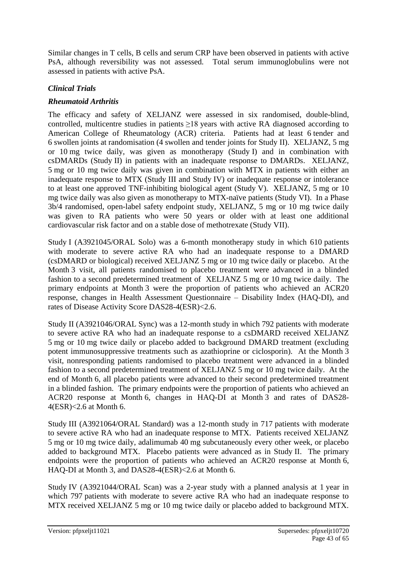Similar changes in T cells, B cells and serum CRP have been observed in patients with active PsA, although reversibility was not assessed. Total serum immunoglobulins were not assessed in patients with active PsA.

## *Clinical Trials*

### *Rheumatoid Arthritis*

The efficacy and safety of XELJANZ were assessed in six randomised, double-blind, controlled, multicentre studies in patients  $\geq$ 18 years with active RA diagnosed according to American College of Rheumatology (ACR) criteria. Patients had at least 6 tender and 6 swollen joints at randomisation (4 swollen and tender joints for Study II). XELJANZ, 5 mg or 10 mg twice daily, was given as monotherapy (Study I) and in combination with csDMARDs (Study II) in patients with an inadequate response to DMARDs. XELJANZ, 5 mg or 10 mg twice daily was given in combination with MTX in patients with either an inadequate response to MTX (Study III and Study IV) or inadequate response or intolerance to at least one approved TNF-inhibiting biological agent (Study V). XELJANZ, 5 mg or 10 mg twice daily was also given as monotherapy to MTX-naïve patients (Study VI). In a Phase 3b/4 randomised, open-label safety endpoint study, XELJANZ, 5 mg or 10 mg twice daily was given to RA patients who were 50 years or older with at least one additional cardiovascular risk factor and on a stable dose of methotrexate (Study VII).

Study I (A3921045/ORAL Solo) was a 6-month monotherapy study in which 610 patients with moderate to severe active RA who had an inadequate response to a DMARD (csDMARD or biological) received XELJANZ 5 mg or 10 mg twice daily or placebo. At the Month 3 visit, all patients randomised to placebo treatment were advanced in a blinded fashion to a second predetermined treatment of XELJANZ 5 mg or 10 mg twice daily. The primary endpoints at Month 3 were the proportion of patients who achieved an ACR20 response, changes in Health Assessment Questionnaire – Disability Index (HAQ-DI), and rates of Disease Activity Score DAS28-4(ESR)<2.6.

Study II (A3921046/ORAL Sync) was a 12-month study in which 792 patients with moderate to severe active RA who had an inadequate response to a csDMARD received XELJANZ 5 mg or 10 mg twice daily or placebo added to background DMARD treatment (excluding potent immunosuppressive treatments such as azathioprine or ciclosporin). At the Month 3 visit, nonresponding patients randomised to placebo treatment were advanced in a blinded fashion to a second predetermined treatment of XELJANZ 5 mg or 10 mg twice daily. At the end of Month 6, all placebo patients were advanced to their second predetermined treatment in a blinded fashion. The primary endpoints were the proportion of patients who achieved an ACR20 response at Month 6, changes in HAQ-DI at Month 3 and rates of DAS28- 4(ESR)<2.6 at Month 6.

Study III (A3921064/ORAL Standard) was a 12-month study in 717 patients with moderate to severe active RA who had an inadequate response to MTX. Patients received XELJANZ 5 mg or 10 mg twice daily, adalimumab 40 mg subcutaneously every other week, or placebo added to background MTX. Placebo patients were advanced as in Study II. The primary endpoints were the proportion of patients who achieved an ACR20 response at Month 6, HAQ-DI at Month 3, and DAS28-4(ESR)<2.6 at Month 6.

Study IV (A3921044/ORAL Scan) was a 2-year study with a planned analysis at 1 year in which 797 patients with moderate to severe active RA who had an inadequate response to MTX received XELJANZ 5 mg or 10 mg twice daily or placebo added to background MTX.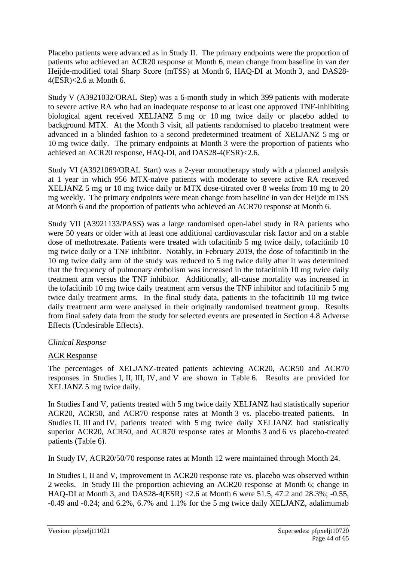Placebo patients were advanced as in Study II. The primary endpoints were the proportion of patients who achieved an ACR20 response at Month 6, mean change from baseline in van der Heijde-modified total Sharp Score (mTSS) at Month 6, HAQ-DI at Month 3, and DAS28- 4(ESR)<2.6 at Month 6.

Study V (A3921032/ORAL Step) was a 6-month study in which 399 patients with moderate to severe active RA who had an inadequate response to at least one approved TNF-inhibiting biological agent received XELJANZ 5 mg or 10 mg twice daily or placebo added to background MTX. At the Month 3 visit, all patients randomised to placebo treatment were advanced in a blinded fashion to a second predetermined treatment of XELJANZ 5 mg or 10 mg twice daily. The primary endpoints at Month 3 were the proportion of patients who achieved an ACR20 response, HAQ-DI, and DAS28-4(ESR)<2.6.

Study VI (A3921069/ORAL Start) was a 2-year monotherapy study with a planned analysis at 1 year in which 956 MTX-naïve patients with moderate to severe active RA received XELJANZ 5 mg or 10 mg twice daily or MTX dose-titrated over 8 weeks from 10 mg to 20 mg weekly. The primary endpoints were mean change from baseline in van der Heijde mTSS at Month 6 and the proportion of patients who achieved an ACR70 response at Month 6.

Study VII (A3921133/PASS) was a large randomised open-label study in RA patients who were 50 years or older with at least one additional cardiovascular risk factor and on a stable dose of methotrexate. Patients were treated with tofacitinib 5 mg twice daily, tofacitinib 10 mg twice daily or a TNF inhibitor. Notably, in February 2019, the dose of tofacitinib in the 10 mg twice daily arm of the study was reduced to 5 mg twice daily after it was determined that the frequency of pulmonary embolism was increased in the tofacitinib 10 mg twice daily treatment arm versus the TNF inhibitor. Additionally, all-cause mortality was increased in the tofacitinib 10 mg twice daily treatment arm versus the TNF inhibitor and tofacitinib 5 mg twice daily treatment arms. In the final study data, patients in the tofacitinib 10 mg twice daily treatment arm were analysed in their originally randomised treatment group. Results from final safety data from the study for selected events are presented in Section 4.8 Adverse Effects (Undesirable Effects).

## *Clinical Response*

## ACR Response

The percentages of XELJANZ-treated patients achieving ACR20, ACR50 and ACR70 responses in Studies I, II, III, IV, and V are shown in Table 6. Results are provided for XELJANZ 5 mg twice daily.

In Studies I and V, patients treated with 5 mg twice daily XELJANZ had statistically superior ACR20, ACR50, and ACR70 response rates at Month 3 vs. placebo-treated patients. In Studies II, III and IV, patients treated with 5 mg twice daily XELJANZ had statistically superior ACR20, ACR50, and ACR70 response rates at Months 3 and 6 vs placebo-treated patients (Table 6).

In Study IV, ACR20/50/70 response rates at Month 12 were maintained through Month 24.

In Studies I, II and V, improvement in ACR20 response rate vs. placebo was observed within 2 weeks. In Study III the proportion achieving an ACR20 response at Month 6; change in HAQ-DI at Month 3, and DAS28-4(ESR) <2.6 at Month 6 were 51.5, 47.2 and 28.3%; -0.55, -0.49 and -0.24; and 6.2%, 6.7% and 1.1% for the 5 mg twice daily XELJANZ, adalimumab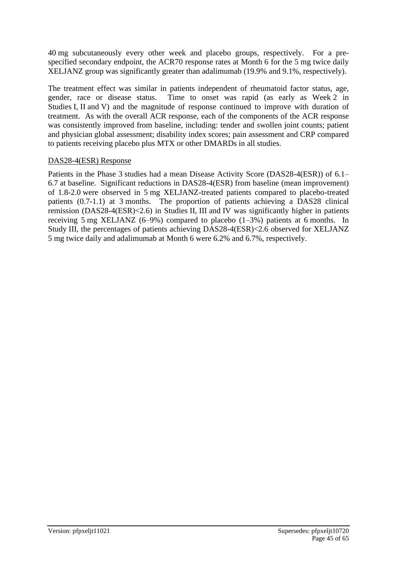40 mg subcutaneously every other week and placebo groups, respectively. For a prespecified secondary endpoint, the ACR70 response rates at Month 6 for the 5 mg twice daily XELJANZ group was significantly greater than adalimumab (19.9% and 9.1%, respectively).

The treatment effect was similar in patients independent of rheumatoid factor status, age, gender, race or disease status. Time to onset was rapid (as early as Week 2 in Studies I, II and V) and the magnitude of response continued to improve with duration of treatment. As with the overall ACR response, each of the components of the ACR response was consistently improved from baseline, including: tender and swollen joint counts; patient and physician global assessment; disability index scores; pain assessment and CRP compared to patients receiving placebo plus MTX or other DMARDs in all studies.

#### DAS28-4(ESR) Response

Patients in the Phase 3 studies had a mean Disease Activity Score (DAS28-4(ESR)) of 6.1– 6.7 at baseline. Significant reductions in DAS28-4(ESR) from baseline (mean improvement) of 1.8-2.0 were observed in 5 mg XELJANZ-treated patients compared to placebo-treated patients (0.7-1.1) at 3 months. The proportion of patients achieving a DAS28 clinical remission (DAS28-4(ESR)<2.6) in Studies II, III and IV was significantly higher in patients receiving 5 mg XELJANZ (6–9%) compared to placebo (1–3%) patients at 6 months. In Study III, the percentages of patients achieving DAS28-4(ESR)<2.6 observed for XELJANZ 5 mg twice daily and adalimumab at Month 6 were 6.2% and 6.7%, respectively.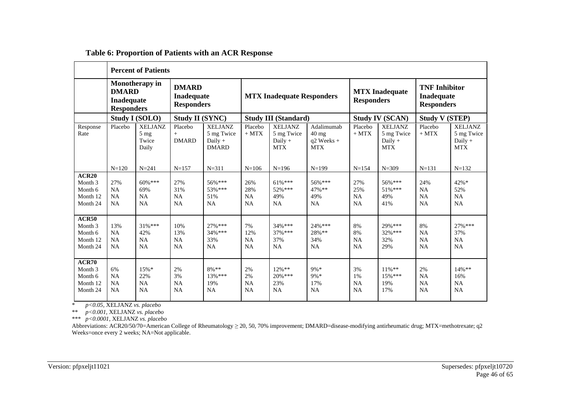|                                                                | <b>Percent of Patients</b>                                                                                                         |                                                    |                                |                                                           |                                      |                                                         |                                                             |                                                                |                                                         |                                            |                                                         |
|----------------------------------------------------------------|------------------------------------------------------------------------------------------------------------------------------------|----------------------------------------------------|--------------------------------|-----------------------------------------------------------|--------------------------------------|---------------------------------------------------------|-------------------------------------------------------------|----------------------------------------------------------------|---------------------------------------------------------|--------------------------------------------|---------------------------------------------------------|
|                                                                | <b>Monotherapy in</b><br><b>DMARD</b><br><b>DMARD</b><br><b>Inadequate</b><br>Inadequate<br><b>Responders</b><br><b>Responders</b> |                                                    |                                | <b>MTX Inadequate Responders</b>                          |                                      | <b>MTX</b> Inadequate<br><b>Responders</b>              |                                                             | <b>TNF</b> Inhibitor<br><b>Inadequate</b><br><b>Responders</b> |                                                         |                                            |                                                         |
|                                                                |                                                                                                                                    | Study I (SOLO)                                     | <b>Study II (SYNC)</b>         |                                                           |                                      | <b>Study III (Standard)</b>                             |                                                             | <b>Study IV (SCAN)</b>                                         |                                                         | <b>Study V (STEP)</b>                      |                                                         |
| Response<br>Rate                                               | Placebo                                                                                                                            | <b>XELJANZ</b><br>$5 \text{ mg}$<br>Twice<br>Daily | Placebo<br>$+$<br><b>DMARD</b> | <b>XELJANZ</b><br>5 mg Twice<br>Daily $+$<br><b>DMARD</b> | Placebo<br>$+$ MTX                   | <b>XELJANZ</b><br>5 mg Twice<br>Daily $+$<br><b>MTX</b> | Adalimumab<br>$40 \text{ mg}$<br>$q2$ Weeks +<br><b>MTX</b> | Placebo<br>$+$ MTX                                             | <b>XELJANZ</b><br>5 mg Twice<br>Daily $+$<br><b>MTX</b> | Placebo<br>$+$ MTX                         | <b>XELJANZ</b><br>5 mg Twice<br>Daily $+$<br><b>MTX</b> |
|                                                                | $N = 120$                                                                                                                          | $N = 241$                                          | $N = 157$                      | $N = 311$                                                 | $N = 106$                            | $N=196$                                                 | $N=199$                                                     | $N = 154$                                                      | $N = 309$                                               | $N = 131$                                  | $N = 132$                                               |
| ACR20<br>Month 3<br>Month 6<br>Month 12<br>Month 24            | 27%<br><b>NA</b><br><b>NA</b><br><b>NA</b>                                                                                         | $60\%***$<br>69%<br><b>NA</b><br>NA                | 27%<br>31%<br>NA<br>NA         | $56\%***$<br>53% ***<br>51%<br><b>NA</b>                  | 26%<br>28%<br><b>NA</b><br><b>NA</b> | 61%***<br>$52\%***$<br>49%<br>NA                        | $56\%***$<br>$47\%$ **<br>49%<br><b>NA</b>                  | 27%<br>25%<br><b>NA</b><br><b>NA</b>                           | 56% ***<br>$51\%***$<br>49%<br>41%                      | 24%<br><b>NA</b><br><b>NA</b><br><b>NA</b> | $42%$ *<br>52%<br><b>NA</b><br>NA                       |
| ACR50<br>Month <sub>3</sub><br>Month 6<br>Month 12<br>Month 24 | 13%<br><b>NA</b><br><b>NA</b><br><b>NA</b>                                                                                         | $31\%***$<br>42%<br>NA<br>NA                       | 10%<br>13%<br>NA<br><b>NA</b>  | $27\%$ ***<br>$34\%$ ***<br>33%<br>NA                     | 7%<br>12%<br><b>NA</b><br><b>NA</b>  | $34%$ ***<br>$37\%$ ***<br>37%<br>NA                    | 24%***<br>28%**<br>34%<br><b>NA</b>                         | 8%<br>8%<br>NA<br>NA                                           | 29%***<br>32% ***<br>32%<br>29%                         | 8%<br><b>NA</b><br><b>NA</b><br><b>NA</b>  | $27\%$ ***<br>37%<br>NA<br>NA                           |
| ACR70<br>Month 3<br>Month 6<br>Month 12<br>Month 24            | 6%<br><b>NA</b><br><b>NA</b><br><b>NA</b>                                                                                          | 15%<br>22%<br>NA<br>NA                             | 2%<br>3%<br>NA<br><b>NA</b>    | $8\%**$<br>$13\%$ ***<br>19%<br><b>NA</b>                 | 2%<br>2%<br><b>NA</b><br>NA          | $12\%**$<br>$20\%$ ***<br>23%<br>NA                     | 9%*<br>$9\% *$<br>17%<br>NA                                 | 3%<br>1%<br>NA<br><b>NA</b>                                    | $11\%$ **<br>15% ***<br>19%<br>17%                      | 2%<br><b>NA</b><br><b>NA</b><br>NA         | $14\%$ **<br>16%<br><b>NA</b><br><b>NA</b>              |

#### **Table 6: Proportion of Patients with an ACR Response**

\* *p<0.05,* XELJANZ *vs. placebo* 

\*\* *p<0.001,* XELJANZ *vs. placebo* 

\*\*\* *p<0.0001,* XELJANZ *vs. placebo*

Abbreviations: ACR20/50/70=American College of Rheumatology ≥ 20, 50, 70% improvement; DMARD=disease-modifying antirheumatic drug; MTX=methotrexate; q2 Weeks=once every 2 weeks; NA=Not applicable.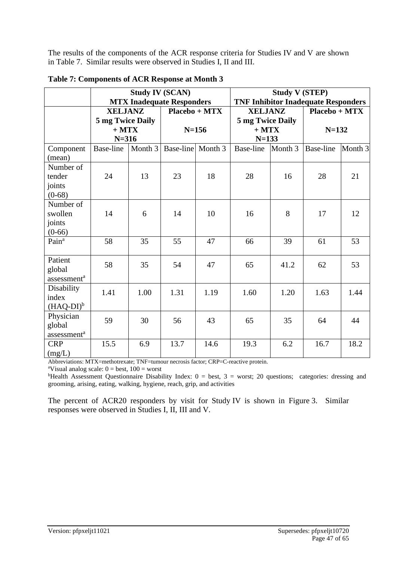The results of the components of the ACR response criteria for Studies IV and V are shown in Table 7. Similar results were observed in Studies I, II and III.

|                                                |                                    | <b>Study IV (SCAN)</b> | <b>MTX Inadequate Responders</b> |      | <b>Study V (STEP)</b><br><b>TNF Inhibitor Inadequate Responders</b> |         |                              |         |  |
|------------------------------------------------|------------------------------------|------------------------|----------------------------------|------|---------------------------------------------------------------------|---------|------------------------------|---------|--|
|                                                | <b>XELJANZ</b><br>5 mg Twice Daily |                        | Placebo + MTX                    |      | <b>XELJANZ</b><br>5 mg Twice Daily<br>$+$ MTX<br>$N=133$            |         | $Placebo + MTX$<br>$N = 132$ |         |  |
|                                                | $+$ MTX<br>$N = 316$               |                        | $N = 156$                        |      |                                                                     |         |                              |         |  |
| Component<br>(mean)                            | <b>Base-line</b>                   | Month 3                | Base-line Month 3                |      | <b>Base-line</b>                                                    | Month 3 | <b>Base-line</b>             | Month 3 |  |
| Number of<br>tender<br>joints<br>$(0-68)$      | 24                                 | 13                     | 23                               | 18   | 28                                                                  | 16      | 28                           | 21      |  |
| Number of<br>swollen<br>joints<br>$(0-66)$     | 14                                 | 6                      | 14                               | 10   | 16                                                                  | 8       | 17                           | 12      |  |
| Pain <sup>a</sup>                              | 58                                 | 35                     | 55                               | 47   | 66                                                                  | 39      | 61                           | 53      |  |
| Patient<br>global<br>assessment <sup>a</sup>   | 58                                 | 35                     | 54                               | 47   | 65                                                                  | 41.2    | 62                           | 53      |  |
| Disability<br>index<br>$(HAQ-DI)^b$            | 1.41                               | 1.00                   | 1.31                             | 1.19 | 1.60                                                                | 1.20    | 1.63                         | 1.44    |  |
| Physician<br>global<br>assessment <sup>a</sup> | 59                                 | 30                     | 56                               | 43   | 65                                                                  | 35      | 64                           | 44      |  |
| <b>CRP</b><br>(mg/L)                           | 15.5                               | 6.9                    | 13.7                             | 14.6 | 19.3                                                                | 6.2     | 16.7                         | 18.2    |  |

| Table 7: Components of ACR Response at Month 3 |  |  |  |  |  |
|------------------------------------------------|--|--|--|--|--|
|------------------------------------------------|--|--|--|--|--|

Abbreviations: MTX=methotrexate; TNF=tumour necrosis factor; CRP=C-reactive protein.

<sup>a</sup>Visual analog scale:  $0 =$  best,  $100 =$  worst

bHealth Assessment Questionnaire Disability Index: 0 = best, 3 = worst; 20 questions; categories: dressing and grooming, arising, eating, walking, hygiene, reach, grip, and activities

The percent of ACR20 responders by visit for Study IV is shown in Figure 3. Similar responses were observed in Studies I, II, III and V.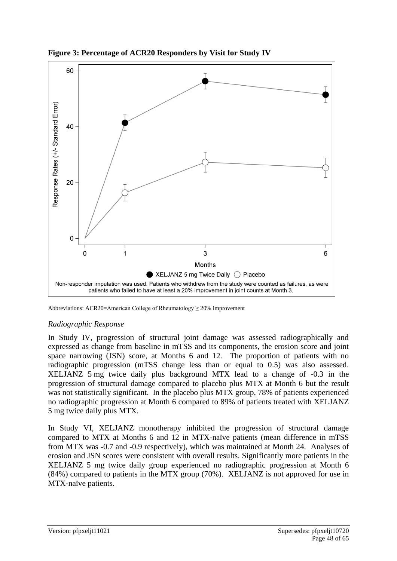

**Figure 3: Percentage of ACR20 Responders by Visit for Study IV**

Abbreviations: ACR20=American College of Rheumatology ≥ 20% improvement

#### *Radiographic Response*

In Study IV, progression of structural joint damage was assessed radiographically and expressed as change from baseline in mTSS and its components, the erosion score and joint space narrowing (JSN) score, at Months 6 and 12. The proportion of patients with no radiographic progression (mTSS change less than or equal to 0.5) was also assessed. XELJANZ 5 mg twice daily plus background MTX lead to a change of -0.3 in the progression of structural damage compared to placebo plus MTX at Month 6 but the result was not statistically significant. In the placebo plus MTX group, 78% of patients experienced no radiographic progression at Month 6 compared to 89% of patients treated with XELJANZ 5 mg twice daily plus MTX.

In Study VI, XELJANZ monotherapy inhibited the progression of structural damage compared to MTX at Months 6 and 12 in MTX-naïve patients (mean difference in mTSS from MTX was -0.7 and -0.9 respectively), which was maintained at Month 24. Analyses of erosion and JSN scores were consistent with overall results. Significantly more patients in the XELJANZ 5 mg twice daily group experienced no radiographic progression at Month 6 (84%) compared to patients in the MTX group (70%). XELJANZ is not approved for use in MTX-naïve patients.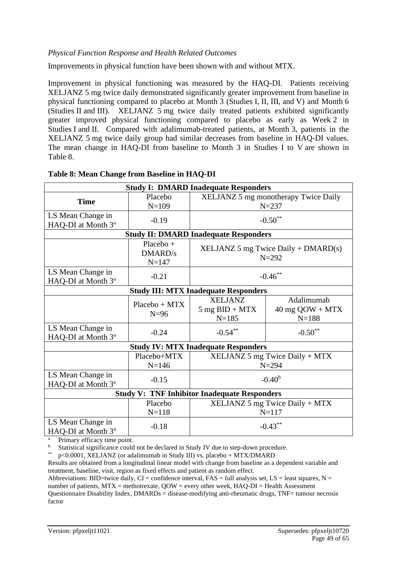#### *Physical Function Response and Health Related Outcomes*

Improvements in physical function have been shown with and without MTX.

Improvement in physical functioning was measured by the HAQ-DI. Patients receiving XELJANZ 5 mg twice daily demonstrated significantly greater improvement from baseline in physical functioning compared to placebo at Month 3 (Studies I, II, III, and V) and Month 6 (Studies II and III). XELJANZ 5 mg twice daily treated patients exhibited significantly greater improved physical functioning compared to placebo as early as Week 2 in Studies I and II. Compared with adalimumab-treated patients, at Month 3, patients in the XELJANZ 5 mg twice daily group had similar decreases from baseline in HAQ-DI values. The mean change in HAQ-DI from baseline to Month 3 in Studies I to V are shown in Table 8.

|                                                     |                 | <b>Study I: DMARD Inadequate Responders</b>         |                                      |  |  |  |  |
|-----------------------------------------------------|-----------------|-----------------------------------------------------|--------------------------------------|--|--|--|--|
| <b>Time</b>                                         | Placebo         |                                                     | XELJANZ 5 mg monotherapy Twice Daily |  |  |  |  |
|                                                     | $N = 109$       |                                                     | $N = 237$                            |  |  |  |  |
| LS Mean Change in                                   | $-0.19$         |                                                     | $-0.50**$                            |  |  |  |  |
| HAQ-DI at Month 3 <sup>a</sup>                      |                 |                                                     |                                      |  |  |  |  |
|                                                     |                 | <b>Study II: DMARD Inadequate Responders</b>        |                                      |  |  |  |  |
|                                                     | $Placebo +$     |                                                     |                                      |  |  |  |  |
|                                                     | <b>DMARD/s</b>  | $XELJANZ 5 mg$ Twice Daily + DMARD(s)<br>$N = 292$  |                                      |  |  |  |  |
|                                                     | $N = 147$       |                                                     |                                      |  |  |  |  |
| LS Mean Change in                                   | $-0.21$         |                                                     | $-0.46$ **                           |  |  |  |  |
| HAQ-DI at Month 3 <sup>a</sup>                      |                 |                                                     |                                      |  |  |  |  |
| <b>Study III: MTX Inadequate Responders</b>         |                 |                                                     |                                      |  |  |  |  |
|                                                     | $Placebo + MTX$ | <b>XELJANZ</b>                                      | Adalimumab                           |  |  |  |  |
|                                                     | $N=96$          | $5$ mg $BID + MTX$                                  | $40$ mg $QOW + MTX$                  |  |  |  |  |
|                                                     |                 | $N = 185$                                           | $N = 188$                            |  |  |  |  |
| LS Mean Change in                                   | $-0.24$         | $-0.54***$                                          | $-0.50**$                            |  |  |  |  |
| HAQ-DI at Month 3 <sup>a</sup>                      |                 |                                                     |                                      |  |  |  |  |
|                                                     |                 | <b>Study IV: MTX Inadequate Responders</b>          |                                      |  |  |  |  |
|                                                     | Placebo+MTX     |                                                     | $XELJANZ 5 mg$ Twice Daily + MTX     |  |  |  |  |
|                                                     | $N = 146$       |                                                     | $N = 294$                            |  |  |  |  |
| LS Mean Change in                                   | $-0.15$         |                                                     | $-0.40b$                             |  |  |  |  |
| HAQ-DI at Month 3 <sup>a</sup>                      |                 |                                                     |                                      |  |  |  |  |
|                                                     |                 | <b>Study V: TNF Inhibitor Inadequate Responders</b> |                                      |  |  |  |  |
|                                                     | Placebo         |                                                     | $XELJANZ 5 mg$ Twice Daily + MTX     |  |  |  |  |
|                                                     | $N = 118$       |                                                     | $N = 117$                            |  |  |  |  |
| LS Mean Change in<br>HAQ-DI at Month 3 <sup>a</sup> | $-0.18$         |                                                     | $-0.43***$                           |  |  |  |  |

#### **Table 8: Mean Change from Baseline in HAQ-DI**

a. Primary efficacy time point.

<sup>b.</sup> Statistical significance could not be declared in Study IV due to step-down procedure.

\*\* p<0.0001, XELJANZ (or adalimumab in Study III) vs. placebo + MTX/DMARD

Results are obtained from a longitudinal linear model with change from baseline as a dependent variable and treatment, baseline, visit, region as fixed effects and patient as random effect.

Abbreviations: BID=twice daily, CI = confidence interval, FAS = full analysis set, LS = least squares, N = number of patients, MTX = methotrexate, QOW = every other week, HAQ-DI = Health Assessment Questionnaire Disability Index, DMARDs = disease-modifying anti-rheumatic drugs, TNF= tumour necrosis factor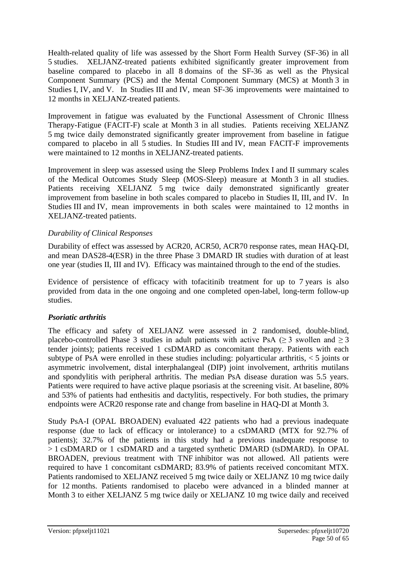Health-related quality of life was assessed by the Short Form Health Survey (SF-36) in all 5 studies. XELJANZ-treated patients exhibited significantly greater improvement from baseline compared to placebo in all 8 domains of the SF-36 as well as the Physical Component Summary (PCS) and the Mental Component Summary (MCS) at Month 3 in Studies I, IV, and V. In Studies III and IV, mean SF-36 improvements were maintained to 12 months in XELJANZ-treated patients.

Improvement in fatigue was evaluated by the Functional Assessment of Chronic Illness Therapy-Fatigue (FACIT-F) scale at Month 3 in all studies. Patients receiving XELJANZ 5 mg twice daily demonstrated significantly greater improvement from baseline in fatigue compared to placebo in all 5 studies. In Studies III and IV, mean FACIT-F improvements were maintained to 12 months in XELJANZ-treated patients.

Improvement in sleep was assessed using the Sleep Problems Index I and II summary scales of the Medical Outcomes Study Sleep (MOS-Sleep) measure at Month 3 in all studies. Patients receiving XELJANZ 5 mg twice daily demonstrated significantly greater improvement from baseline in both scales compared to placebo in Studies II, III, and IV. In Studies III and IV, mean improvements in both scales were maintained to 12 months in XELJANZ-treated patients.

#### *Durability of Clinical Responses*

Durability of effect was assessed by ACR20, ACR50, ACR70 response rates, mean HAQ-DI, and mean DAS28-4(ESR) in the three Phase 3 DMARD IR studies with duration of at least one year (studies II, III and IV). Efficacy was maintained through to the end of the studies.

Evidence of persistence of efficacy with tofacitinib treatment for up to 7 years is also provided from data in the one ongoing and one completed open-label, long-term follow-up studies.

#### *Psoriatic arthritis*

The efficacy and safety of XELJANZ were assessed in 2 randomised, double-blind, placebo-controlled Phase 3 studies in adult patients with active PsA ( $\geq$  3 swollen and  $\geq$  3 tender joints); patients received 1 csDMARD as concomitant therapy. Patients with each subtype of PsA were enrolled in these studies including: polyarticular arthritis,  $\lt 5$  joints or asymmetric involvement, distal interphalangeal (DIP) joint involvement, arthritis mutilans and spondylitis with peripheral arthritis. The median PsA disease duration was 5.5 years. Patients were required to have active plaque psoriasis at the screening visit. At baseline, 80% and 53% of patients had enthesitis and dactylitis, respectively. For both studies, the primary endpoints were ACR20 response rate and change from baseline in HAQ-DI at Month 3.

Study PsA-I (OPAL BROADEN) evaluated 422 patients who had a previous inadequate response (due to lack of efficacy or intolerance) to a csDMARD (MTX for 92.7% of patients); 32.7% of the patients in this study had a previous inadequate response to > 1 csDMARD or 1 csDMARD and a targeted synthetic DMARD (tsDMARD). In OPAL BROADEN, previous treatment with TNF inhibitor was not allowed. All patients were required to have 1 concomitant csDMARD; 83.9% of patients received concomitant MTX. Patients randomised to XELJANZ received 5 mg twice daily or XELJANZ 10 mg twice daily for 12 months. Patients randomised to placebo were advanced in a blinded manner at Month 3 to either XELJANZ 5 mg twice daily or XELJANZ 10 mg twice daily and received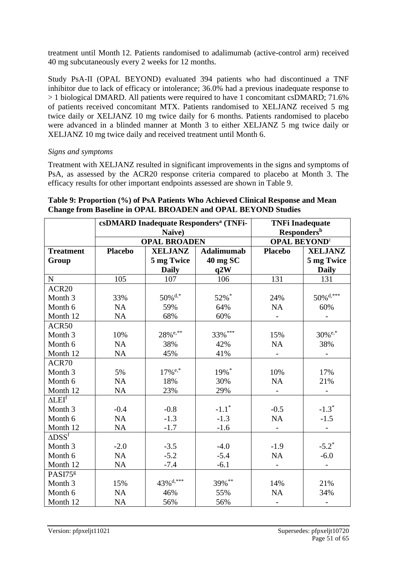treatment until Month 12. Patients randomised to adalimumab (active-control arm) received 40 mg subcutaneously every 2 weeks for 12 months.

Study PsA-II (OPAL BEYOND) evaluated 394 patients who had discontinued a TNF inhibitor due to lack of efficacy or intolerance; 36.0% had a previous inadequate response to > 1 biological DMARD. All patients were required to have 1 concomitant csDMARD; 71.6% of patients received concomitant MTX. Patients randomised to XELJANZ received 5 mg twice daily or XELJANZ 10 mg twice daily for 6 months. Patients randomised to placebo were advanced in a blinded manner at Month 3 to either XELJANZ 5 mg twice daily or XELJANZ 10 mg twice daily and received treatment until Month 6.

#### *Signs and symptoms*

Treatment with XELJANZ resulted in significant improvements in the signs and symptoms of PsA, as assessed by the ACR20 response criteria compared to placebo at Month 3. The efficacy results for other important endpoints assessed are shown in Table 9.

|                                |                | Naïve)                  | csDMARD Inadequate Responders <sup>a</sup> (TNFi- | <b>TNFi Inadequate</b><br><b>Responders</b> <sup>b</sup> |                         |  |
|--------------------------------|----------------|-------------------------|---------------------------------------------------|----------------------------------------------------------|-------------------------|--|
|                                |                | <b>OPAL BROADEN</b>     |                                                   | <b>OPAL BEYOND<sup>c</sup></b>                           |                         |  |
| <b>Treatment</b>               | <b>Placebo</b> | <b>XELJANZ</b>          | <b>Adalimumab</b>                                 | <b>Placebo</b>                                           | <b>XELJANZ</b>          |  |
| Group                          |                | 5 mg Twice              | 40 mg SC                                          |                                                          | 5 mg Twice              |  |
|                                |                | <b>Daily</b>            | q2W                                               |                                                          | <b>Daily</b>            |  |
| $\mathbf N$                    | 105            | 107                     | 106                                               | 131                                                      | 131                     |  |
| ACR <sub>20</sub>              |                |                         |                                                   |                                                          |                         |  |
| Month <sub>3</sub>             | 33%            | $50\%$ <sup>d,*</sup>   | 52%*                                              | 24%                                                      | $50\%$ <sup>d,***</sup> |  |
| Month 6                        | <b>NA</b>      | 59%                     | 64%                                               | <b>NA</b>                                                | 60%                     |  |
| Month 12                       | <b>NA</b>      | 68%                     | 60%                                               |                                                          |                         |  |
| ACR50                          |                |                         |                                                   |                                                          |                         |  |
| Month <sub>3</sub>             | 10%            | $28%$ <sup>e,**</sup>   | 33%***                                            | 15%                                                      | $30\%$ <sup>e,*</sup>   |  |
| Month 6                        | <b>NA</b>      | 38%                     | 42%                                               | <b>NA</b>                                                | 38%                     |  |
| Month 12                       | NA             | 45%                     | 41%                                               |                                                          |                         |  |
| ACR70                          |                |                         |                                                   |                                                          |                         |  |
| Month <sub>3</sub>             | 5%             | $17\%$ <sup>e,*</sup>   | 19%*                                              | 10%                                                      | 17%                     |  |
| Month 6                        | <b>NA</b>      | 18%                     | 30%                                               | <b>NA</b>                                                | 21%                     |  |
| Month 12                       | NA             | 23%                     | 29%                                               | $\overline{\phantom{a}}$                                 |                         |  |
| $\Delta$ L $EI^f$              |                |                         |                                                   |                                                          |                         |  |
| Month <sub>3</sub>             | $-0.4$         | $-0.8$                  | $-1.1$ <sup>*</sup>                               | $-0.5$                                                   | $-1.3*$                 |  |
| Month 6                        | <b>NA</b>      | $-1.3$                  | $-1.3$                                            | NA                                                       | $-1.5$                  |  |
| Month 12                       | <b>NA</b>      | $-1.7$                  | $-1.6$                                            |                                                          |                         |  |
| $\triangle DSS^{\overline{f}}$ |                |                         |                                                   |                                                          |                         |  |
| Month <sub>3</sub>             | $-2.0$         | $-3.5$                  | $-4.0$                                            | $-1.9$                                                   | $-5.2^*$                |  |
| Month 6                        | NA             | $-5.2$                  | $-5.4$                                            | NA                                                       | $-6.0$                  |  |
| Month 12                       | NA             | $-7.4$                  | $-6.1$                                            |                                                          |                         |  |
| PASI75 <sup>g</sup>            |                |                         |                                                   |                                                          |                         |  |
| Month <sub>3</sub>             | 15%            | $43\%$ <sup>d,***</sup> | 39%**                                             | 14%                                                      | 21%                     |  |
| Month 6                        | <b>NA</b>      | 46%                     | 55%                                               | <b>NA</b>                                                | 34%                     |  |
| Month 12                       | <b>NA</b>      | 56%                     | 56%                                               |                                                          |                         |  |

#### **Table 9: Proportion (%) of PsA Patients Who Achieved Clinical Response and Mean Change from Baseline in OPAL BROADEN and OPAL BEYOND Studies**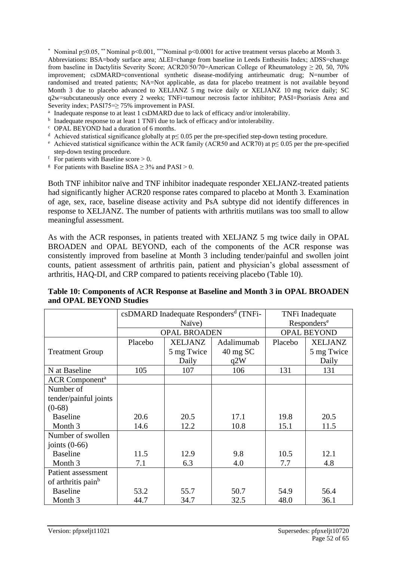\* Nominal p≤0.05, \*\* Nominal p<0.001, \*\*\*Nominal p<0.0001 for active treatment versus placebo at Month 3. Abbreviations: BSA=body surface area; ∆LEI=change from baseline in Leeds Enthesitis Index; ∆DSS=change from baseline in Dactylitis Severity Score; ACR20/50/70=American College of Rheumatology  $\geq 20, 50, 70\%$ improvement; csDMARD=conventional synthetic disease-modifying antirheumatic drug; N=number of randomised and treated patients; NA=Not applicable, as data for placebo treatment is not available beyond Month 3 due to placebo advanced to XELJANZ 5 mg twice daily or XELJANZ 10 mg twice daily; SC q2w=subcutaneously once every 2 weeks; TNFi=tumour necrosis factor inhibitor; PASI=Psoriasis Area and Severity index; PASI75=≥ 75% improvement in PASI.

- <sup>a</sup> Inadequate response to at least 1 csDMARD due to lack of efficacy and/or intolerability.
- <sup>b</sup> Inadequate response to at least 1 TNFi due to lack of efficacy and/or intolerability.
- <sup>c</sup> OPAL BEYOND had a duration of 6 months.
- <sup>d</sup> Achieved statistical significance globally at  $p \le 0.05$  per the pre-specified step-down testing procedure.
- <sup>e</sup> Achieved statistical significance within the ACR family (ACR50 and ACR70) at  $p \le 0.05$  per the pre-specified step-down testing procedure.
- $\frac{f}{f}$  For patients with Baseline score > 0.
- <sup>g</sup> For patients with Baseline BSA  $\geq$  3% and PASI  $>$  0.

Both TNF inhibitor naïve and TNF inhibitor inadequate responder XELJANZ-treated patients had significantly higher ACR20 response rates compared to placebo at Month 3. Examination of age, sex, race, baseline disease activity and PsA subtype did not identify differences in response to XELJANZ. The number of patients with arthritis mutilans was too small to allow meaningful assessment.

As with the ACR responses, in patients treated with XELJANZ 5 mg twice daily in OPAL BROADEN and OPAL BEYOND, each of the components of the ACR response was consistently improved from baseline at Month 3 including tender/painful and swollen joint counts, patient assessment of arthritis pain, patient and physician's global assessment of arthritis, HAQ-DI, and CRP compared to patients receiving placebo (Table 10).

|                                   |         |                     | csDMARD Inadequate Responders <sup>d</sup> (TNFi- | TNFi Inadequate         |                |  |
|-----------------------------------|---------|---------------------|---------------------------------------------------|-------------------------|----------------|--|
|                                   |         | Naïve)              |                                                   | Responders <sup>e</sup> |                |  |
|                                   |         | <b>OPAL BROADEN</b> |                                                   | <b>OPAL BEYOND</b>      |                |  |
|                                   | Placebo | <b>XELJANZ</b>      | Adalimumab                                        | Placebo                 | <b>XELJANZ</b> |  |
| <b>Treatment Group</b>            |         | 5 mg Twice          | $40 \text{ mg }$ SC                               |                         | 5 mg Twice     |  |
|                                   |         | Daily               | q2W                                               |                         | Daily          |  |
| N at Baseline                     | 105     | 107                 | 106                                               | 131                     | 131            |  |
| <b>ACR</b> Component <sup>a</sup> |         |                     |                                                   |                         |                |  |
| Number of                         |         |                     |                                                   |                         |                |  |
| tender/painful joints             |         |                     |                                                   |                         |                |  |
| $(0-68)$                          |         |                     |                                                   |                         |                |  |
| <b>Baseline</b>                   | 20.6    | 20.5                | 17.1                                              | 19.8                    | 20.5           |  |
| Month 3                           | 14.6    | 12.2                | 10.8                                              | 15.1                    | 11.5           |  |
| Number of swollen                 |         |                     |                                                   |                         |                |  |
| joints $(0-66)$                   |         |                     |                                                   |                         |                |  |
| <b>Baseline</b>                   | 11.5    | 12.9                | 9.8                                               | 10.5                    | 12.1           |  |
| Month 3                           | 7.1     | 6.3                 | 4.0                                               | 7.7                     | 4.8            |  |
| Patient assessment                |         |                     |                                                   |                         |                |  |
| of arthritis pain <sup>b</sup>    |         |                     |                                                   |                         |                |  |
| <b>Baseline</b>                   | 53.2    | 55.7                | 50.7                                              | 54.9                    | 56.4           |  |
| Month 3                           | 44.7    | 34.7                | 32.5                                              | 48.0                    | 36.1           |  |

**Table 10: Components of ACR Response at Baseline and Month 3 in OPAL BROADEN and OPAL BEYOND Studies**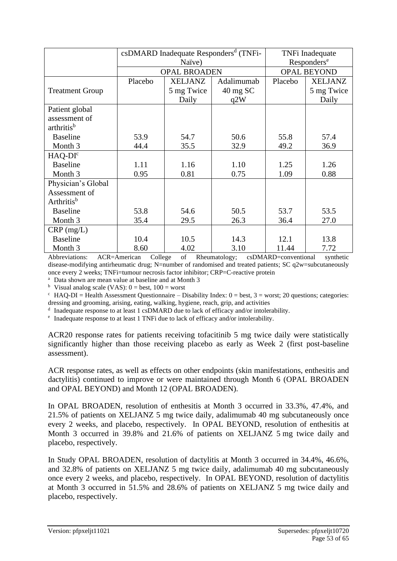|                               |         |                     | csDMARD Inadequate Responders <sup>d</sup> (TNFi- |                         | TNFi Inadequate |  |
|-------------------------------|---------|---------------------|---------------------------------------------------|-------------------------|-----------------|--|
|                               |         | Naïve)              |                                                   | Responders <sup>e</sup> |                 |  |
|                               |         | <b>OPAL BROADEN</b> | <b>OPAL BEYOND</b>                                |                         |                 |  |
|                               | Placebo | <b>XELJANZ</b>      | Adalimumab                                        | Placebo                 | <b>XELJANZ</b>  |  |
| <b>Treatment Group</b>        |         | 5 mg Twice          | 40 mg SC                                          |                         | 5 mg Twice      |  |
|                               |         | Daily               | q2W                                               |                         | Daily           |  |
| Patient global                |         |                     |                                                   |                         |                 |  |
| assessment of                 |         |                     |                                                   |                         |                 |  |
| arthritis <sup>b</sup>        |         |                     |                                                   |                         |                 |  |
| <b>Baseline</b>               | 53.9    | 54.7                | 50.6                                              | 55.8                    | 57.4            |  |
| Month 3                       | 44.4    | 35.5                | 32.9                                              | 49.2                    | 36.9            |  |
| $HAO-DIc$                     |         |                     |                                                   |                         |                 |  |
| <b>Baseline</b>               | 1.11    | 1.16                | 1.10                                              | 1.25                    | 1.26            |  |
| Month 3                       | 0.95    | 0.81                | 0.75                                              | 1.09                    | 0.88            |  |
| Physician's Global            |         |                     |                                                   |                         |                 |  |
| Assessment of                 |         |                     |                                                   |                         |                 |  |
| <b>Arthritis</b> <sup>b</sup> |         |                     |                                                   |                         |                 |  |
| <b>Baseline</b>               | 53.8    | 54.6                | 50.5                                              | 53.7                    | 53.5            |  |
| Month 3                       | 35.4    | 29.5                | 26.3                                              | 36.4                    | 27.0            |  |
| $CRP$ (mg/L)                  |         |                     |                                                   |                         |                 |  |
| <b>Baseline</b>               | 10.4    | 10.5                | 14.3                                              | 12.1                    | 13.8            |  |
| Month 3                       | 8.60    | 4.02                | 3.10                                              | 11.44                   | 7.72            |  |

Abbreviations: ACR=American College of Rheumatology; csDMARD=conventional synthetic disease-modifying antirheumatic drug; N=number of randomised and treated patients; SC q2w=subcutaneously once every 2 weeks; TNFi=tumour necrosis factor inhibitor; CRP=C-reactive protein

<sup>a</sup> Data shown are mean value at baseline and at Month 3

<sup>b</sup> Visual analog scale (VAS):  $0 =$  best,  $100 =$  worst

 $c$  HAQ-DI = Health Assessment Questionnaire – Disability Index:  $0 = \text{best}$ ,  $3 = \text{worst}$ ; 20 questions; categories: dressing and grooming, arising, eating, walking, hygiene, reach, grip, and activities

<sup>d</sup> Inadequate response to at least 1 csDMARD due to lack of efficacy and/or intolerability.

e Inadequate response to at least 1 TNFi due to lack of efficacy and/or intolerability.

ACR20 response rates for patients receiving tofacitinib 5 mg twice daily were statistically significantly higher than those receiving placebo as early as Week 2 (first post-baseline assessment).

ACR response rates, as well as effects on other endpoints (skin manifestations, enthesitis and dactylitis) continued to improve or were maintained through Month 6 (OPAL BROADEN and OPAL BEYOND) and Month 12 (OPAL BROADEN).

In OPAL BROADEN, resolution of enthesitis at Month 3 occurred in 33.3%, 47.4%, and 21.5% of patients on XELJANZ 5 mg twice daily, adalimumab 40 mg subcutaneously once every 2 weeks, and placebo, respectively. In OPAL BEYOND, resolution of enthesitis at Month 3 occurred in 39.8% and 21.6% of patients on XELJANZ 5 mg twice daily and placebo, respectively.

In Study OPAL BROADEN, resolution of dactylitis at Month 3 occurred in 34.4%, 46.6%, and 32.8% of patients on XELJANZ 5 mg twice daily, adalimumab 40 mg subcutaneously once every 2 weeks, and placebo, respectively. In OPAL BEYOND, resolution of dactylitis at Month 3 occurred in 51.5% and 28.6% of patients on XELJANZ 5 mg twice daily and placebo, respectively.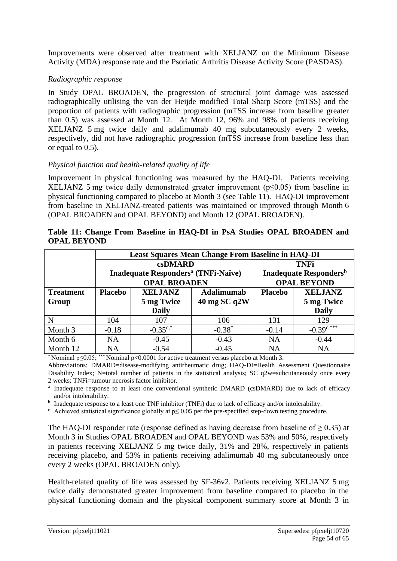Improvements were observed after treatment with XELJANZ on the Minimum Disease Activity (MDA) response rate and the Psoriatic Arthritis Disease Activity Score (PASDAS).

#### *Radiographic response*

In Study OPAL BROADEN, the progression of structural joint damage was assessed radiographically utilising the van der Heijde modified Total Sharp Score (mTSS) and the proportion of patients with radiographic progression (mTSS increase from baseline greater than 0.5) was assessed at Month 12. At Month 12, 96% and 98% of patients receiving XELJANZ 5 mg twice daily and adalimumab 40 mg subcutaneously every 2 weeks, respectively, did not have radiographic progression (mTSS increase from baseline less than or equal to 0.5).

#### *Physical function and health-related quality of life*

Improvement in physical functioning was measured by the HAQ-DI. Patients receiving XELJANZ 5 mg twice daily demonstrated greater improvement (p≤0.05) from baseline in physical functioning compared to placebo at Month 3 (see Table 11). HAQ-DI improvement from baseline in XELJANZ-treated patients was maintained or improved through Month 6 (OPAL BROADEN and OPAL BEYOND) and Month 12 (OPAL BROADEN).

|                  |                |                                                       | <b>Least Squares Mean Change From Baseline in HAQ-DI</b> |                    |                     |  |  |
|------------------|----------------|-------------------------------------------------------|----------------------------------------------------------|--------------------|---------------------|--|--|
|                  |                | <b>csDMARD</b>                                        |                                                          | <b>TNFi</b>        |                     |  |  |
|                  |                | <b>Inadequate Responders<sup>a</sup></b> (TNFi-Naïve) | <b>Inadequate Responders</b> <sup>b</sup>                |                    |                     |  |  |
|                  |                | <b>OPAL BROADEN</b>                                   |                                                          | <b>OPAL BEYOND</b> |                     |  |  |
| <b>Treatment</b> | <b>Placebo</b> | <b>XELJANZ</b>                                        | Adalimumab                                               | <b>Placebo</b>     | <b>XELJANZ</b>      |  |  |
| Group            |                | 5 mg Twice                                            | $40$ mg SC q2W                                           |                    | 5 mg Twice          |  |  |
|                  |                | <b>Daily</b>                                          |                                                          |                    | <b>Daily</b>        |  |  |
| N                | 104            | 107                                                   | 106                                                      | 131                | 129                 |  |  |
| Month 3          | $-0.18$        | $-0.35^{\circ,*}$                                     | $-0.38*$                                                 | $-0.14$            | $-0.39^{\circ,***}$ |  |  |
| Month 6          | <b>NA</b>      | $-0.45$                                               | $-0.43$                                                  | <b>NA</b>          | $-0.44$             |  |  |
| Month 12         | NA             | $-0.54$                                               | $-0.45$                                                  | NA                 | <b>NA</b>           |  |  |

**Table 11: Change From Baseline in HAQ-DI in PsA Studies OPAL BROADEN and OPAL BEYOND**

\* Nominal p≤0.05; \*\*\* Nominal p<0.0001 for active treatment versus placebo at Month 3.

Abbreviations: DMARD=disease-modifying antirheumatic drug; HAQ-DI=Health Assessment Questionnaire Disability Index; N=total number of patients in the statistical analysis; SC q2w=subcutaneously once every 2 weeks; TNFi=tumour necrosis factor inhibitor.

<sup>a</sup> Inadequate response to at least one conventional synthetic DMARD (csDMARD) due to lack of efficacy and/or intolerability.

<sup>b</sup> Inadequate response to a least one TNF inhibitor (TNFi) due to lack of efficacy and/or intolerability.

 $\epsilon$  Achieved statistical significance globally at p $\leq 0.05$  per the pre-specified step-down testing procedure.

The HAQ-DI responder rate (response defined as having decrease from baseline of  $\geq$  0.35) at Month 3 in Studies OPAL BROADEN and OPAL BEYOND was 53% and 50%, respectively in patients receiving XELJANZ 5 mg twice daily, 31% and 28%, respectively in patients receiving placebo, and 53% in patients receiving adalimumab 40 mg subcutaneously once every 2 weeks (OPAL BROADEN only).

Health-related quality of life was assessed by SF-36v2. Patients receiving XELJANZ 5 mg twice daily demonstrated greater improvement from baseline compared to placebo in the physical functioning domain and the physical component summary score at Month 3 in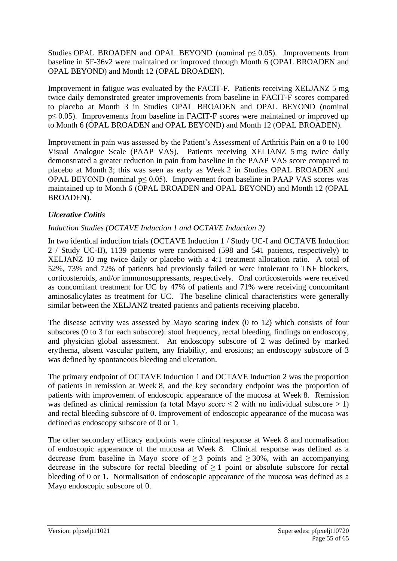Studies OPAL BROADEN and OPAL BEYOND (nominal  $p \leq 0.05$ ). Improvements from baseline in SF-36v2 were maintained or improved through Month 6 (OPAL BROADEN and OPAL BEYOND) and Month 12 (OPAL BROADEN).

Improvement in fatigue was evaluated by the FACIT-F. Patients receiving XELJANZ 5 mg twice daily demonstrated greater improvements from baseline in FACIT-F scores compared to placebo at Month 3 in Studies OPAL BROADEN and OPAL BEYOND (nominal p≤ 0.05). Improvements from baseline in FACIT-F scores were maintained or improved up to Month 6 (OPAL BROADEN and OPAL BEYOND) and Month 12 (OPAL BROADEN).

Improvement in pain was assessed by the Patient's Assessment of Arthritis Pain on a 0 to 100 Visual Analogue Scale (PAAP VAS). Patients receiving XELJANZ 5 mg twice daily demonstrated a greater reduction in pain from baseline in the PAAP VAS score compared to placebo at Month 3; this was seen as early as Week 2 in Studies OPAL BROADEN and OPAL BEYOND (nominal  $p \le 0.05$ ). Improvement from baseline in PAAP VAS scores was maintained up to Month 6 (OPAL BROADEN and OPAL BEYOND) and Month 12 (OPAL BROADEN).

## *Ulcerative Colitis*

## *Induction Studies (OCTAVE Induction 1 and OCTAVE Induction 2)*

In two identical induction trials (OCTAVE Induction 1 / Study UC-I and OCTAVE Induction 2 / Study UC-II), 1139 patients were randomised (598 and 541 patients, respectively) to XELJANZ 10 mg twice daily or placebo with a 4:1 treatment allocation ratio. A total of 52%, 73% and 72% of patients had previously failed or were intolerant to TNF blockers, corticosteroids, and/or immunosuppressants, respectively. Oral corticosteroids were received as concomitant treatment for UC by 47% of patients and 71% were receiving concomitant aminosalicylates as treatment for UC. The baseline clinical characteristics were generally similar between the XELJANZ treated patients and patients receiving placebo.

The disease activity was assessed by Mayo scoring index (0 to 12) which consists of four subscores (0 to 3 for each subscore): stool frequency, rectal bleeding, findings on endoscopy, and physician global assessment. An endoscopy subscore of 2 was defined by marked erythema, absent vascular pattern, any friability, and erosions; an endoscopy subscore of 3 was defined by spontaneous bleeding and ulceration.

The primary endpoint of OCTAVE Induction 1 and OCTAVE Induction 2 was the proportion of patients in remission at Week 8, and the key secondary endpoint was the proportion of patients with improvement of endoscopic appearance of the mucosa at Week 8. Remission was defined as clinical remission (a total Mayo score  $\leq 2$  with no individual subscore  $> 1$ ) and rectal bleeding subscore of 0. Improvement of endoscopic appearance of the mucosa was defined as endoscopy subscore of 0 or 1.

The other secondary efficacy endpoints were clinical response at Week 8 and normalisation of endoscopic appearance of the mucosa at Week 8. Clinical response was defined as a decrease from baseline in Mayo score of  $\geq$  3 points and  $\geq$  30%, with an accompanying decrease in the subscore for rectal bleeding of  $\geq 1$  point or absolute subscore for rectal bleeding of 0 or 1. Normalisation of endoscopic appearance of the mucosa was defined as a Mayo endoscopic subscore of 0.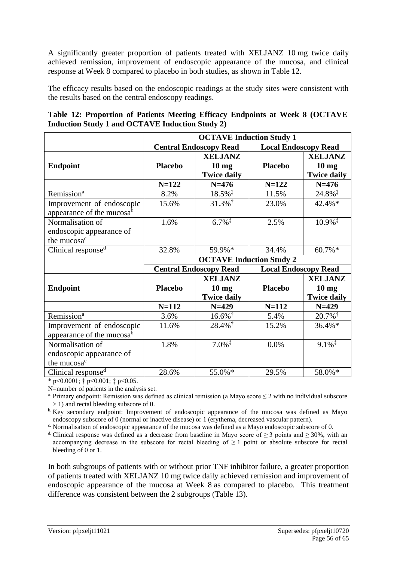A significantly greater proportion of patients treated with XELJANZ 10 mg twice daily achieved remission, improvement of endoscopic appearance of the mucosa, and clinical response at Week 8 compared to placebo in both studies, as shown in Table 12.

The efficacy results based on the endoscopic readings at the study sites were consistent with the results based on the central endoscopy readings.

| Table 12: Proportion of Patients Meeting Efficacy Endpoints at Week 8 (OCTAVE |  |  |  |  |
|-------------------------------------------------------------------------------|--|--|--|--|
| <b>Induction Study 1 and OCTAVE Induction Study 2)</b>                        |  |  |  |  |

|                                               | <b>OCTAVE Induction Study 1</b> |                                 |                |                             |  |  |  |  |  |
|-----------------------------------------------|---------------------------------|---------------------------------|----------------|-----------------------------|--|--|--|--|--|
|                                               |                                 | <b>Central Endoscopy Read</b>   |                | <b>Local Endoscopy Read</b> |  |  |  |  |  |
|                                               |                                 | <b>XELJANZ</b>                  |                | <b>XELJANZ</b>              |  |  |  |  |  |
| <b>Endpoint</b>                               | <b>Placebo</b>                  | 10 <sub>mg</sub>                | <b>Placebo</b> | 10 <sub>mg</sub>            |  |  |  |  |  |
|                                               |                                 | <b>Twice daily</b>              |                | <b>Twice daily</b>          |  |  |  |  |  |
|                                               | $N = 122$                       | $N=476$                         | $N = 122$      | $N=476$                     |  |  |  |  |  |
| Remission <sup>a</sup>                        | 8.2%                            | $18.5\%$ <sup>‡</sup>           | 11.5%          | 24.8%                       |  |  |  |  |  |
| Improvement of endoscopic                     | 15.6%                           | $31.3\%$ <sup>†</sup>           | 23.0%          | 42.4%*                      |  |  |  |  |  |
| appearance of the mucosa <sup>b</sup>         |                                 |                                 |                |                             |  |  |  |  |  |
| Normalisation of                              | 1.6%                            | $6.7\%$ <sup>‡</sup>            | 2.5%           | $10.9\%$ <sup>‡</sup>       |  |  |  |  |  |
| endoscopic appearance of                      |                                 |                                 |                |                             |  |  |  |  |  |
| the mucosa <sup>c</sup>                       |                                 |                                 |                |                             |  |  |  |  |  |
| Clinical response <sup>d</sup>                | 32.8%                           | 59.9%*                          | 34.4%          | 60.7%*                      |  |  |  |  |  |
|                                               |                                 | <b>OCTAVE Induction Study 2</b> |                |                             |  |  |  |  |  |
|                                               |                                 | <b>Central Endoscopy Read</b>   |                | <b>Local Endoscopy Read</b> |  |  |  |  |  |
|                                               |                                 | <b>XELJANZ</b>                  |                | <b>XELJANZ</b>              |  |  |  |  |  |
| <b>Endpoint</b>                               | <b>Placebo</b>                  | 10 <sub>mg</sub>                | <b>Placebo</b> | 10 <sub>mg</sub>            |  |  |  |  |  |
|                                               |                                 |                                 |                |                             |  |  |  |  |  |
|                                               |                                 | <b>Twice daily</b>              |                | <b>Twice daily</b>          |  |  |  |  |  |
|                                               | $N = 112$                       | $N=429$                         | $N = 112$      | $N=429$                     |  |  |  |  |  |
| Remission <sup>a</sup>                        | 3.6%                            | $16.6\%$ <sup>†</sup>           | 5.4%           | $20.7\%$ <sup>†</sup>       |  |  |  |  |  |
| Improvement of endoscopic                     | 11.6%                           | $28.4\%$ <sup>†</sup>           | 15.2%          | 36.4%*                      |  |  |  |  |  |
| appearance of the mucosa <sup>b</sup>         |                                 |                                 |                |                             |  |  |  |  |  |
| Normalisation of                              | 1.8%                            | $7.0\%$ <sup>‡</sup>            | 0.0%           | $9.1\%$ <sup>†</sup>        |  |  |  |  |  |
| endoscopic appearance of                      |                                 |                                 |                |                             |  |  |  |  |  |
| the mucosa <sup>c</sup><br>Clinical responsed |                                 |                                 |                |                             |  |  |  |  |  |

 $*$  p<0.0001;  $\dagger$  p<0.001;  $\dagger$  p<0.05.

N=number of patients in the analysis set.

<sup>a.</sup> Primary endpoint: Remission was defined as clinical remission (a Mayo score  $\leq 2$  with no individual subscore > 1) and rectal bleeding subscore of 0.

<sup>b.</sup> Key secondary endpoint: Improvement of endoscopic appearance of the mucosa was defined as Mayo endoscopy subscore of 0 (normal or inactive disease) or 1 (erythema, decreased vascular pattern).

c. Normalisation of endoscopic appearance of the mucosa was defined as a Mayo endoscopic subscore of 0.

<sup>d.</sup> Clinical response was defined as a decrease from baseline in Mayo score of  $\geq$  3 points and  $\geq$  30%, with an accompanying decrease in the subscore for rectal bleeding of  $\geq 1$  point or absolute subscore for rectal bleeding of 0 or 1.

In both subgroups of patients with or without prior TNF inhibitor failure, a greater proportion of patients treated with XELJANZ 10 mg twice daily achieved remission and improvement of endoscopic appearance of the mucosa at Week 8 as compared to placebo. This treatment difference was consistent between the 2 subgroups (Table 13).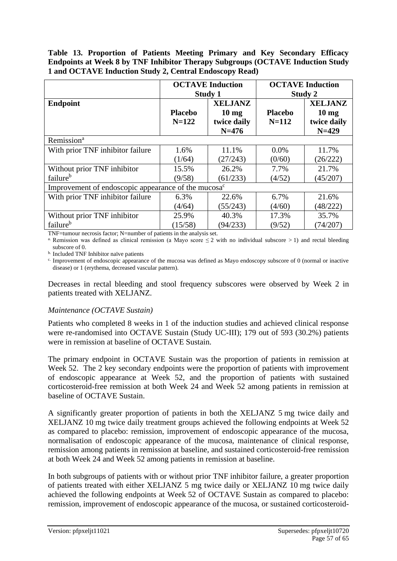**Table 13. Proportion of Patients Meeting Primary and Key Secondary Efficacy Endpoints at Week 8 by TNF Inhibitor Therapy Subgroups (OCTAVE Induction Study 1 and OCTAVE Induction Study 2, Central Endoscopy Read)**

|                                                                 | <b>OCTAVE Induction</b><br>Study 1 |                                                             | <b>OCTAVE</b> Induction<br>Study 2 |                                                                |  |
|-----------------------------------------------------------------|------------------------------------|-------------------------------------------------------------|------------------------------------|----------------------------------------------------------------|--|
| <b>Endpoint</b>                                                 | <b>Placebo</b><br>$N = 122$        | <b>XELJANZ</b><br>$10 \text{ mg}$<br>twice daily<br>$N=476$ | <b>Placebo</b><br>$N = 112$        | <b>XELJANZ</b><br>10 <sub>mg</sub><br>twice daily<br>$N = 429$ |  |
| Remission <sup>a</sup>                                          |                                    |                                                             |                                    |                                                                |  |
| With prior TNF inhibitor failure                                | 1.6%                               | 11.1%                                                       | $0.0\%$                            | 11.7%                                                          |  |
|                                                                 | (1/64)                             | (27/243)                                                    | (0/60)                             | (26/222)                                                       |  |
| Without prior TNF inhibitor                                     | 15.5%                              | 26.2%                                                       | 7.7%                               | 21.7%                                                          |  |
| failure <sup>b</sup>                                            | (9/58)                             | (61/233)                                                    | (4/52)                             | (45/207)                                                       |  |
| Improvement of endoscopic appearance of the mucosa <sup>c</sup> |                                    |                                                             |                                    |                                                                |  |
| With prior TNF inhibitor failure                                | 6.3%                               | 22.6%                                                       | 6.7%                               | 21.6%                                                          |  |
|                                                                 | (4/64)                             | (55/243)                                                    | (4/60)                             | (48/222)                                                       |  |
| Without prior TNF inhibitor                                     | 25.9%                              | 40.3%                                                       | 17.3%                              | 35.7%                                                          |  |
| failure <sup>b</sup>                                            | (15/58)                            | (94/233)                                                    | (9/52)                             | (74/207)                                                       |  |

TNF=tumour necrosis factor; N=number of patients in the analysis set.

<sup>a</sup>. Remission was defined as clinical remission (a Mayo score  $\leq$  2 with no individual subscore  $>$  1) and rectal bleeding subscore of 0.

b. Included TNF Inhibitor naïve patients

c. Improvement of endoscopic appearance of the mucosa was defined as Mayo endoscopy subscore of 0 (normal or inactive disease) or 1 (erythema, decreased vascular pattern).

Decreases in rectal bleeding and stool frequency subscores were observed by Week 2 in patients treated with XELJANZ.

#### *Maintenance (OCTAVE Sustain)*

Patients who completed 8 weeks in 1 of the induction studies and achieved clinical response were re-randomised into OCTAVE Sustain (Study UC-III); 179 out of 593 (30.2%) patients were in remission at baseline of OCTAVE Sustain.

The primary endpoint in OCTAVE Sustain was the proportion of patients in remission at Week 52. The 2 key secondary endpoints were the proportion of patients with improvement of endoscopic appearance at Week 52, and the proportion of patients with sustained corticosteroid-free remission at both Week 24 and Week 52 among patients in remission at baseline of OCTAVE Sustain.

A significantly greater proportion of patients in both the XELJANZ 5 mg twice daily and XELJANZ 10 mg twice daily treatment groups achieved the following endpoints at Week 52 as compared to placebo: remission, improvement of endoscopic appearance of the mucosa, normalisation of endoscopic appearance of the mucosa, maintenance of clinical response, remission among patients in remission at baseline, and sustained corticosteroid-free remission at both Week 24 and Week 52 among patients in remission at baseline.

In both subgroups of patients with or without prior TNF inhibitor failure, a greater proportion of patients treated with either XELJANZ 5 mg twice daily or XELJANZ 10 mg twice daily achieved the following endpoints at Week 52 of OCTAVE Sustain as compared to placebo: remission, improvement of endoscopic appearance of the mucosa, or sustained corticosteroid-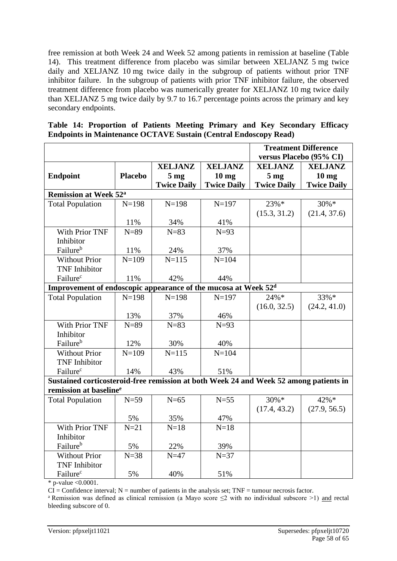free remission at both Week 24 and Week 52 among patients in remission at baseline (Table 14). This treatment difference from placebo was similar between XELJANZ 5 mg twice daily and XELJANZ 10 mg twice daily in the subgroup of patients without prior TNF inhibitor failure. In the subgroup of patients with prior TNF inhibitor failure, the observed treatment difference from placebo was numerically greater for XELJANZ 10 mg twice daily than XELJANZ 5 mg twice daily by 9.7 to 16.7 percentage points across the primary and key secondary endpoints.

|  | Table 14: Proportion of Patients Meeting Primary and Key Secondary Efficacy |  |  |  |  |
|--|-----------------------------------------------------------------------------|--|--|--|--|
|  | <b>Endpoints in Maintenance OCTAVE Sustain (Central Endoscopy Read)</b>     |  |  |  |  |

|                                                                                       |                |                    |                    |                    | <b>Treatment Difference</b> |
|---------------------------------------------------------------------------------------|----------------|--------------------|--------------------|--------------------|-----------------------------|
|                                                                                       |                |                    |                    |                    | versus Placebo (95% CI)     |
|                                                                                       |                | <b>XELJANZ</b>     | <b>XELJANZ</b>     | <b>XELJANZ</b>     | <b>XELJANZ</b>              |
| <b>Endpoint</b>                                                                       | <b>Placebo</b> | 5 <sub>mg</sub>    | 10 <sub>mg</sub>   | 5 <sub>mg</sub>    | 10 <sub>mg</sub>            |
|                                                                                       |                | <b>Twice Daily</b> | <b>Twice Daily</b> | <b>Twice Daily</b> | <b>Twice Daily</b>          |
| <b>Remission at Week 52<sup>a</sup></b>                                               |                |                    |                    |                    |                             |
| <b>Total Population</b>                                                               | $N = 198$      | $N = 198$          | $N = 197$          | $23%$ *            | $30\% *$                    |
|                                                                                       |                |                    |                    | (15.3, 31.2)       | (21.4, 37.6)                |
|                                                                                       | 11%            | 34%                | 41%                |                    |                             |
| With Prior TNF                                                                        | $N = 89$       | $N = 83$           | $N=93$             |                    |                             |
| Inhibitor                                                                             |                |                    |                    |                    |                             |
| Failure <sup>b</sup>                                                                  | 11%            | 24%                | 37%                |                    |                             |
| <b>Without Prior</b>                                                                  | $N = 109$      | $N = 115$          | $N = 104$          |                    |                             |
| <b>TNF</b> Inhibitor                                                                  |                |                    |                    |                    |                             |
| Failure <sup>c</sup>                                                                  | 11%            | 42%                | 44%                |                    |                             |
| Improvement of endoscopic appearance of the mucosa at Week 52 <sup>d</sup>            |                |                    |                    |                    |                             |
| <b>Total Population</b>                                                               | $N = 198$      | $N = 198$          | $N = 197$          | 24%*               | 33%*                        |
|                                                                                       |                |                    |                    | (16.0, 32.5)       | (24.2, 41.0)                |
|                                                                                       | 13%            | 37%                | 46%                |                    |                             |
| With Prior TNF                                                                        | $N=89$         | $N=83$             | $N=93$             |                    |                             |
| Inhibitor                                                                             |                |                    |                    |                    |                             |
| Failure <sup>b</sup>                                                                  | 12%            | 30%                | 40%                |                    |                             |
| <b>Without Prior</b>                                                                  | $N = 109$      | $N = 115$          | $N = 104$          |                    |                             |
| <b>TNF</b> Inhibitor                                                                  |                |                    |                    |                    |                             |
| Failure <sup>c</sup>                                                                  | 14%            | 43%                | 51%                |                    |                             |
| Sustained corticosteroid-free remission at both Week 24 and Week 52 among patients in |                |                    |                    |                    |                             |
| remission at baseline <sup>e</sup>                                                    |                |                    |                    |                    |                             |
| <b>Total Population</b>                                                               | $N=59$         | $N=65$             | $N=55$             | $30\% *$           | $42\% *$                    |
|                                                                                       |                |                    |                    | (17.4, 43.2)       | (27.9, 56.5)                |
|                                                                                       | 5%             | 35%                | 47%                |                    |                             |
| <b>With Prior TNF</b>                                                                 | $N=21$         | $N=18$             | $N=18$             |                    |                             |
| Inhibitor                                                                             |                |                    |                    |                    |                             |
| Failure <sup>b</sup>                                                                  | 5%             | 22%                | 39%                |                    |                             |
| <b>Without Prior</b>                                                                  | $N = 38$       | $N=47$             | $N=37$             |                    |                             |
| <b>TNF</b> Inhibitor                                                                  |                |                    |                    |                    |                             |
| Failure <sup>c</sup>                                                                  | 5%             | 40%                | 51%                |                    |                             |

\* p-value <0.0001.

 $CI =$  Confidence interval;  $N =$  number of patients in the analysis set; TNF = tumour necrosis factor.

<sup>a</sup> Remission was defined as clinical remission (a Mayo score  $\leq$ 2 with no individual subscore >1) and rectal bleeding subscore of 0.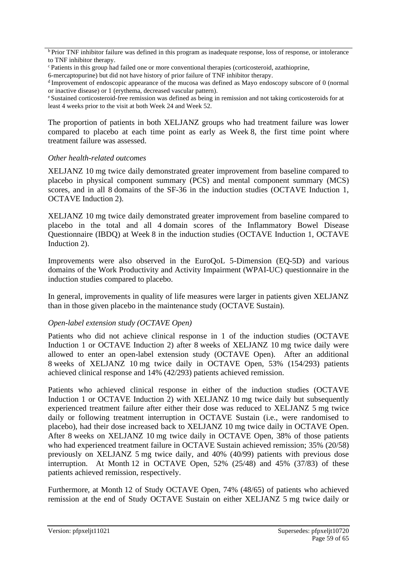b Prior TNF inhibitor failure was defined in this program as inadequate response, loss of response, or intolerance to TNF inhibitor therapy.

6-mercaptopurine) but did not have history of prior failure of TNF inhibitor therapy.

<sup>d</sup>Improvement of endoscopic appearance of the mucosa was defined as Mayo endoscopy subscore of 0 (normal or inactive disease) or 1 (erythema, decreased vascular pattern).

<sup>e</sup> Sustained corticosteroid-free remission was defined as being in remission and not taking corticosteroids for at least 4 weeks prior to the visit at both Week 24 and Week 52.

The proportion of patients in both XELJANZ groups who had treatment failure was lower compared to placebo at each time point as early as Week 8, the first time point where treatment failure was assessed.

#### *Other health-related outcomes*

XELJANZ 10 mg twice daily demonstrated greater improvement from baseline compared to placebo in physical component summary (PCS) and mental component summary (MCS) scores, and in all 8 domains of the SF-36 in the induction studies (OCTAVE Induction 1, OCTAVE Induction 2).

XELJANZ 10 mg twice daily demonstrated greater improvement from baseline compared to placebo in the total and all 4 domain scores of the Inflammatory Bowel Disease Questionnaire (IBDQ) at Week 8 in the induction studies (OCTAVE Induction 1, OCTAVE Induction 2).

Improvements were also observed in the EuroQoL 5-Dimension (EQ-5D) and various domains of the Work Productivity and Activity Impairment (WPAI-UC) questionnaire in the induction studies compared to placebo.

In general, improvements in quality of life measures were larger in patients given XELJANZ than in those given placebo in the maintenance study (OCTAVE Sustain).

#### *Open-label extension study (OCTAVE Open)*

Patients who did not achieve clinical response in 1 of the induction studies (OCTAVE Induction 1 or OCTAVE Induction 2) after 8 weeks of XELJANZ 10 mg twice daily were allowed to enter an open-label extension study (OCTAVE Open). After an additional 8 weeks of XELJANZ 10 mg twice daily in OCTAVE Open, 53% (154/293) patients achieved clinical response and 14% (42/293) patients achieved remission.

Patients who achieved clinical response in either of the induction studies (OCTAVE Induction 1 or OCTAVE Induction 2) with XELJANZ 10 mg twice daily but subsequently experienced treatment failure after either their dose was reduced to XELJANZ 5 mg twice daily or following treatment interruption in OCTAVE Sustain (i.e., were randomised to placebo), had their dose increased back to XELJANZ 10 mg twice daily in OCTAVE Open. After 8 weeks on XELJANZ 10 mg twice daily in OCTAVE Open, 38% of those patients who had experienced treatment failure in OCTAVE Sustain achieved remission; 35% (20/58) previously on XELJANZ 5 mg twice daily, and 40% (40/99) patients with previous dose interruption. At Month 12 in OCTAVE Open, 52% (25/48) and 45% (37/83) of these patients achieved remission, respectively.

Furthermore, at Month 12 of Study OCTAVE Open, 74% (48/65) of patients who achieved remission at the end of Study OCTAVE Sustain on either XELJANZ 5 mg twice daily or

 $\epsilon$ Patients in this group had failed one or more conventional therapies (corticosteroid, azathioprine,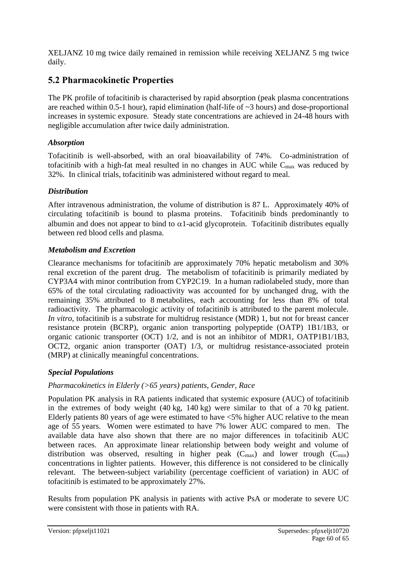XELJANZ 10 mg twice daily remained in remission while receiving XELJANZ 5 mg twice daily.

## **5.2 Pharmacokinetic Properties**

The PK profile of tofacitinib is characterised by rapid absorption (peak plasma concentrations are reached within 0.5-1 hour), rapid elimination (half-life of ~3 hours) and dose-proportional increases in systemic exposure. Steady state concentrations are achieved in 24-48 hours with negligible accumulation after twice daily administration.

## *Absorption*

Tofacitinib is well-absorbed, with an oral bioavailability of 74%. Co-administration of tofacitinib with a high-fat meal resulted in no changes in AUC while  $C_{\text{max}}$  was reduced by 32%. In clinical trials, tofacitinib was administered without regard to meal.

## *Distribution*

After intravenous administration, the volume of distribution is 87 L. Approximately 40% of circulating tofacitinib is bound to plasma proteins. Tofacitinib binds predominantly to albumin and does not appear to bind to  $\alpha$ 1-acid glycoprotein. Tofacitinib distributes equally between red blood cells and plasma.

## *Metabolism and Excretion*

Clearance mechanisms for tofacitinib are approximately 70% hepatic metabolism and 30% renal excretion of the parent drug. The metabolism of tofacitinib is primarily mediated by CYP3A4 with minor contribution from CYP2C19. In a human radiolabeled study, more than 65% of the total circulating radioactivity was accounted for by unchanged drug, with the remaining 35% attributed to 8 metabolites, each accounting for less than 8% of total radioactivity. The pharmacologic activity of tofacitinib is attributed to the parent molecule. *In vitro*, tofacitinib is a substrate for multidrug resistance (MDR) 1, but not for breast cancer resistance protein (BCRP), organic anion transporting polypeptide (OATP) 1B1/1B3, or organic cationic transporter (OCT) 1/2, and is not an inhibitor of MDR1, OATP1B1/1B3, OCT2, organic anion transporter (OAT) 1/3, or multidrug resistance-associated protein (MRP) at clinically meaningful concentrations.

## *Special Populations*

## *Pharmacokinetics in Elderly (>65 years) patients, Gender, Race*

Population PK analysis in RA patients indicated that systemic exposure (AUC) of tofacitinib in the extremes of body weight (40 kg, 140 kg) were similar to that of a 70 kg patient. Elderly patients 80 years of age were estimated to have <5% higher AUC relative to the mean age of 55 years. Women were estimated to have 7% lower AUC compared to men. The available data have also shown that there are no major differences in tofacitinib AUC between races. An approximate linear relationship between body weight and volume of distribution was observed, resulting in higher peak  $(C_{max})$  and lower trough  $(C_{min})$ concentrations in lighter patients. However, this difference is not considered to be clinically relevant. The between-subject variability (percentage coefficient of variation) in AUC of tofacitinib is estimated to be approximately 27%.

Results from population PK analysis in patients with active PsA or moderate to severe UC were consistent with those in patients with RA.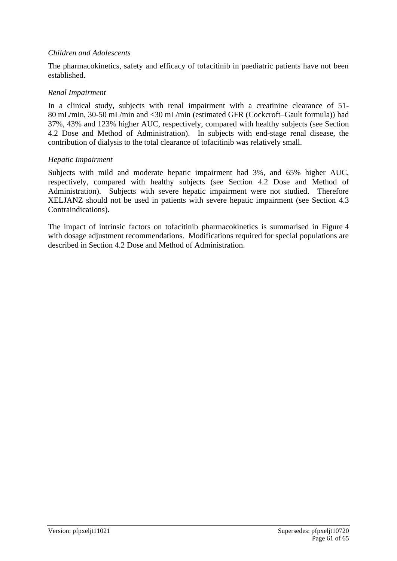#### *Children and Adolescents*

The pharmacokinetics, safety and efficacy of tofacitinib in paediatric patients have not been established.

#### *Renal Impairment*

In a clinical study, subjects with renal impairment with a creatinine clearance of 51- 80 mL/min, 30-50 mL/min and <30 mL/min (estimated GFR (Cockcroft–Gault formula)) had 37%, 43% and 123% higher AUC, respectively, compared with healthy subjects (see Section 4.2 Dose and Method of Administration). In subjects with end-stage renal disease, the contribution of dialysis to the total clearance of tofacitinib was relatively small.

#### *Hepatic Impairment*

Subjects with mild and moderate hepatic impairment had 3%, and 65% higher AUC, respectively, compared with healthy subjects (see Section 4.2 Dose and Method of Administration). Subjects with severe hepatic impairment were not studied. Therefore XELJANZ should not be used in patients with severe hepatic impairment (see Section 4.3 Contraindications).

The impact of intrinsic factors on tofacitinib pharmacokinetics is summarised in Figure 4 with dosage adjustment recommendations. Modifications required for special populations are described in Section 4.2 Dose and Method of Administration.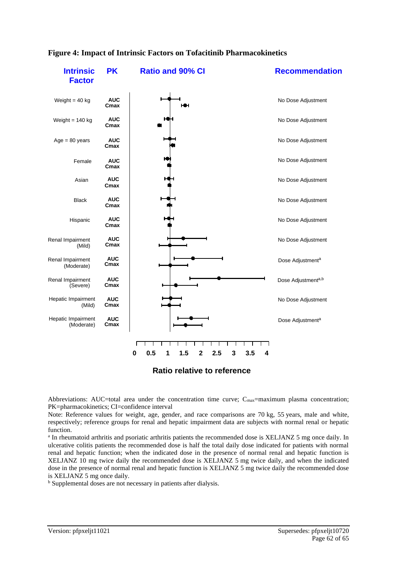

#### **Figure 4: Impact of Intrinsic Factors on Tofacitinib Pharmacokinetics**

**Ratio relative to reference**

Abbreviations: AUC=total area under the concentration time curve;  $C_{\text{max}}$ =maximum plasma concentration; PK=pharmacokinetics; CI=confidence interval

Note: Reference values for weight, age, gender, and race comparisons are 70 kg, 55 years, male and white, respectively; reference groups for renal and hepatic impairment data are subjects with normal renal or hepatic function.

<sup>a</sup> In rheumatoid arthritis and psoriatic arthritis patients the recommended dose is XELJANZ 5 mg once daily. In ulcerative colitis patients the recommended dose is half the total daily dose indicated for patients with normal renal and hepatic function; when the indicated dose in the presence of normal renal and hepatic function is XELJANZ 10 mg twice daily the recommended dose is XELJANZ 5 mg twice daily, and when the indicated dose in the presence of normal renal and hepatic function is XELJANZ 5 mg twice daily the recommended dose is XELJANZ 5 mg once daily.

<sup>b</sup> Supplemental doses are not necessary in patients after dialysis.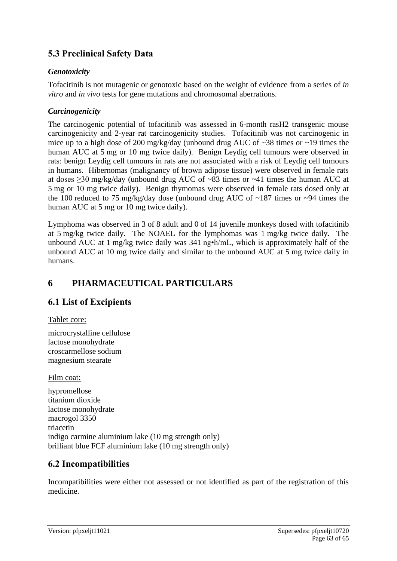## **5.3 Preclinical Safety Data**

### *Genotoxicity*

Tofacitinib is not mutagenic or genotoxic based on the weight of evidence from a series of *in vitro* and *in vivo* tests for gene mutations and chromosomal aberrations.

### *Carcinogenicity*

The carcinogenic potential of tofacitinib was assessed in 6-month rasH2 transgenic mouse carcinogenicity and 2-year rat carcinogenicity studies. Tofacitinib was not carcinogenic in mice up to a high dose of 200 mg/kg/day (unbound drug AUC of  $\sim$ 38 times or  $\sim$ 19 times the human AUC at 5 mg or 10 mg twice daily). Benign Leydig cell tumours were observed in rats: benign Leydig cell tumours in rats are not associated with a risk of Leydig cell tumours in humans. Hibernomas (malignancy of brown adipose tissue) were observed in female rats at doses ≥30 mg/kg/day (unbound drug AUC of ~83 times or ~41 times the human AUC at 5 mg or 10 mg twice daily). Benign thymomas were observed in female rats dosed only at the 100 reduced to 75 mg/kg/day dose (unbound drug AUC of  $\sim$ 187 times or  $\sim$ 94 times the human AUC at 5 mg or 10 mg twice daily).

Lymphoma was observed in 3 of 8 adult and 0 of 14 juvenile monkeys dosed with tofacitinib at 5 mg/kg twice daily. The NOAEL for the lymphomas was 1 mg/kg twice daily. The unbound AUC at 1 mg/kg twice daily was 341 ng•h/mL, which is approximately half of the unbound AUC at 10 mg twice daily and similar to the unbound AUC at 5 mg twice daily in humans.

## **6 PHARMACEUTICAL PARTICULARS**

## **6.1 List of Excipients**

#### Tablet core:

microcrystalline cellulose lactose monohydrate croscarmellose sodium magnesium stearate

Film coat:

hypromellose titanium dioxide lactose monohydrate macrogol 3350 triacetin indigo carmine aluminium lake (10 mg strength only) brilliant blue FCF aluminium lake (10 mg strength only)

## **6.2 Incompatibilities**

Incompatibilities were either not assessed or not identified as part of the registration of this medicine.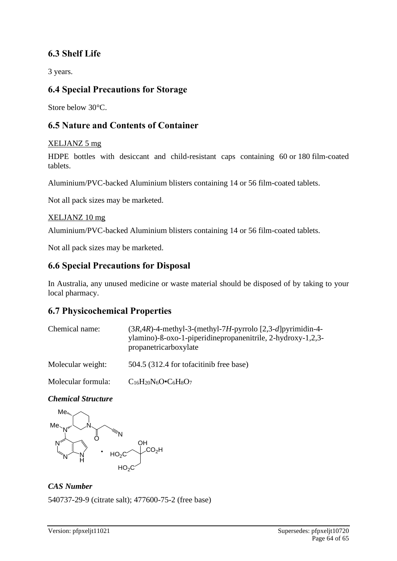## **6.3 Shelf Life**

3 years.

## **6.4 Special Precautions for Storage**

Store below 30°C.

## **6.5 Nature and Contents of Container**

## XELJANZ 5 mg

HDPE bottles with desiccant and child-resistant caps containing 60 or 180 film-coated tablets.

Aluminium/PVC-backed Aluminium blisters containing 14 or 56 film-coated tablets.

Not all pack sizes may be marketed.

#### XELJANZ 10 mg

Aluminium/PVC-backed Aluminium blisters containing 14 or 56 film-coated tablets.

Not all pack sizes may be marketed.

## **6.6 Special Precautions for Disposal**

In Australia, any unused medicine or waste material should be disposed of by taking to your local pharmacy.

## **6.7 Physicochemical Properties**

| Chemical name:    | $(3R,4R)$ -4-methyl-3-(methyl-7H-pyrrolo [2,3-d]pyrimidin-4-<br>ylamino)-ß-oxo-1-piperidinepropanenitrile, 2-hydroxy-1,2,3-<br>propanetricarboxylate |
|-------------------|------------------------------------------------------------------------------------------------------------------------------------------------------|
| Molecular weight: | 504.5 (312.4 for tofacitinib free base)                                                                                                              |

Molecular formula:  $C_{16}H_{20}N_6O\cdot C_6H_8O_7$ 

## *Chemical Structure*



*CAS Number* 540737-29-9 (citrate salt); 477600-75-2 (free base)